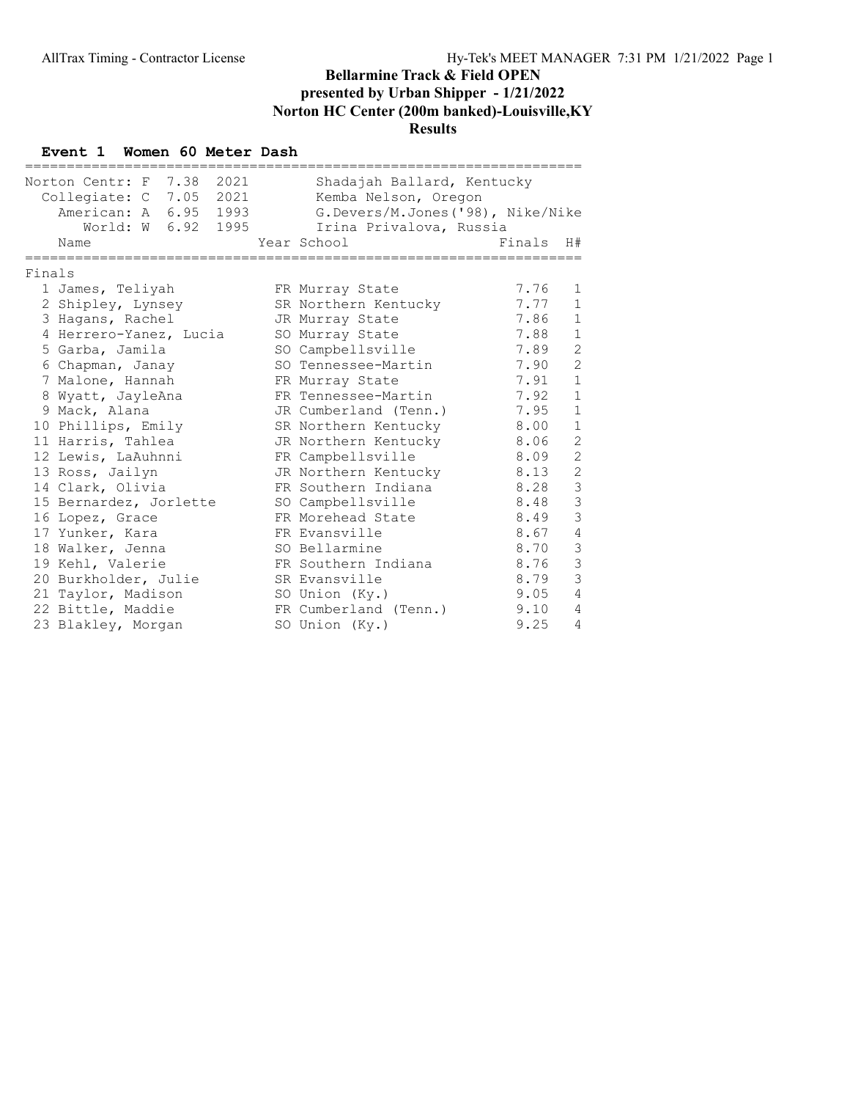#### Event 1 Women 60 Meter Dash

|        | ==================================                   | ;=====================                             |        |                |
|--------|------------------------------------------------------|----------------------------------------------------|--------|----------------|
|        | Norton Centr: F 7.38 2021<br>Collegiate: C 7.05 2021 | Shadajah Ballard, Kentucky<br>Kemba Nelson, Oregon |        |                |
|        | American: A 6.95 1993                                | G.Devers/M.Jones('98), Nike/Nike                   |        |                |
|        | World: W 6.92 1995                                   | Irina Privalova, Russia                            |        |                |
|        | Name                                                 | Year School                                        | Finals | H#             |
| Finals |                                                      |                                                    |        |                |
|        | 1 James, Teliyah                                     | FR Murray State                                    | 7.76   | 1              |
|        | 2 Shipley, Lynsey                                    | SR Northern Kentucky                               | 7.77   | $\mathbf{1}$   |
|        | 3 Hagans, Rachel                                     | JR Murray State                                    | 7.86   | $\mathbf{1}$   |
|        | 4 Herrero-Yanez, Lucia                               | SO Murray State                                    | 7.88   | $\mathbf{1}$   |
|        | 5 Garba, Jamila                                      | SO Campbellsville                                  | 7.89   | $\overline{2}$ |
|        | 6 Chapman, Janay                                     | SO Tennessee-Martin                                | 7.90   | $\overline{2}$ |
|        | 7 Malone, Hannah                                     | FR Murray State                                    | 7.91   | $\mathbf{1}$   |
|        | 8 Wyatt, JayleAna                                    | FR Tennessee-Martin                                | 7.92   | $\mathbf 1$    |
|        | 9 Mack, Alana                                        | JR Cumberland (Tenn.)                              | 7.95   | $\mathbf{1}$   |
|        | 10 Phillips, Emily                                   | SR Northern Kentucky                               | 8.00   | $\mathbf 1$    |
|        | 11 Harris, Tahlea                                    | JR Northern Kentucky                               | 8.06   | 2              |
|        | 12 Lewis, LaAuhnni                                   | FR Campbellsville                                  | 8.09   | $\overline{2}$ |
|        | 13 Ross, Jailyn                                      | JR Northern Kentucky                               | 8.13   | $\overline{2}$ |
|        | 14 Clark, Olivia                                     | FR Southern Indiana                                | 8.28   | $\mathcal{S}$  |
|        | 15 Bernardez, Jorlette                               | SO Campbellsville                                  | 8.48   | 3              |
|        | 16 Lopez, Grace                                      | FR Morehead State                                  | 8.49   | $\overline{3}$ |
|        | 17 Yunker, Kara                                      | FR Evansville                                      | 8.67   | 4              |
|        | 18 Walker, Jenna                                     | SO Bellarmine                                      | 8.70   | 3              |
|        | 19 Kehl, Valerie                                     | FR Southern Indiana                                | 8.76   | $\mathcal{S}$  |
|        | 20 Burkholder, Julie                                 | SR Evansville                                      | 8.79   | 3              |
|        | 21 Taylor, Madison                                   | SO Union (Ky.)                                     | 9.05   | $\overline{4}$ |
|        | 22 Bittle, Maddie                                    | FR Cumberland (Tenn.)                              | 9.10   | 4              |
|        | 23 Blakley, Morgan                                   | SO Union (Ky.)                                     | 9.25   | $\overline{4}$ |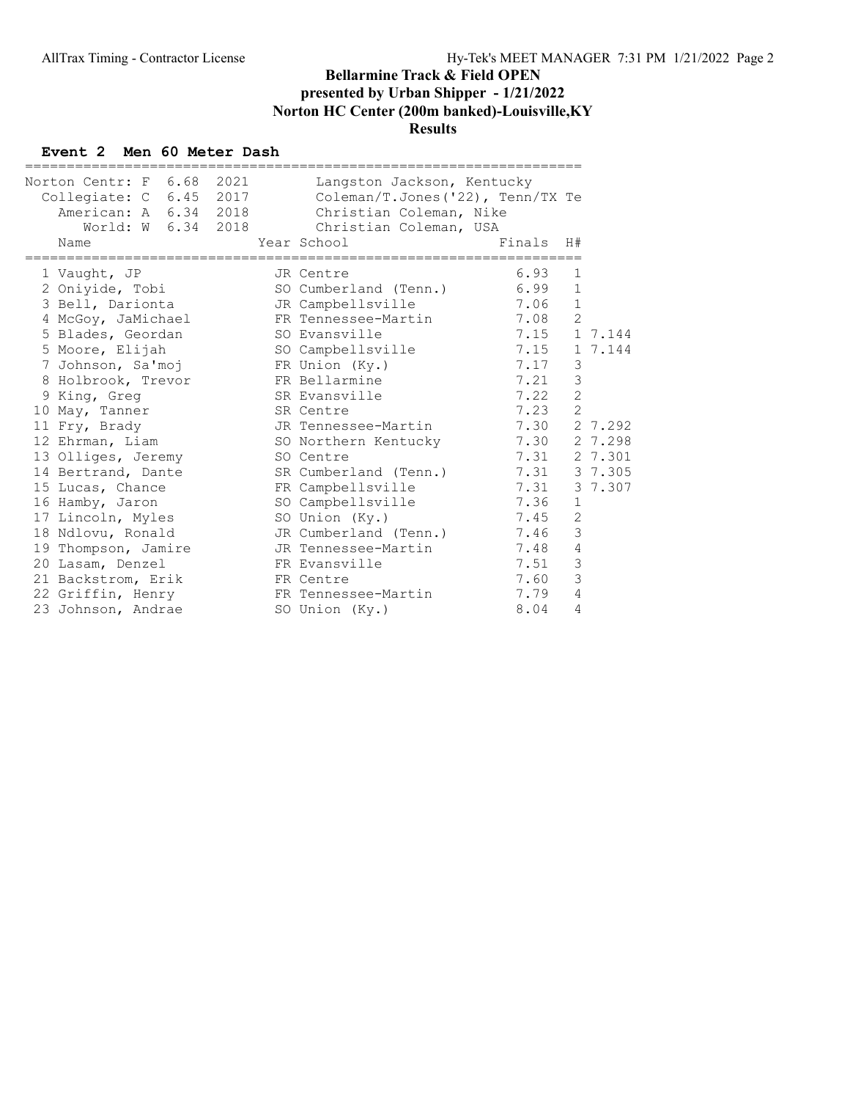#### Event 2 Men 60 Meter Dash

| Norton Centr: F 6.68 2021<br>Collegiate: C 6.45 2017<br>American: A 6.34 2018<br>World: W 6.34 2018 | Langston Jackson, Kentucky<br>Coleman/T.Jones $('22)$ , Tenn/TX Te<br>Christian Coleman, Nike<br>Christian Coleman, USA |        |                |              |
|-----------------------------------------------------------------------------------------------------|-------------------------------------------------------------------------------------------------------------------------|--------|----------------|--------------|
| Name                                                                                                | Year School                                                                                                             | Finals | H#             |              |
| 1 Vaught, JP                                                                                        | JR Centre                                                                                                               | 6.93   | $\mathbf{1}$   |              |
| 2 Oniyide, Tobi                                                                                     | SO Cumberland (Tenn.)                                                                                                   | 6.99   | $\mathbf 1$    |              |
| 3 Bell, Darionta                                                                                    | JR Campbellsville                                                                                                       | 7.06   | $\mathbf{1}$   |              |
| 4 McGoy, JaMichael                                                                                  | FR Tennessee-Martin                                                                                                     | 7.08   | $\overline{c}$ |              |
| 5 Blades, Geordan                                                                                   | SO Evansville                                                                                                           | 7.15   |                | 1 7.144      |
| 5 Moore, Elijah                                                                                     | SO Campbellsville                                                                                                       | 7.15   |                | 1 7.144      |
| 7 Johnson, Sa'moj KR Union (Ky.)                                                                    |                                                                                                                         | 7.17   | 3              |              |
| 8 Holbrook, Trevor FR Bellarmine                                                                    |                                                                                                                         | 7.21   | 3              |              |
| 9 King, Greg                                                                                        | SR Evansville                                                                                                           | 7.22   | $\overline{c}$ |              |
| 10 May, Tanner                                                                                      | SR Centre                                                                                                               | 7.23   | $\overline{c}$ |              |
| 11 Fry, Brady                                                                                       | JR Tennessee-Martin                                                                                                     | 7.30   |                | 2 7.292      |
| 12 Ehrman, Liam                                                                                     | SO Northern Kentucky                                                                                                    |        |                | 7.30 2 7.298 |
| 13 Olliges, Jeremy                                                                                  | SO Centre                                                                                                               | 7.31   |                | 2 7.301      |
| 14 Bertrand, Dante                                                                                  | SR Cumberland (Tenn.)                                                                                                   | 7.31   |                | 3 7.305      |
| 15 Lucas, Chance                                                                                    | FR Campbellsville                                                                                                       | 7.31   |                | 3 7.307      |
| 16 Hamby, Jaron                                                                                     | SO Campbellsville                                                                                                       | 7.36   | 1              |              |
| 17 Lincoln, Myles                                                                                   | SO Union (Ky.)                                                                                                          | 7.45   | 2              |              |
| 18 Ndlovu, Ronald                                                                                   | JR Cumberland (Tenn.)                                                                                                   | 7.46   | 3              |              |
| 19 Thompson, Jamire                                                                                 | JR Tennessee-Martin                                                                                                     | 7.48   | 4              |              |
| 20 Lasam, Denzel                                                                                    | FR Evansville                                                                                                           | 7.51   | $\mathcal{S}$  |              |
| 21 Backstrom, Erik                                                                                  | FR Centre                                                                                                               | 7.60   | 3              |              |
| 22 Griffin, Henry                                                                                   | FR Tennessee-Martin                                                                                                     | 7.79   | 4              |              |
| 23 Johnson, Andrae                                                                                  | SO Union (Ky.)                                                                                                          | 8.04   | 4              |              |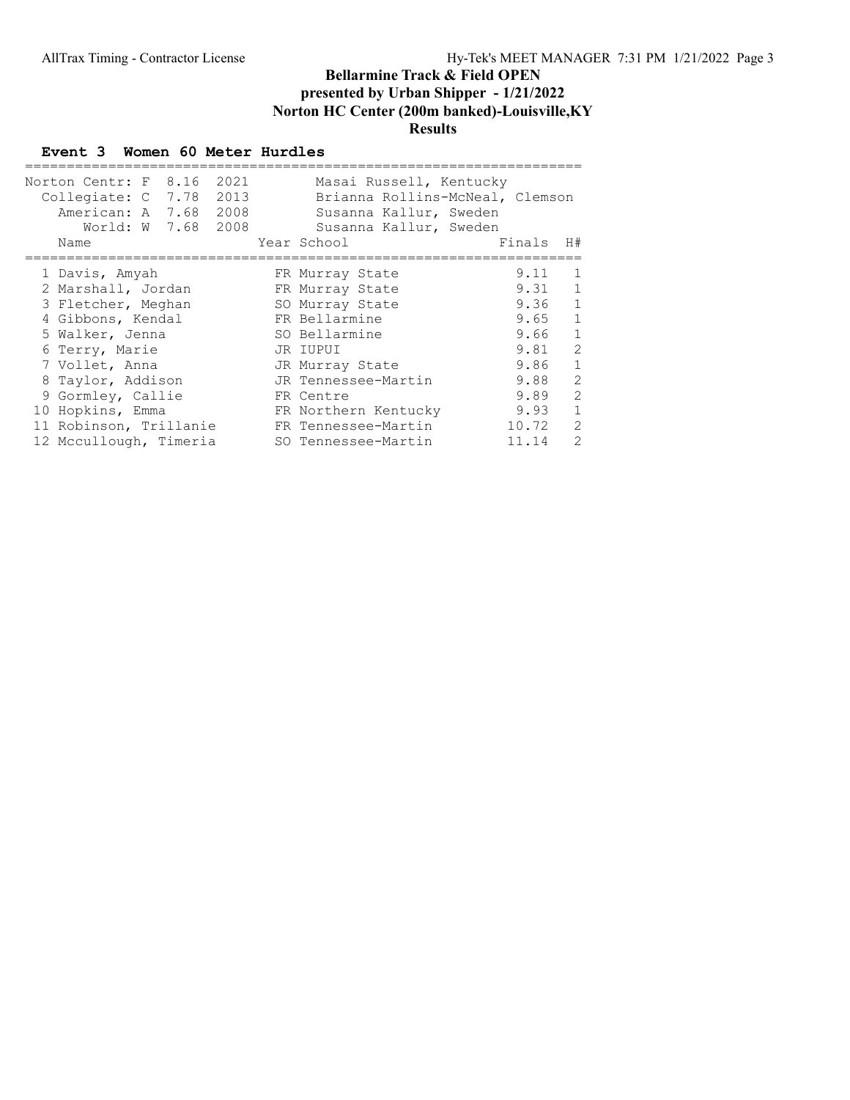## Event 3 Women 60 Meter Hurdles

| Norton Centr: F 8.16 2021<br>Collegiate: C 7.78 2013<br>American: A 7.68 2008<br>World: W 7.68 2008 |  | Masai Russell, Kentucky<br>Brianna Rollins-McNeal, Clemson<br>Susanna Kallur, Sweden<br>Susanna Kallur, Sweden |        |                |
|-----------------------------------------------------------------------------------------------------|--|----------------------------------------------------------------------------------------------------------------|--------|----------------|
| Name                                                                                                |  | Year School                                                                                                    | Finals | H#             |
|                                                                                                     |  |                                                                                                                |        |                |
| 1 Davis, Amyah                                                                                      |  | FR Murray State                                                                                                | 9.11   | 1              |
| 2 Marshall, Jordan                                                                                  |  | FR Murray State                                                                                                | 9.31   | 1              |
| 3 Fletcher, Meghan                                                                                  |  | SO Murray State                                                                                                | 9.36   | 1              |
| 4 Gibbons, Kendal                                                                                   |  | FR Bellarmine                                                                                                  | 9.65   | 1              |
| 5 Walker, Jenna                                                                                     |  | SO Bellarmine                                                                                                  | 9.66   | $\mathbf{1}$   |
| 6 Terry, Marie                                                                                      |  | JR IUPUI                                                                                                       | 9.81   | $\mathfrak{D}$ |
| 7 Vollet, Anna                                                                                      |  | JR Murray State                                                                                                | 9.86   | $\mathbf{1}$   |
| 8 Taylor, Addison                                                                                   |  | JR Tennessee-Martin                                                                                            | 9.88   | $\overline{2}$ |
| 9 Gormley, Callie                                                                                   |  | FR Centre                                                                                                      | 9.89   | $\mathcal{L}$  |
| 10 Hopkins, Emma                                                                                    |  | FR Northern Kentucky                                                                                           | 9.93   | 1              |
| 11 Robinson, Trillanie                                                                              |  | FR Tennessee-Martin                                                                                            | 10.72  | $\mathcal{L}$  |
| 12 Mccullough, Timeria                                                                              |  | SO Tennessee-Martin                                                                                            | 11.14  | $\mathcal{L}$  |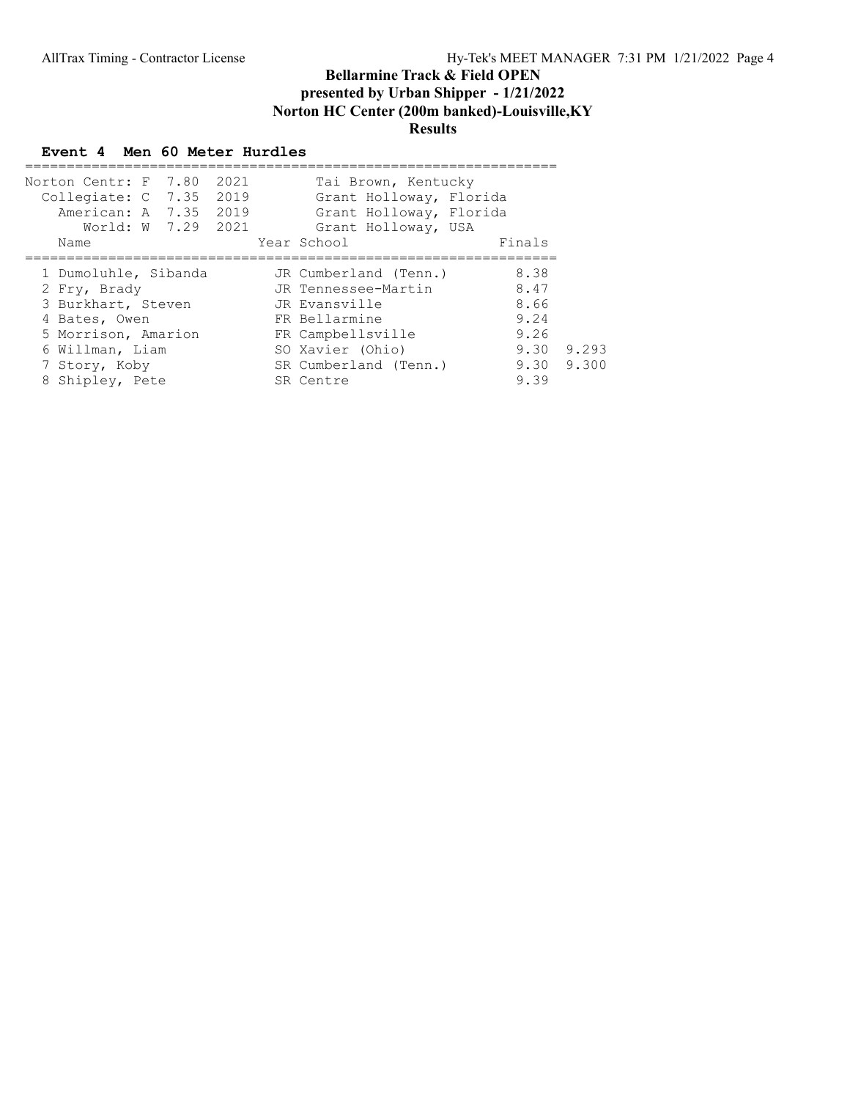## Event 4 Men 60 Meter Hurdles

| Norton Centr: F 7.80 2021<br>Collegiate: C 7.35 2019<br>American: A 7.35 2019<br>World: W 7.29 2021<br>Name | Tai Brown, Kentucky<br>Grant Holloway, Florida<br>Grant Holloway, Florida<br>Grant Holloway, USA<br>Year School | Finals        |
|-------------------------------------------------------------------------------------------------------------|-----------------------------------------------------------------------------------------------------------------|---------------|
| 1 Dumoluhle, Sibanda                                                                                        | JR Cumberland (Tenn.)                                                                                           | 8.38          |
| 2 Fry, Brady                                                                                                | JR Tennessee-Martin                                                                                             | 8.47          |
| 3 Burkhart, Steven                                                                                          | JR Evansville                                                                                                   | 8.66          |
| 4 Bates, Owen                                                                                               | FR Bellarmine                                                                                                   | 9.24          |
| 5 Morrison, Amarion                                                                                         | FR Campbellsville                                                                                               | 9.26          |
| 6 Willman, Liam                                                                                             | SO Xavier (Ohio)                                                                                                | 9.293<br>9.30 |
| 7 Story, Koby                                                                                               | SR Cumberland (Tenn.)                                                                                           | 9.30 9.300    |
| 8 Shipley, Pete                                                                                             | SR Centre                                                                                                       | 9.39          |
|                                                                                                             |                                                                                                                 |               |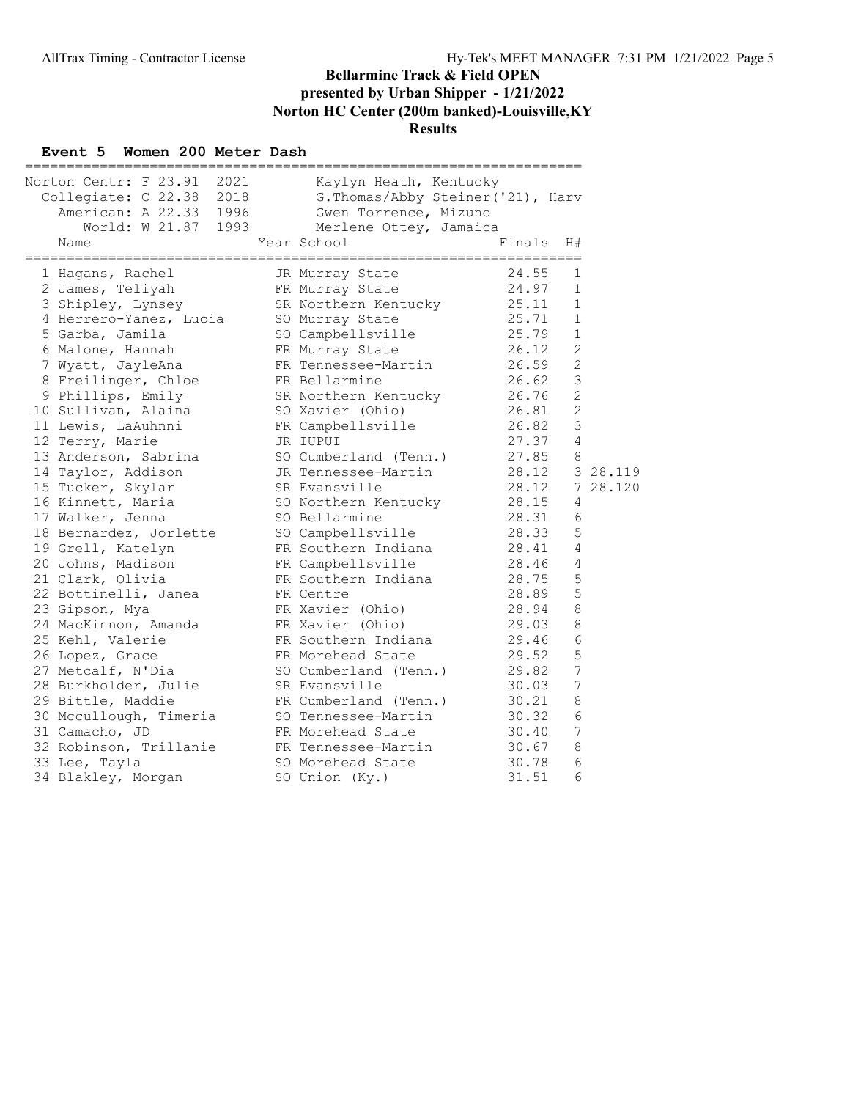#### Event 5 Women 200 Meter Dash

| =======                                                                                                         |                                                                                                                                |                    |                 |
|-----------------------------------------------------------------------------------------------------------------|--------------------------------------------------------------------------------------------------------------------------------|--------------------|-----------------|
| Norton Centr: F 23.91 2021<br>Collegiate: C 22.38 2018<br>American: A 22.33 1996<br>World: W 21.87 1993<br>Name | Kaylyn Heath, Kentucky<br>G. Thomas/Abby Steiner ('21), Harv<br>Gwen Torrence, Mizuno<br>Merlene Ottey, Jamaica<br>Year School | Finals             | H#              |
|                                                                                                                 |                                                                                                                                | ================== |                 |
| 1 Hagans, Rachel                                                                                                | JR Murray State                                                                                                                | 24.55              | 1               |
| 2 James, Teliyah                                                                                                | FR Murray State                                                                                                                | 24.97              | 1               |
| 3 Shipley, Lynsey                                                                                               | SR Northern Kentucky                                                                                                           | 25.11              | 1               |
| 4 Herrero-Yanez, Lucia                                                                                          | SO Murray State                                                                                                                | 25.71              | $\mathbf 1$     |
| 5 Garba, Jamila                                                                                                 | SO Campbellsville                                                                                                              | 25.79              | $\mathbf 1$     |
| 6 Malone, Hannah                                                                                                | FR Murray State                                                                                                                | 26.12              | $\mathbf{2}$    |
| 7 Wyatt, JayleAna                                                                                               | FR Tennessee-Martin                                                                                                            | 26.59              | $\mathbf{2}$    |
| 8 Freilinger, Chloe                                                                                             | FR Bellarmine                                                                                                                  | 26.62              | 3               |
| 9 Phillips, Emily                                                                                               | SR Northern Kentucky                                                                                                           | 26.76              | $\mathbf{2}$    |
| 10 Sullivan, Alaina                                                                                             | SO Xavier (Ohio)                                                                                                               | 26.81              | $\overline{c}$  |
| 11 Lewis, LaAuhnni                                                                                              | FR Campbellsville                                                                                                              | 26.82              | 3               |
| 12 Terry, Marie                                                                                                 | JR IUPUI                                                                                                                       | 27.37              | 4               |
| 13 Anderson, Sabrina                                                                                            | SO Cumberland (Tenn.)                                                                                                          | 27.85              | 8               |
| 14 Taylor, Addison                                                                                              | JR Tennessee-Martin                                                                                                            | 28.12              | 3 28.119        |
| 15 Tucker, Skylar                                                                                               | SR Evansville                                                                                                                  | 28.12              | 7 28.120        |
| 16 Kinnett, Maria                                                                                               | SO Northern Kentucky                                                                                                           | 28.15              | 4               |
| 17 Walker, Jenna                                                                                                | SO Bellarmine                                                                                                                  | 28.31              | 6               |
| 18 Bernardez, Jorlette                                                                                          | SO Campbellsville                                                                                                              | 28.33              | 5               |
| 19 Grell, Katelyn                                                                                               | FR Southern Indiana                                                                                                            | 28.41              | 4               |
| 20 Johns, Madison                                                                                               | FR Campbellsville                                                                                                              | 28.46              | 4               |
| 21 Clark, Olivia                                                                                                | FR Southern Indiana                                                                                                            | 28.75              | $\mathsf S$     |
| 22 Bottinelli, Janea                                                                                            | FR Centre                                                                                                                      | 28.89              | 5               |
| 23 Gipson, Mya                                                                                                  | FR Xavier (Ohio)                                                                                                               | 28.94              | 8               |
| 24 MacKinnon, Amanda                                                                                            | FR Xavier (Ohio)                                                                                                               | 29.03              | 8               |
| 25 Kehl, Valerie                                                                                                | FR Southern Indiana                                                                                                            | 29.46              | 6               |
| 26 Lopez, Grace                                                                                                 | FR Morehead State                                                                                                              | 29.52              | 5               |
| 27 Metcalf, N'Dia                                                                                               | SO Cumberland (Tenn.)                                                                                                          | 29.82              | 7               |
| 28 Burkholder, Julie                                                                                            | SR Evansville                                                                                                                  | 30.03              | $7\phantom{.0}$ |
| 29 Bittle, Maddie                                                                                               | FR Cumberland (Tenn.)                                                                                                          | 30.21              | 8               |
| 30 Mccullough, Timeria                                                                                          | SO Tennessee-Martin                                                                                                            | 30.32              | 6               |
| 31 Camacho, JD                                                                                                  | FR Morehead State                                                                                                              | 30.40              | 7               |
| 32 Robinson, Trillanie                                                                                          | FR Tennessee-Martin                                                                                                            | 30.67              | 8               |
| 33 Lee, Tayla                                                                                                   | SO Morehead State                                                                                                              | 30.78              | $\epsilon$      |
| 34 Blakley, Morgan                                                                                              | SO Union (Ky.)                                                                                                                 | 31.51              | 6               |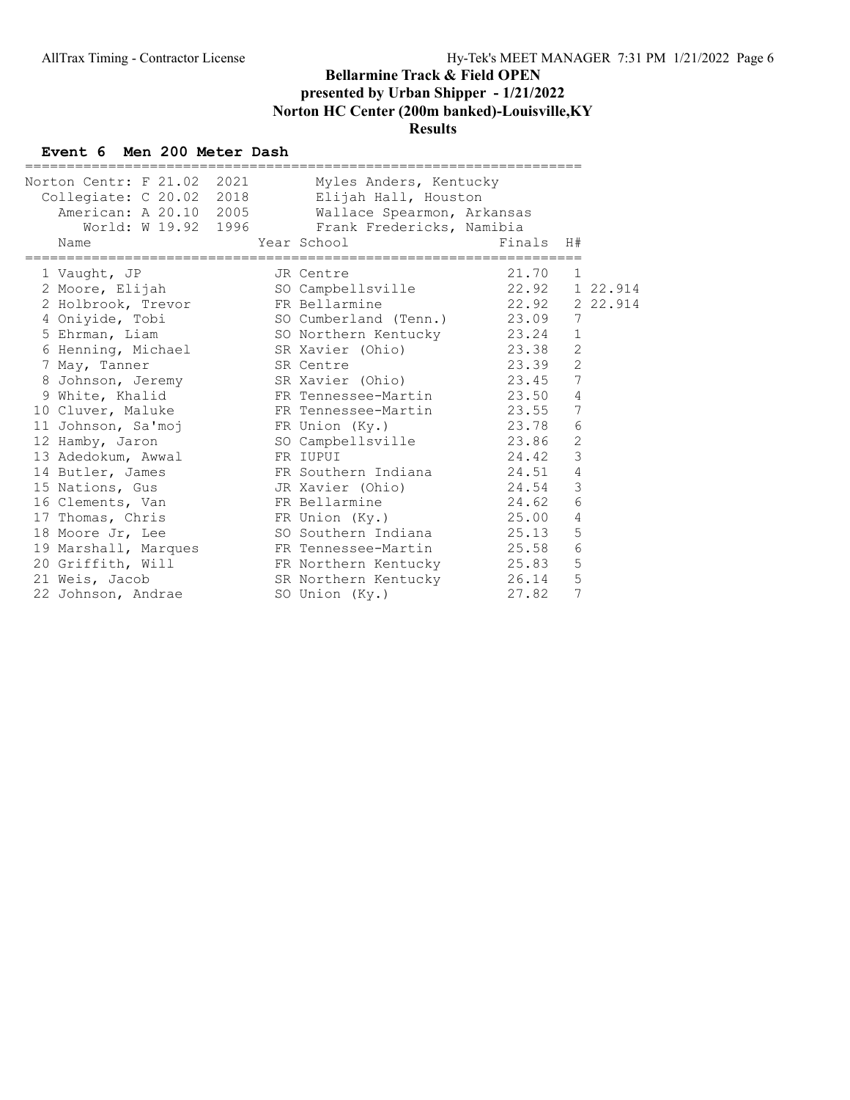#### Event 6 Men 200 Meter Dash

| Norton Centr: F 21.02 2021<br>Collegiate: C 20.02 2018<br>American: A 20.10 2005<br>World: W 19.92 1996<br>Name | Myles Anders, Kentucky<br>Elijah Hall, Houston<br>Wallace Spearmon, Arkansas<br>Frank Fredericks, Namibia<br>Year School Louis | Finals         | H#             |  |
|-----------------------------------------------------------------------------------------------------------------|--------------------------------------------------------------------------------------------------------------------------------|----------------|----------------|--|
|                                                                                                                 | =========================                                                                                                      |                |                |  |
| 1 Vaught, JP                                                                                                    | JR Centre                                                                                                                      | 21.70          | 1              |  |
| 2 Moore, Elijah                                                                                                 | SO Campbellsville                                                                                                              | 22.92 1 22.914 |                |  |
| 2 Holbrook, Trevor                                                                                              | FR Bellarmine                                                                                                                  | 22.92 2 22.914 |                |  |
|                                                                                                                 | 4 Oniyide, Tobi               SO Cumberland (Tenn.)         23.09                                                              |                | 7              |  |
| 5 Ehrman, Liam                                                                                                  | SO Northern Kentucky 23.24                                                                                                     |                | 1              |  |
|                                                                                                                 | 6 Henning, Michael SR Xavier (Ohio)                                                                                            | 23.38          | $\mathbf{2}$   |  |
| 7 May, Tanner                                                                                                   | SR Centre                                                                                                                      | 23.39          | 2              |  |
|                                                                                                                 | 8 Johnson, Jeremy SR Xavier (Ohio) 23.45                                                                                       |                | 7              |  |
| 9 White, Khalid                                                                                                 | FR Tennessee-Martin                                                                                                            | 23.50          | $\overline{4}$ |  |
| 10 Cluver, Maluke                                                                                               | FR Tennessee-Martin                                                                                                            | 23.55          | 7              |  |
| 11 Johnson, Sa'moj                                                                                              | FR Union (Ky.)                                                                                                                 | 23.78          | 6              |  |
| 12 Hamby, Jaron                                                                                                 | SO Campbellsville                                                                                                              | 23.86          | 2              |  |
| 13 Adedokum, Awwal                                                                                              | FR IUPUI                                                                                                                       | 24.42          | 3              |  |
| 14 Butler, James                                                                                                | FR Southern Indiana                                                                                                            | 24.51          | 4              |  |
|                                                                                                                 |                                                                                                                                | 24.54          | 3              |  |
| 16 Clements, Van                                                                                                | FR Bellarmine                                                                                                                  | 24.62          | 6              |  |
| 17 Thomas, Chris                                                                                                | FR Union (Ky.)                                                                                                                 | 25.00          | 4              |  |
| 18 Moore Jr, Lee                                                                                                | SO Southern Indiana 25.13                                                                                                      |                | 5              |  |
| 19 Marshall, Marques                                                                                            | FR Tennessee-Martin                                                                                                            | 25.58          | 6              |  |
| 20 Griffith, Will                                                                                               | FR Northern Kentucky 25.83                                                                                                     |                | 5              |  |
| 21 Weis, Jacob                                                                                                  | SR Northern Kentucky 26.14                                                                                                     |                | 5              |  |
| 22 Johnson, Andrae                                                                                              | SO Union (Ky.)                                                                                                                 | 27.82          | 7              |  |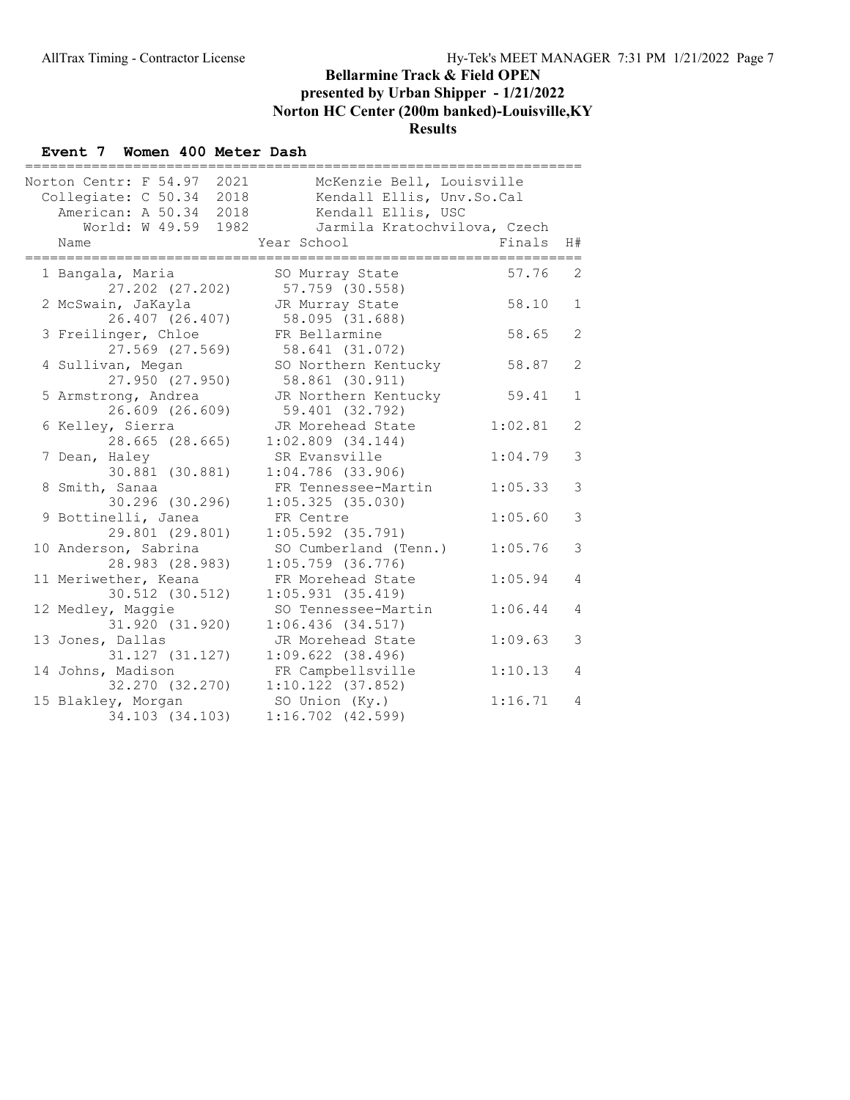#### Event 7 Women 400 Meter Dash

| Norton Centr: F 54.97 2021<br>Collegiate: C 50.34 2018<br>American: A 50.34 2018 | McKenzie Bell, Louisville<br>Kendall Ellis, Unv.So.Cal<br>Kendall Ellis, USC |         |                |
|----------------------------------------------------------------------------------|------------------------------------------------------------------------------|---------|----------------|
| World: W 49.59 1982<br>Name                                                      | Jarmila Kratochvilova, Czech<br>Year School                                  | Finals  | H#             |
| =================                                                                |                                                                              |         |                |
| 1 Bangala, Maria                                                                 | SO Murray State                                                              | 57.76   | 2              |
| 27.202 (27.202)                                                                  | 57.759 (30.558)                                                              |         |                |
| 2 McSwain, JaKayla                                                               | JR Murray State                                                              | 58.10   | $\mathbf{1}$   |
| 26.407 (26.407)                                                                  | 58.095 (31.688)                                                              |         |                |
| 3 Freilinger, Chloe                                                              | FR Bellarmine                                                                | 58.65   | 2              |
| 27.569 (27.569)                                                                  | 58.641 (31.072)                                                              |         |                |
| 4 Sullivan, Megan                                                                | SO Northern Kentucky                                                         | 58.87   | 2              |
| 27.950 (27.950)                                                                  | 58.861 (30.911)                                                              |         |                |
| 5 Armstrong, Andrea                                                              | JR Northern Kentucky                                                         | 59.41   | $\mathbf{1}$   |
| 26.609 (26.609)                                                                  | 59.401 (32.792)                                                              |         |                |
| 6 Kelley, Sierra                                                                 | JR Morehead State                                                            | 1:02.81 | 2              |
| 28.665 (28.665)                                                                  | $1:02.809$ $(34.144)$                                                        |         |                |
| 7 Dean, Haley                                                                    | SR Evansville                                                                | 1:04.79 | $\mathcal{S}$  |
| 30.881 (30.881)                                                                  | $1:04.786$ (33.906)                                                          |         |                |
| 8 Smith, Sanaa                                                                   | FR Tennessee-Martin                                                          | 1:05.33 | 3              |
| 30.296 (30.296)                                                                  | 1:05.325(35.030)                                                             |         |                |
| 9 Bottinelli, Janea                                                              | FR Centre                                                                    | 1:05.60 | 3              |
| 29.801 (29.801)                                                                  | $1:05.592$ $(35.791)$                                                        |         | 3              |
| 10 Anderson, Sabrina                                                             | SO Cumberland (Tenn.)                                                        | 1:05.76 |                |
| 28.983 (28.983)                                                                  | $1:05.759$ (36.776)                                                          |         | $\overline{4}$ |
| 11 Meriwether, Keana<br>30.512 (30.512)                                          | FR Morehead State                                                            | 1:05.94 |                |
|                                                                                  | 1:05.931(35.419)<br>SO Tennessee-Martin                                      | 1:06.44 | 4              |
| 12 Medley, Maggie<br>31.920 (31.920)                                             | 1:06.436(34.517)                                                             |         |                |
| 13 Jones, Dallas                                                                 | JR Morehead State                                                            | 1:09.63 | 3              |
| 31.127 (31.127)                                                                  | $1:09.622$ (38.496)                                                          |         |                |
| 14 Johns, Madison                                                                | FR Campbellsville                                                            | 1:10.13 | $\overline{4}$ |
| 32.270 (32.270)                                                                  | $1:10.122$ (37.852)                                                          |         |                |
| 15 Blakley, Morgan                                                               | SO Union (Ky.)                                                               | 1:16.71 | $\overline{4}$ |
| 34.103 (34.103)                                                                  | $1:16.702$ $(42.599)$                                                        |         |                |
|                                                                                  |                                                                              |         |                |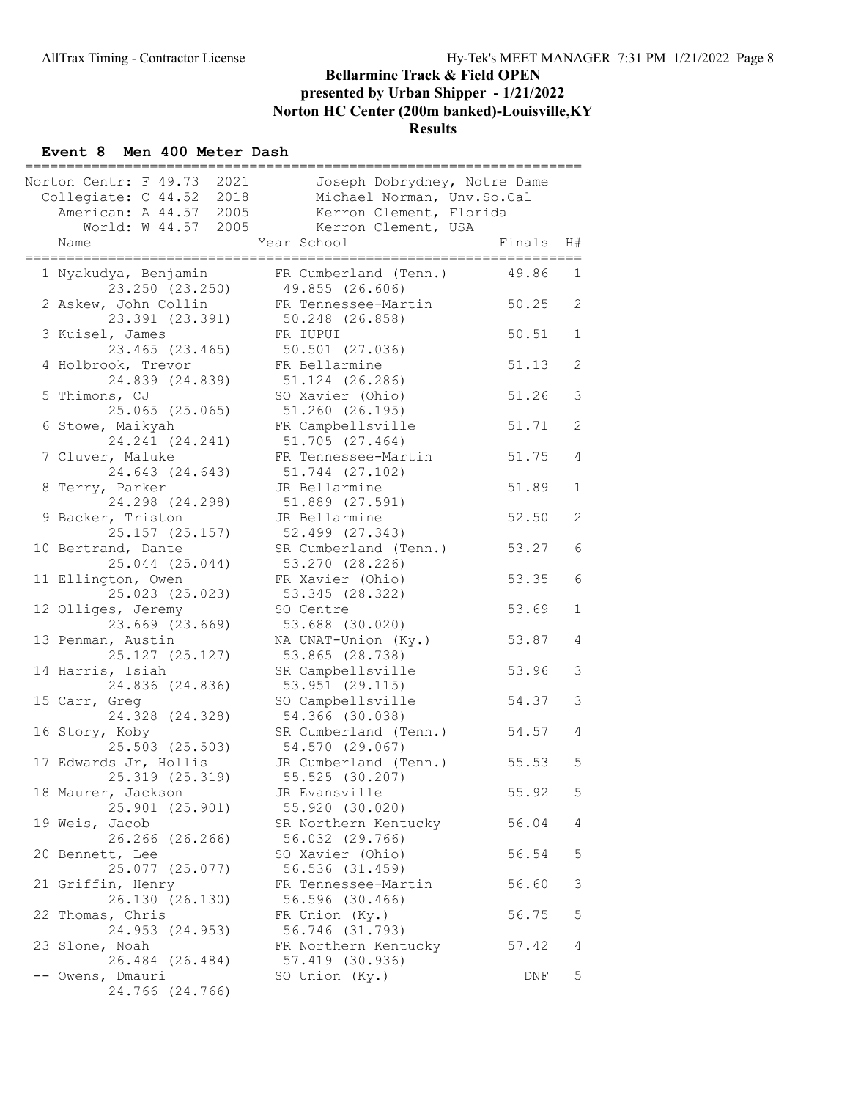#### Event 8 Men 400 Meter Dash

| 2021<br>Norton Centr: F 49.73<br>Collegiate: C 44.52 2018<br>American: A 44.57 2005<br>World: W 44.57<br>2005 | Joseph Dobrydney, Notre Dame<br>Michael Norman, Unv.So.Cal<br>Kerron Clement, Florida<br>Kerron Clement, USA |        |                |
|---------------------------------------------------------------------------------------------------------------|--------------------------------------------------------------------------------------------------------------|--------|----------------|
| Name                                                                                                          | Year School                                                                                                  | Finals | H#             |
| 1 Nyakudya, Benjamin<br>23.250 (23.250)                                                                       | FR Cumberland (Tenn.)<br>49.855 (26.606)                                                                     | 49.86  | 1              |
| 2 Askew, John Collin<br>23.391 (23.391)                                                                       | FR Tennessee-Martin<br>50.248 (26.858)                                                                       | 50.25  | $\overline{2}$ |
| 3 Kuisel, James                                                                                               | FR IUPUI                                                                                                     | 50.51  | $\mathbf 1$    |
| 23.465 (23.465)<br>4 Holbrook, Trevor                                                                         | 50.501 (27.036)<br>FR Bellarmine                                                                             | 51.13  | $\mathbf{2}$   |
| 24.839 (24.839)<br>5 Thimons, CJ                                                                              | 51.124 (26.286)<br>SO Xavier (Ohio)                                                                          | 51.26  | 3              |
| 25.065 (25.065)<br>6 Stowe, Maikyah                                                                           | 51.260 (26.195)<br>FR Campbellsville                                                                         | 51.71  | 2              |
| 24.241 (24.241)<br>7 Cluver, Maluke                                                                           | 51.705 (27.464)<br>FR Tennessee-Martin                                                                       | 51.75  | 4              |
| 24.643 (24.643)<br>8 Terry, Parker                                                                            | 51.744 (27.102)<br>JR Bellarmine                                                                             | 51.89  | $\mathbf 1$    |
| 24.298 (24.298)                                                                                               | 51.889 (27.591)                                                                                              |        |                |
| 9 Backer, Triston<br>25.157 (25.157)                                                                          | JR Bellarmine<br>52.499 (27.343)                                                                             | 52.50  | 2              |
| 10 Bertrand, Dante<br>25.044 (25.044)                                                                         | SR Cumberland (Tenn.)<br>53.270 (28.226)                                                                     | 53.27  | 6              |
| 11 Ellington, Owen<br>25.023 (25.023)                                                                         | FR Xavier (Ohio)<br>53.345 (28.322)                                                                          | 53.35  | 6              |
| 12 Olliges, Jeremy<br>23.669 (23.669)                                                                         | SO Centre<br>53.688 (30.020)                                                                                 | 53.69  | 1              |
| 13 Penman, Austin<br>25.127 (25.127)                                                                          | NA UNAT-Union (Ky.)<br>53.865 (28.738)                                                                       | 53.87  | 4              |
| 14 Harris, Isiah                                                                                              | SR Campbellsville                                                                                            | 53.96  | 3              |
| 24.836 (24.836)<br>15 Carr, Greg                                                                              | 53.951 (29.115)<br>SO Campbellsville                                                                         | 54.37  | 3              |
| 24.328 (24.328)<br>16 Story, Koby                                                                             | 54.366 (30.038)<br>SR Cumberland (Tenn.)                                                                     | 54.57  | 4              |
| 25.503 (25.503)<br>17 Edwards Jr, Hollis                                                                      | 54.570 (29.067)<br>JR Cumberland (Tenn.)                                                                     | 55.53  | 5              |
| 25.319 (25.319)<br>18 Maurer, Jackson                                                                         | 55.525 (30.207)<br>JR Evansville                                                                             | 55.92  | 5              |
| 25.901 (25.901)<br>19 Weis, Jacob                                                                             | 55.920 (30.020)<br>SR Northern Kentucky                                                                      | 56.04  | 4              |
| 26.266 (26.266)<br>20 Bennett, Lee                                                                            | 56.032 (29.766)<br>SO Xavier (Ohio)                                                                          | 56.54  | 5              |
| 25.077 (25.077)<br>21 Griffin, Henry                                                                          | 56.536 (31.459)<br>FR Tennessee-Martin                                                                       | 56.60  | 3              |
| 26.130 (26.130)                                                                                               | 56.596 (30.466)                                                                                              |        |                |
| 22 Thomas, Chris<br>24.953 (24.953)                                                                           | FR Union (Ky.)<br>56.746 (31.793)                                                                            | 56.75  | 5              |
| 23 Slone, Noah<br>26.484 (26.484)                                                                             | FR Northern Kentucky<br>57.419 (30.936)                                                                      | 57.42  | 4              |
| -- Owens, Dmauri<br>24.766 (24.766)                                                                           | SO Union (Ky.)                                                                                               | DNF    | 5              |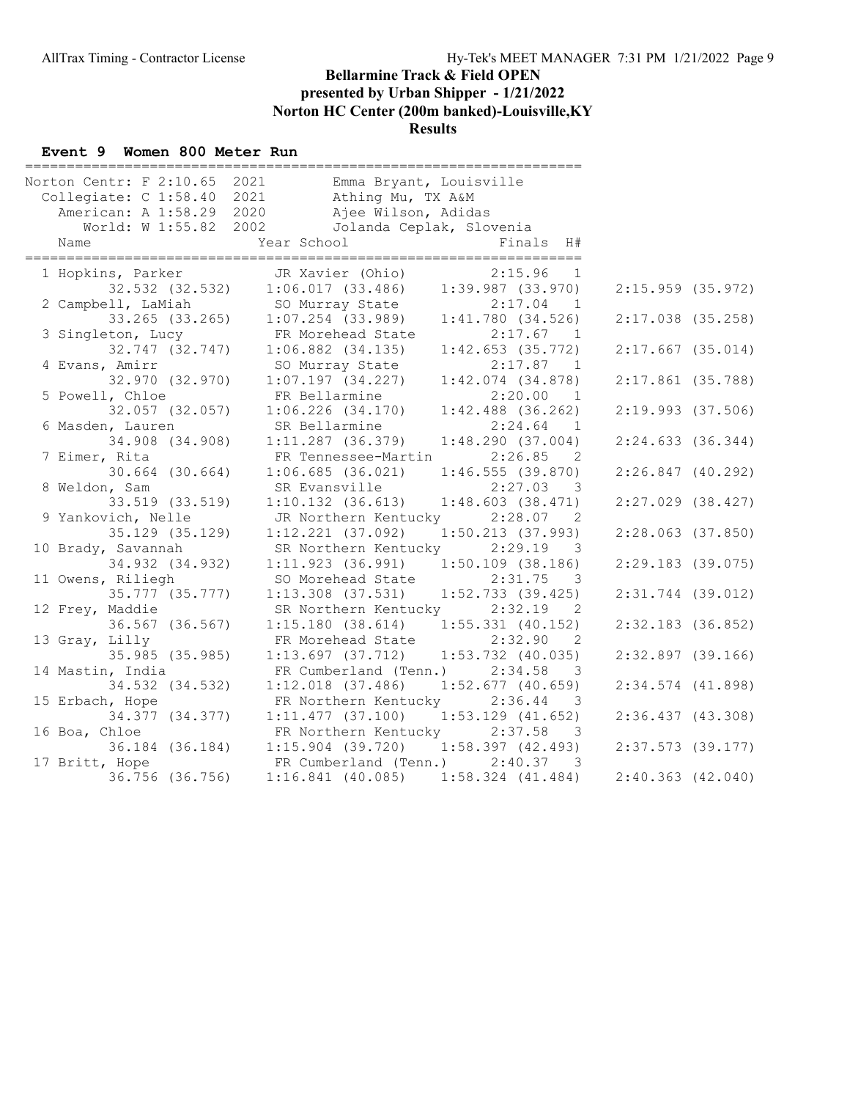#### Event 9 Women 800 Meter Run

| Norton Centr: F 2:10.65 2021 | Emma Bryant, Louisville                 |                                       |
|------------------------------|-----------------------------------------|---------------------------------------|
| Collegiate: C 1:58.40 2021   | Athing Mu, TX A&M                       |                                       |
| American: A 1:58.29 2020     | Ajee Wilson, Adidas                     |                                       |
| World: W 1:55.82 2002        | Jolanda Ceplak, Slovenia                |                                       |
| Name                         | Year School                             | Finals H#                             |
| 1 Hopkins, Parker            | JR Xavier (Ohio)                        | 2:15.96<br>1                          |
| 32.532 (32.532)              | $1:06.017$ (33.486) $1:39.987$ (33.970) |                                       |
| 2 Campbell, LaMiah           | SO Murray State                         | $2:17.04$ 1                           |
| 33.265 (33.265)              | $1:07.254$ (33.989)                     | 1:41.780(34.526)                      |
| 3 Singleton, Lucy            | FR Morehead State                       | 2:17.67 1                             |
| 32.747 (32.747)              | $1:06.882$ $(34.135)$                   | 1:42.653(35.772)                      |
| 4 Evans, Amirr               | SO Murray State                         | 2:17.87<br>$\overline{1}$             |
| 32.970 (32.970)              | 1:07.197(34.227)                        | $1:42.074$ $(34.878)$                 |
| 5 Powell, Chloe              | FR Bellarmine                           | 2:20.00<br>$\overline{1}$             |
| 32.057 (32.057)              | $1:06.226$ $(34.170)$                   | $1:42.488$ (36.262)                   |
| 6 Masden, Lauren             | SR Bellarmine                           | $2:24.64$ 1                           |
| 34.908 (34.908)              | $1:11.287$ (36.379)                     | 1:48.290(37.004)                      |
| 7 Eimer, Rita                | FR Tennessee-Martin                     | 2:26.85<br>$\overline{2}$             |
| 30.664 (30.664)              | $1:06.685$ (36.021)                     | $1:46.555$ (39.870)                   |
| 8 Weldon, Sam                | SR Evansville                           | 2:27.03 3                             |
| 33.519 (33.519)              | $1:10.132$ $(36.613)$                   | 1:48.603(38.471)                      |
| 9 Yankovich, Nelle           | JR Northern Kentucky                    | $2:28.07$ 2                           |
| 35.129 (35.129)              | $1:12.221$ (37.092)                     | $1:50.213$ (37.993)                   |
| 10 Brady, Savannah           | SR Northern Kentucky                    | 2:29.19<br>3                          |
| 34.932 (34.932)              | 1:11.923(36.991)                        | $1:50.109$ (38.186)                   |
| 11 Owens, Riliegh            | SO Morehead State                       | 2:31.75<br>- 3                        |
| 35.777 (35.777)              | $1:13.308$ (37.531)                     | $1:52.733$ (39.425)                   |
| 12 Frey, Maddie              | SR Northern Kentucky                    | $2:32.19$ 2                           |
| 36.567 (36.567)              | $1:15.180$ (38.614) $1:55.331$ (40.152) |                                       |
| 13 Gray, Lilly               |                                         | 2:32.90<br>$\overline{\phantom{0}}^2$ |
| 35.985 (35.985)              | FR Morehead State                       | $1:53.732$ $(40.035)$                 |
|                              | 1:13.697(37.712)                        |                                       |
| 14 Mastin, India             | FR Cumberland (Tenn.)                   | 2:34.58<br>- 3                        |
| 34.532 (34.532)              | $1:12.018$ (37.486)                     | $1:52.677$ (40.659)                   |
| 15 Erbach, Hope              | FR Northern Kentucky                    | 2:36.44<br>$\overline{\phantom{a}}$   |
| 34.377 (34.377)              | 1:11.477(37.100)                        | $1:53.129$ $(41.652)$                 |
| 16 Boa, Chloe                | FR Northern Kentucky                    | 2:37.58<br>3                          |
| 36.184 (36.184)              | $1:15.904$ (39.720) $1:58.397$ (42.493) |                                       |
| 17 Britt, Hope               | FR Cumberland (Tenn.)                   | 2:40.37<br>$\overline{\phantom{a}}$ 3 |
| 36.756 (36.756)              | $1:16.841$ (40.085)                     | $1:58.324$ $(41.484)$                 |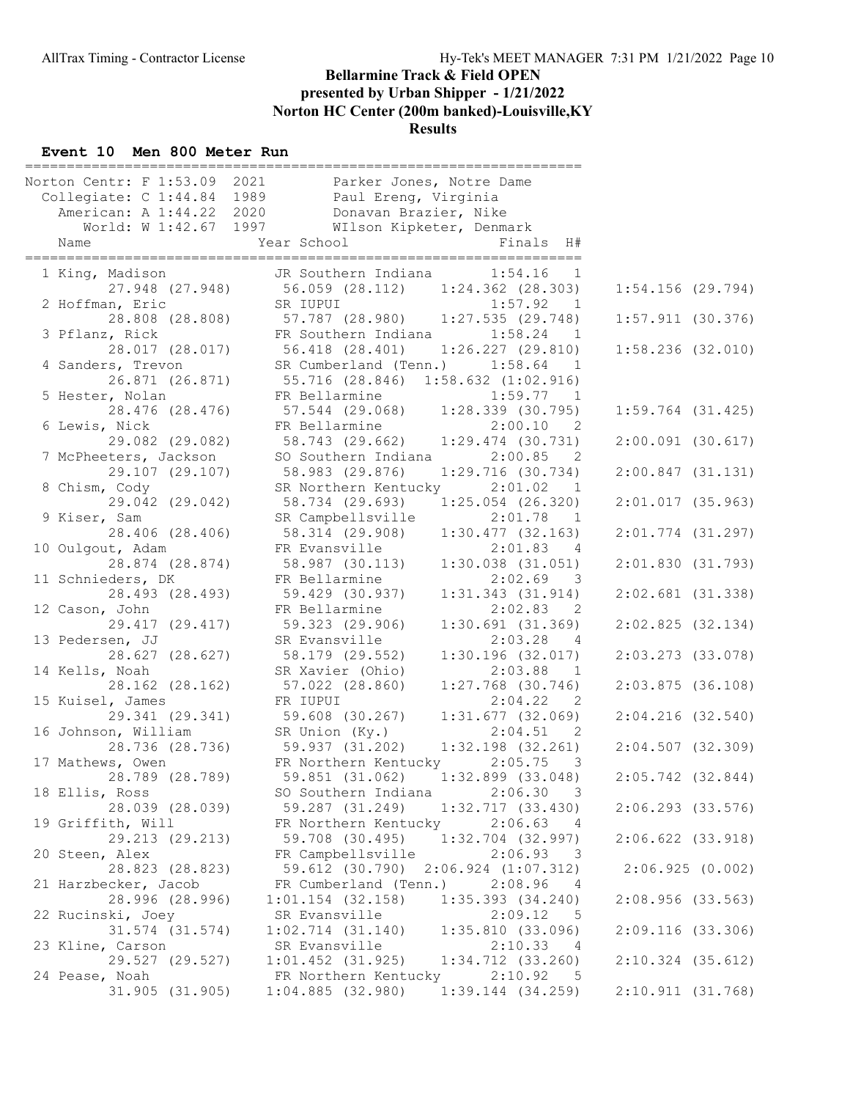## Event 10 Men 800 Meter Run

| Collegiate: C 1:44.84 1989 Paul Ereng, Virginia<br>American: A 1:44.22 2020 Donavan Brazier, Nike<br>World: W 1:42.67 1997 WIlson Kipketer, Denmark<br>JR Southern Indiana 1:54.16 1<br>1 King, Madison<br>27.948 (27.948) 56.059 (28.112) 1:24.362 (28.303)<br>SR IUPUI<br>1:57.92 1<br>2 Hoffman, Eric<br>28.808 (28.808) 57.787 (28.980) 1:27.535 (29.748)<br>FR Southern Indiana 1:58.24 1<br>3 Pflanz, Rick<br>56.418 (28.401) 1:26.227 (29.810)<br>SR Cumberland (Tenn.) 1:58.64 1<br>28.017 (28.017)<br>4 Sanders, Trevon<br>55.716 (28.846) 1:58.632 (1:02.916)<br>26.871 (26.871)<br>FR Bellarmine 1:59.77 1<br>57.544 (29.068) 1:28.339 (30.795)<br>5 Hester, Nolan<br>28.476 (28.476)<br>6 Lewis, Nick<br>FR Bellarmine 2:00.10 2<br>58.743 (29.662) 1:29.474 (30.731)<br>29.082 (29.082)<br>7 McPheeters, Jackson<br>SO Southern Indiana 2:00.85 2<br>29.107 (29.107)<br>58.983 (29.876)<br>1:29.716(30.734)<br>8 Chism, Cody<br>SR Northern Kentucky<br>$2:01.02$ 1<br>29.042 (29.042)<br>58.734 (29.693) 1:25.054 (26.320)<br>SR Campbellsville<br>$2:01.78$ 1<br>9 Kiser, Sam<br>1:30.477(32.163)<br>28.406 (28.406)<br>58.314 (29.908)<br>FR Evansville<br>10 Oulgout, Adam<br>28.874 (28.874)<br>58.987 (30.113)<br>11 Schnieders, DK<br>FR Bellarmine<br>2:02.69<br>28.493 (28.493)<br>59.429 (30.937)<br>12 Cason, John<br>FR Bellarmine<br>29.417 (29.417)<br>1:30.691(31.369)<br>59.323 (29.906)<br>13 Pedersen, JJ<br>2:03.28 4<br>SR Evansville<br>28.627 (28.627)<br>58.179 (29.552)<br>1:30.196(32.017)<br>14 Kells, Noah<br>SR Xavier (Ohio)<br>2:03.88 1<br>28.162 (28.162)<br>57.022 (28.860)<br>$1:27.768$ (30.746)<br>FR IUPUI<br>2:04.22 2<br>15 Kuisel, James<br>$1:31.677$ (32.069)<br>29.341 (29.341)<br>59.608 (30.267)<br>16 Johnson, William<br>SR Union (Ky.)<br>2:04.51 2<br>28.736 (28.736) 59.937 (31.202)<br>$1:32.198$ $(32.261)$<br>17 Mathews, Owen<br>FR Northern Kentucky 2:05.75<br>28.789 (28.789)<br>59.851 (31.062)<br>1:32.899 (33.048)<br>18 Ellis, Ross<br>SO Southern Indiana<br>2:06.30<br>59.287 (31.249)<br>28.039 (28.039)<br>19 Griffith, Will<br>FR Northern Kentucky<br>2:06.63<br>29.213 (29.213)<br>59.708 (30.495)<br>20 Steen, Alex<br>FR Campbellsville<br>2:06.93<br>28.823 (28.823)<br>59.612 (30.790)<br>$2:06.924$ $(1:07.312)$<br>21 Harzbecker, Jacob<br>FR Cumberland (Tenn.)<br>2:08.96<br>28.996 (28.996)<br>$1:01.154$ (32.158)<br>$1:35.393$ $(34.240)$<br>2:09.12<br>22 Rucinski, Joey<br>SR Evansville<br>31.574 (31.574)<br>1:02.714(31.140)<br>1:35.810(33.096)<br>SR Evansville<br>2:10.33<br>23 Kline, Carson<br>4<br>29.527 (29.527)<br>$1:01.452$ (31.925)<br>$1:34.712$ $(33.260)$<br>FR Northern Kentucky<br>2:10.92<br>24 Pease, Noah<br>31.905 (31.905)<br>$1:04.885$ (32.980)<br>$1:39.144$ $(34.259)$ |  | Norton Centr: F 1:53.09 2021 Parker Jones, Notre Dame |
|---------------------------------------------------------------------------------------------------------------------------------------------------------------------------------------------------------------------------------------------------------------------------------------------------------------------------------------------------------------------------------------------------------------------------------------------------------------------------------------------------------------------------------------------------------------------------------------------------------------------------------------------------------------------------------------------------------------------------------------------------------------------------------------------------------------------------------------------------------------------------------------------------------------------------------------------------------------------------------------------------------------------------------------------------------------------------------------------------------------------------------------------------------------------------------------------------------------------------------------------------------------------------------------------------------------------------------------------------------------------------------------------------------------------------------------------------------------------------------------------------------------------------------------------------------------------------------------------------------------------------------------------------------------------------------------------------------------------------------------------------------------------------------------------------------------------------------------------------------------------------------------------------------------------------------------------------------------------------------------------------------------------------------------------------------------------------------------------------------------------------------------------------------------------------------------------------------------------------------------------------------------------------------------------------------------------------------------------------------------------------------------------------------------------------------------------------------------------------------------------------------------------------------------------------------------------------------------------------------------------------------------------------------------------------------------------------------------------------------------------------------------------------------------------------|--|-------------------------------------------------------|
|                                                                                                                                                                                                                                                                                                                                                                                                                                                                                                                                                                                                                                                                                                                                                                                                                                                                                                                                                                                                                                                                                                                                                                                                                                                                                                                                                                                                                                                                                                                                                                                                                                                                                                                                                                                                                                                                                                                                                                                                                                                                                                                                                                                                                                                                                                                                                                                                                                                                                                                                                                                                                                                                                                                                                                                                   |  |                                                       |
|                                                                                                                                                                                                                                                                                                                                                                                                                                                                                                                                                                                                                                                                                                                                                                                                                                                                                                                                                                                                                                                                                                                                                                                                                                                                                                                                                                                                                                                                                                                                                                                                                                                                                                                                                                                                                                                                                                                                                                                                                                                                                                                                                                                                                                                                                                                                                                                                                                                                                                                                                                                                                                                                                                                                                                                                   |  |                                                       |
|                                                                                                                                                                                                                                                                                                                                                                                                                                                                                                                                                                                                                                                                                                                                                                                                                                                                                                                                                                                                                                                                                                                                                                                                                                                                                                                                                                                                                                                                                                                                                                                                                                                                                                                                                                                                                                                                                                                                                                                                                                                                                                                                                                                                                                                                                                                                                                                                                                                                                                                                                                                                                                                                                                                                                                                                   |  |                                                       |
|                                                                                                                                                                                                                                                                                                                                                                                                                                                                                                                                                                                                                                                                                                                                                                                                                                                                                                                                                                                                                                                                                                                                                                                                                                                                                                                                                                                                                                                                                                                                                                                                                                                                                                                                                                                                                                                                                                                                                                                                                                                                                                                                                                                                                                                                                                                                                                                                                                                                                                                                                                                                                                                                                                                                                                                                   |  |                                                       |
|                                                                                                                                                                                                                                                                                                                                                                                                                                                                                                                                                                                                                                                                                                                                                                                                                                                                                                                                                                                                                                                                                                                                                                                                                                                                                                                                                                                                                                                                                                                                                                                                                                                                                                                                                                                                                                                                                                                                                                                                                                                                                                                                                                                                                                                                                                                                                                                                                                                                                                                                                                                                                                                                                                                                                                                                   |  |                                                       |
|                                                                                                                                                                                                                                                                                                                                                                                                                                                                                                                                                                                                                                                                                                                                                                                                                                                                                                                                                                                                                                                                                                                                                                                                                                                                                                                                                                                                                                                                                                                                                                                                                                                                                                                                                                                                                                                                                                                                                                                                                                                                                                                                                                                                                                                                                                                                                                                                                                                                                                                                                                                                                                                                                                                                                                                                   |  |                                                       |
|                                                                                                                                                                                                                                                                                                                                                                                                                                                                                                                                                                                                                                                                                                                                                                                                                                                                                                                                                                                                                                                                                                                                                                                                                                                                                                                                                                                                                                                                                                                                                                                                                                                                                                                                                                                                                                                                                                                                                                                                                                                                                                                                                                                                                                                                                                                                                                                                                                                                                                                                                                                                                                                                                                                                                                                                   |  |                                                       |
|                                                                                                                                                                                                                                                                                                                                                                                                                                                                                                                                                                                                                                                                                                                                                                                                                                                                                                                                                                                                                                                                                                                                                                                                                                                                                                                                                                                                                                                                                                                                                                                                                                                                                                                                                                                                                                                                                                                                                                                                                                                                                                                                                                                                                                                                                                                                                                                                                                                                                                                                                                                                                                                                                                                                                                                                   |  |                                                       |
|                                                                                                                                                                                                                                                                                                                                                                                                                                                                                                                                                                                                                                                                                                                                                                                                                                                                                                                                                                                                                                                                                                                                                                                                                                                                                                                                                                                                                                                                                                                                                                                                                                                                                                                                                                                                                                                                                                                                                                                                                                                                                                                                                                                                                                                                                                                                                                                                                                                                                                                                                                                                                                                                                                                                                                                                   |  |                                                       |
|                                                                                                                                                                                                                                                                                                                                                                                                                                                                                                                                                                                                                                                                                                                                                                                                                                                                                                                                                                                                                                                                                                                                                                                                                                                                                                                                                                                                                                                                                                                                                                                                                                                                                                                                                                                                                                                                                                                                                                                                                                                                                                                                                                                                                                                                                                                                                                                                                                                                                                                                                                                                                                                                                                                                                                                                   |  |                                                       |
|                                                                                                                                                                                                                                                                                                                                                                                                                                                                                                                                                                                                                                                                                                                                                                                                                                                                                                                                                                                                                                                                                                                                                                                                                                                                                                                                                                                                                                                                                                                                                                                                                                                                                                                                                                                                                                                                                                                                                                                                                                                                                                                                                                                                                                                                                                                                                                                                                                                                                                                                                                                                                                                                                                                                                                                                   |  |                                                       |
|                                                                                                                                                                                                                                                                                                                                                                                                                                                                                                                                                                                                                                                                                                                                                                                                                                                                                                                                                                                                                                                                                                                                                                                                                                                                                                                                                                                                                                                                                                                                                                                                                                                                                                                                                                                                                                                                                                                                                                                                                                                                                                                                                                                                                                                                                                                                                                                                                                                                                                                                                                                                                                                                                                                                                                                                   |  |                                                       |
|                                                                                                                                                                                                                                                                                                                                                                                                                                                                                                                                                                                                                                                                                                                                                                                                                                                                                                                                                                                                                                                                                                                                                                                                                                                                                                                                                                                                                                                                                                                                                                                                                                                                                                                                                                                                                                                                                                                                                                                                                                                                                                                                                                                                                                                                                                                                                                                                                                                                                                                                                                                                                                                                                                                                                                                                   |  |                                                       |
|                                                                                                                                                                                                                                                                                                                                                                                                                                                                                                                                                                                                                                                                                                                                                                                                                                                                                                                                                                                                                                                                                                                                                                                                                                                                                                                                                                                                                                                                                                                                                                                                                                                                                                                                                                                                                                                                                                                                                                                                                                                                                                                                                                                                                                                                                                                                                                                                                                                                                                                                                                                                                                                                                                                                                                                                   |  |                                                       |
|                                                                                                                                                                                                                                                                                                                                                                                                                                                                                                                                                                                                                                                                                                                                                                                                                                                                                                                                                                                                                                                                                                                                                                                                                                                                                                                                                                                                                                                                                                                                                                                                                                                                                                                                                                                                                                                                                                                                                                                                                                                                                                                                                                                                                                                                                                                                                                                                                                                                                                                                                                                                                                                                                                                                                                                                   |  |                                                       |
|                                                                                                                                                                                                                                                                                                                                                                                                                                                                                                                                                                                                                                                                                                                                                                                                                                                                                                                                                                                                                                                                                                                                                                                                                                                                                                                                                                                                                                                                                                                                                                                                                                                                                                                                                                                                                                                                                                                                                                                                                                                                                                                                                                                                                                                                                                                                                                                                                                                                                                                                                                                                                                                                                                                                                                                                   |  |                                                       |
|                                                                                                                                                                                                                                                                                                                                                                                                                                                                                                                                                                                                                                                                                                                                                                                                                                                                                                                                                                                                                                                                                                                                                                                                                                                                                                                                                                                                                                                                                                                                                                                                                                                                                                                                                                                                                                                                                                                                                                                                                                                                                                                                                                                                                                                                                                                                                                                                                                                                                                                                                                                                                                                                                                                                                                                                   |  |                                                       |
|                                                                                                                                                                                                                                                                                                                                                                                                                                                                                                                                                                                                                                                                                                                                                                                                                                                                                                                                                                                                                                                                                                                                                                                                                                                                                                                                                                                                                                                                                                                                                                                                                                                                                                                                                                                                                                                                                                                                                                                                                                                                                                                                                                                                                                                                                                                                                                                                                                                                                                                                                                                                                                                                                                                                                                                                   |  |                                                       |
|                                                                                                                                                                                                                                                                                                                                                                                                                                                                                                                                                                                                                                                                                                                                                                                                                                                                                                                                                                                                                                                                                                                                                                                                                                                                                                                                                                                                                                                                                                                                                                                                                                                                                                                                                                                                                                                                                                                                                                                                                                                                                                                                                                                                                                                                                                                                                                                                                                                                                                                                                                                                                                                                                                                                                                                                   |  |                                                       |
|                                                                                                                                                                                                                                                                                                                                                                                                                                                                                                                                                                                                                                                                                                                                                                                                                                                                                                                                                                                                                                                                                                                                                                                                                                                                                                                                                                                                                                                                                                                                                                                                                                                                                                                                                                                                                                                                                                                                                                                                                                                                                                                                                                                                                                                                                                                                                                                                                                                                                                                                                                                                                                                                                                                                                                                                   |  |                                                       |
|                                                                                                                                                                                                                                                                                                                                                                                                                                                                                                                                                                                                                                                                                                                                                                                                                                                                                                                                                                                                                                                                                                                                                                                                                                                                                                                                                                                                                                                                                                                                                                                                                                                                                                                                                                                                                                                                                                                                                                                                                                                                                                                                                                                                                                                                                                                                                                                                                                                                                                                                                                                                                                                                                                                                                                                                   |  |                                                       |
|                                                                                                                                                                                                                                                                                                                                                                                                                                                                                                                                                                                                                                                                                                                                                                                                                                                                                                                                                                                                                                                                                                                                                                                                                                                                                                                                                                                                                                                                                                                                                                                                                                                                                                                                                                                                                                                                                                                                                                                                                                                                                                                                                                                                                                                                                                                                                                                                                                                                                                                                                                                                                                                                                                                                                                                                   |  | 2:01.83 4                                             |
|                                                                                                                                                                                                                                                                                                                                                                                                                                                                                                                                                                                                                                                                                                                                                                                                                                                                                                                                                                                                                                                                                                                                                                                                                                                                                                                                                                                                                                                                                                                                                                                                                                                                                                                                                                                                                                                                                                                                                                                                                                                                                                                                                                                                                                                                                                                                                                                                                                                                                                                                                                                                                                                                                                                                                                                                   |  | $1:30.038$ $(31.051)$                                 |
|                                                                                                                                                                                                                                                                                                                                                                                                                                                                                                                                                                                                                                                                                                                                                                                                                                                                                                                                                                                                                                                                                                                                                                                                                                                                                                                                                                                                                                                                                                                                                                                                                                                                                                                                                                                                                                                                                                                                                                                                                                                                                                                                                                                                                                                                                                                                                                                                                                                                                                                                                                                                                                                                                                                                                                                                   |  | $\overline{\phantom{a}}$                              |
|                                                                                                                                                                                                                                                                                                                                                                                                                                                                                                                                                                                                                                                                                                                                                                                                                                                                                                                                                                                                                                                                                                                                                                                                                                                                                                                                                                                                                                                                                                                                                                                                                                                                                                                                                                                                                                                                                                                                                                                                                                                                                                                                                                                                                                                                                                                                                                                                                                                                                                                                                                                                                                                                                                                                                                                                   |  | 1:31.343(31.914)                                      |
|                                                                                                                                                                                                                                                                                                                                                                                                                                                                                                                                                                                                                                                                                                                                                                                                                                                                                                                                                                                                                                                                                                                                                                                                                                                                                                                                                                                                                                                                                                                                                                                                                                                                                                                                                                                                                                                                                                                                                                                                                                                                                                                                                                                                                                                                                                                                                                                                                                                                                                                                                                                                                                                                                                                                                                                                   |  | 2:02.83 2                                             |
|                                                                                                                                                                                                                                                                                                                                                                                                                                                                                                                                                                                                                                                                                                                                                                                                                                                                                                                                                                                                                                                                                                                                                                                                                                                                                                                                                                                                                                                                                                                                                                                                                                                                                                                                                                                                                                                                                                                                                                                                                                                                                                                                                                                                                                                                                                                                                                                                                                                                                                                                                                                                                                                                                                                                                                                                   |  |                                                       |
|                                                                                                                                                                                                                                                                                                                                                                                                                                                                                                                                                                                                                                                                                                                                                                                                                                                                                                                                                                                                                                                                                                                                                                                                                                                                                                                                                                                                                                                                                                                                                                                                                                                                                                                                                                                                                                                                                                                                                                                                                                                                                                                                                                                                                                                                                                                                                                                                                                                                                                                                                                                                                                                                                                                                                                                                   |  |                                                       |
|                                                                                                                                                                                                                                                                                                                                                                                                                                                                                                                                                                                                                                                                                                                                                                                                                                                                                                                                                                                                                                                                                                                                                                                                                                                                                                                                                                                                                                                                                                                                                                                                                                                                                                                                                                                                                                                                                                                                                                                                                                                                                                                                                                                                                                                                                                                                                                                                                                                                                                                                                                                                                                                                                                                                                                                                   |  |                                                       |
|                                                                                                                                                                                                                                                                                                                                                                                                                                                                                                                                                                                                                                                                                                                                                                                                                                                                                                                                                                                                                                                                                                                                                                                                                                                                                                                                                                                                                                                                                                                                                                                                                                                                                                                                                                                                                                                                                                                                                                                                                                                                                                                                                                                                                                                                                                                                                                                                                                                                                                                                                                                                                                                                                                                                                                                                   |  |                                                       |
|                                                                                                                                                                                                                                                                                                                                                                                                                                                                                                                                                                                                                                                                                                                                                                                                                                                                                                                                                                                                                                                                                                                                                                                                                                                                                                                                                                                                                                                                                                                                                                                                                                                                                                                                                                                                                                                                                                                                                                                                                                                                                                                                                                                                                                                                                                                                                                                                                                                                                                                                                                                                                                                                                                                                                                                                   |  |                                                       |
|                                                                                                                                                                                                                                                                                                                                                                                                                                                                                                                                                                                                                                                                                                                                                                                                                                                                                                                                                                                                                                                                                                                                                                                                                                                                                                                                                                                                                                                                                                                                                                                                                                                                                                                                                                                                                                                                                                                                                                                                                                                                                                                                                                                                                                                                                                                                                                                                                                                                                                                                                                                                                                                                                                                                                                                                   |  |                                                       |
|                                                                                                                                                                                                                                                                                                                                                                                                                                                                                                                                                                                                                                                                                                                                                                                                                                                                                                                                                                                                                                                                                                                                                                                                                                                                                                                                                                                                                                                                                                                                                                                                                                                                                                                                                                                                                                                                                                                                                                                                                                                                                                                                                                                                                                                                                                                                                                                                                                                                                                                                                                                                                                                                                                                                                                                                   |  |                                                       |
|                                                                                                                                                                                                                                                                                                                                                                                                                                                                                                                                                                                                                                                                                                                                                                                                                                                                                                                                                                                                                                                                                                                                                                                                                                                                                                                                                                                                                                                                                                                                                                                                                                                                                                                                                                                                                                                                                                                                                                                                                                                                                                                                                                                                                                                                                                                                                                                                                                                                                                                                                                                                                                                                                                                                                                                                   |  |                                                       |
|                                                                                                                                                                                                                                                                                                                                                                                                                                                                                                                                                                                                                                                                                                                                                                                                                                                                                                                                                                                                                                                                                                                                                                                                                                                                                                                                                                                                                                                                                                                                                                                                                                                                                                                                                                                                                                                                                                                                                                                                                                                                                                                                                                                                                                                                                                                                                                                                                                                                                                                                                                                                                                                                                                                                                                                                   |  | $\overline{\phantom{a}}$                              |
|                                                                                                                                                                                                                                                                                                                                                                                                                                                                                                                                                                                                                                                                                                                                                                                                                                                                                                                                                                                                                                                                                                                                                                                                                                                                                                                                                                                                                                                                                                                                                                                                                                                                                                                                                                                                                                                                                                                                                                                                                                                                                                                                                                                                                                                                                                                                                                                                                                                                                                                                                                                                                                                                                                                                                                                                   |  |                                                       |
|                                                                                                                                                                                                                                                                                                                                                                                                                                                                                                                                                                                                                                                                                                                                                                                                                                                                                                                                                                                                                                                                                                                                                                                                                                                                                                                                                                                                                                                                                                                                                                                                                                                                                                                                                                                                                                                                                                                                                                                                                                                                                                                                                                                                                                                                                                                                                                                                                                                                                                                                                                                                                                                                                                                                                                                                   |  | $\overline{\mathbf{3}}$                               |
|                                                                                                                                                                                                                                                                                                                                                                                                                                                                                                                                                                                                                                                                                                                                                                                                                                                                                                                                                                                                                                                                                                                                                                                                                                                                                                                                                                                                                                                                                                                                                                                                                                                                                                                                                                                                                                                                                                                                                                                                                                                                                                                                                                                                                                                                                                                                                                                                                                                                                                                                                                                                                                                                                                                                                                                                   |  | 1:32.717(33.430)                                      |
|                                                                                                                                                                                                                                                                                                                                                                                                                                                                                                                                                                                                                                                                                                                                                                                                                                                                                                                                                                                                                                                                                                                                                                                                                                                                                                                                                                                                                                                                                                                                                                                                                                                                                                                                                                                                                                                                                                                                                                                                                                                                                                                                                                                                                                                                                                                                                                                                                                                                                                                                                                                                                                                                                                                                                                                                   |  | - 4                                                   |
|                                                                                                                                                                                                                                                                                                                                                                                                                                                                                                                                                                                                                                                                                                                                                                                                                                                                                                                                                                                                                                                                                                                                                                                                                                                                                                                                                                                                                                                                                                                                                                                                                                                                                                                                                                                                                                                                                                                                                                                                                                                                                                                                                                                                                                                                                                                                                                                                                                                                                                                                                                                                                                                                                                                                                                                                   |  | $1:32.704$ (32.997)                                   |
|                                                                                                                                                                                                                                                                                                                                                                                                                                                                                                                                                                                                                                                                                                                                                                                                                                                                                                                                                                                                                                                                                                                                                                                                                                                                                                                                                                                                                                                                                                                                                                                                                                                                                                                                                                                                                                                                                                                                                                                                                                                                                                                                                                                                                                                                                                                                                                                                                                                                                                                                                                                                                                                                                                                                                                                                   |  | $\overline{\phantom{a}}$                              |
|                                                                                                                                                                                                                                                                                                                                                                                                                                                                                                                                                                                                                                                                                                                                                                                                                                                                                                                                                                                                                                                                                                                                                                                                                                                                                                                                                                                                                                                                                                                                                                                                                                                                                                                                                                                                                                                                                                                                                                                                                                                                                                                                                                                                                                                                                                                                                                                                                                                                                                                                                                                                                                                                                                                                                                                                   |  |                                                       |
|                                                                                                                                                                                                                                                                                                                                                                                                                                                                                                                                                                                                                                                                                                                                                                                                                                                                                                                                                                                                                                                                                                                                                                                                                                                                                                                                                                                                                                                                                                                                                                                                                                                                                                                                                                                                                                                                                                                                                                                                                                                                                                                                                                                                                                                                                                                                                                                                                                                                                                                                                                                                                                                                                                                                                                                                   |  | - 4                                                   |
|                                                                                                                                                                                                                                                                                                                                                                                                                                                                                                                                                                                                                                                                                                                                                                                                                                                                                                                                                                                                                                                                                                                                                                                                                                                                                                                                                                                                                                                                                                                                                                                                                                                                                                                                                                                                                                                                                                                                                                                                                                                                                                                                                                                                                                                                                                                                                                                                                                                                                                                                                                                                                                                                                                                                                                                                   |  |                                                       |
|                                                                                                                                                                                                                                                                                                                                                                                                                                                                                                                                                                                                                                                                                                                                                                                                                                                                                                                                                                                                                                                                                                                                                                                                                                                                                                                                                                                                                                                                                                                                                                                                                                                                                                                                                                                                                                                                                                                                                                                                                                                                                                                                                                                                                                                                                                                                                                                                                                                                                                                                                                                                                                                                                                                                                                                                   |  | -5                                                    |
|                                                                                                                                                                                                                                                                                                                                                                                                                                                                                                                                                                                                                                                                                                                                                                                                                                                                                                                                                                                                                                                                                                                                                                                                                                                                                                                                                                                                                                                                                                                                                                                                                                                                                                                                                                                                                                                                                                                                                                                                                                                                                                                                                                                                                                                                                                                                                                                                                                                                                                                                                                                                                                                                                                                                                                                                   |  |                                                       |
|                                                                                                                                                                                                                                                                                                                                                                                                                                                                                                                                                                                                                                                                                                                                                                                                                                                                                                                                                                                                                                                                                                                                                                                                                                                                                                                                                                                                                                                                                                                                                                                                                                                                                                                                                                                                                                                                                                                                                                                                                                                                                                                                                                                                                                                                                                                                                                                                                                                                                                                                                                                                                                                                                                                                                                                                   |  |                                                       |
|                                                                                                                                                                                                                                                                                                                                                                                                                                                                                                                                                                                                                                                                                                                                                                                                                                                                                                                                                                                                                                                                                                                                                                                                                                                                                                                                                                                                                                                                                                                                                                                                                                                                                                                                                                                                                                                                                                                                                                                                                                                                                                                                                                                                                                                                                                                                                                                                                                                                                                                                                                                                                                                                                                                                                                                                   |  | - 5                                                   |
|                                                                                                                                                                                                                                                                                                                                                                                                                                                                                                                                                                                                                                                                                                                                                                                                                                                                                                                                                                                                                                                                                                                                                                                                                                                                                                                                                                                                                                                                                                                                                                                                                                                                                                                                                                                                                                                                                                                                                                                                                                                                                                                                                                                                                                                                                                                                                                                                                                                                                                                                                                                                                                                                                                                                                                                                   |  |                                                       |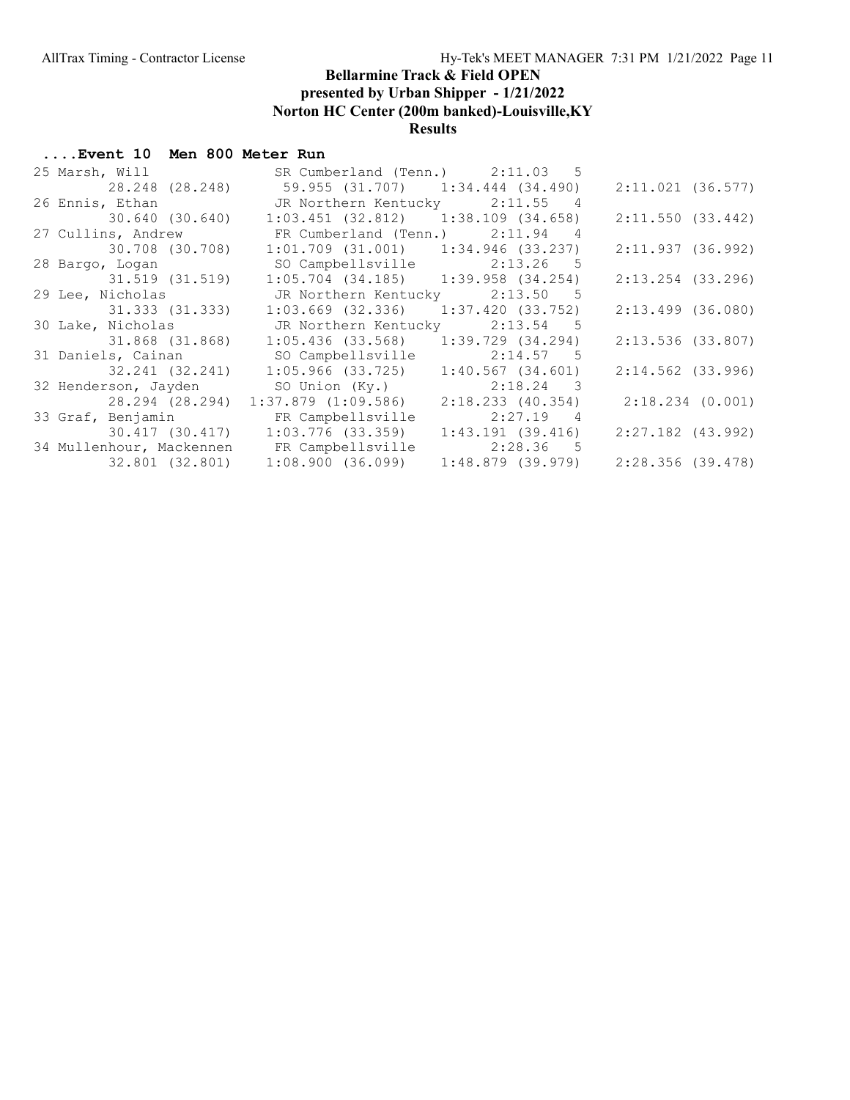| 25 Marsh, Will                                    | SR Cumberland (Tenn.) 2:11.03 5         |                     |                     |
|---------------------------------------------------|-----------------------------------------|---------------------|---------------------|
| 28.248 (28.248) 59.955 (31.707) 1:34.444 (34.490) |                                         |                     | 2:11.021(36.577)    |
| 26 Ennis, Ethan                                   | JR Northern Kentucky 2:11.55 4          |                     |                     |
| 30.640 (30.640)                                   | $1:03.451$ (32.812) $1:38.109$ (34.658) |                     | 2:11.550(33.442)    |
| 27 Cullins, Andrew                                | FR Cumberland (Tenn.) 2:11.94 4         |                     |                     |
| 30.708 (30.708)                                   | $1:01.709$ (31.001) $1:34.946$ (33.237) |                     | 2:11.937(36.992)    |
| 28 Bargo, Logan                                   | SO Campbellsville 2:13.26 5             |                     |                     |
| 31.519 (31.519)                                   | $1:05.704$ (34.185) $1:39.958$ (34.254) |                     | $2:13.254$ (33.296) |
| 29 Lee, Nicholas                                  | JR Northern Kentucky 2:13.50 5          |                     |                     |
| 31.333 (31.333)                                   | $1:03.669$ (32.336) $1:37.420$ (33.752) |                     | $2:13.499$ (36.080) |
| 30 Lake, Nicholas                                 | JR Northern Kentucky 2:13.54 5          |                     |                     |
|                                                   |                                         |                     |                     |
|                                                   |                                         |                     | $2:13.536$ (33.807) |
| 31 Daniels, Cainan                                | SO Campbellsville                       | $2:14.57$ 5         |                     |
| 32.241 (32.241)                                   | 1:05.966 (33.725)                       | $1:40.567$ (34.601) | $2:14.562$ (33.996) |
| 32 Henderson, Jayden                              | SO Union (Ky.) 2:18.24 3                |                     |                     |
| 28.294 (28.294)                                   | 1:37.879 (1:09.586)                     | 2:18.233 (40.354)   | 2:18.234(0.001)     |
| 33 Graf, Benjamin                                 | FR Campbellsville                       | $2:27.19$ 4         |                     |
|                                                   | 30.417 (30.417) 1:03.776 (33.359)       | $1:43.191$ (39.416) | $2:27.182$ (43.992) |
| 34 Mullenhour, Mackennen FR Campbellsville        | 32.801 (32.801) 1:08.900 (36.099)       | 2:28.36 5           |                     |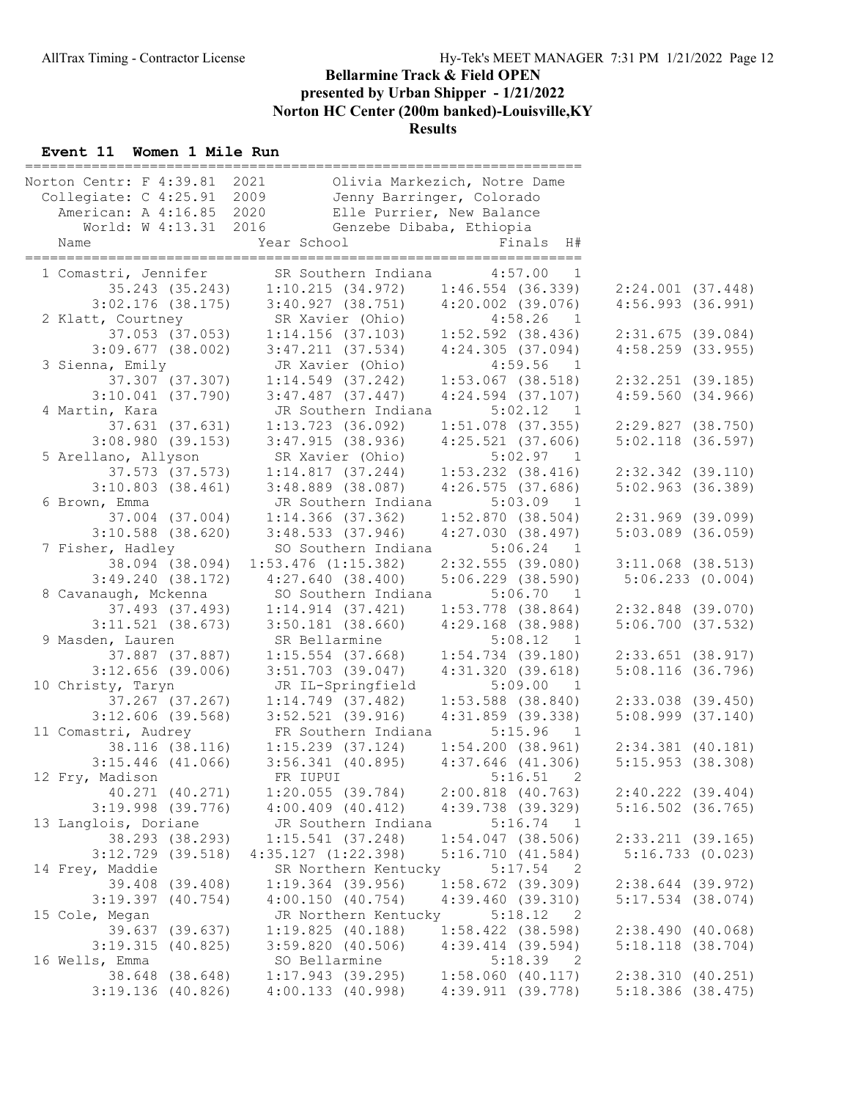#### Event 11 Women 1 Mile Run

| Norton Centr: F 4:39.81<br>Collegiate: C 4:25.91 | 2021<br>2009                            | Olivia Markezich, Notre Dame<br>Jenny Barringer, Colorado |                       |
|--------------------------------------------------|-----------------------------------------|-----------------------------------------------------------|-----------------------|
| American: A 4:16.85 2020                         |                                         | Elle Purrier, New Balance                                 |                       |
| World: W 4:13.31 2016                            |                                         | Genzebe Dibaba, Ethiopia                                  |                       |
| Name                                             | Year School                             | Finals H#                                                 |                       |
|                                                  |                                         |                                                           |                       |
| 1 Comastri, Jennifer                             | SR Southern Indiana                     | 4:57.00<br>1                                              |                       |
| 35.243 (35.243)                                  | 1:10.215(34.972)                        | $1:46.554$ (36.339)                                       | 2:24.001(37.448)      |
| $3:02.176$ (38.175)                              | $3:40.927$ (38.751) $4:20.002$ (39.076) |                                                           | 4:56.993(36.991)      |
| 2 Klatt, Courtney                                | SR Xavier (Ohio)                        | 4:58.26<br>$\overline{1}$                                 |                       |
| 37.053 (37.053)                                  | $1:14.156$ (37.103)                     | 1:52.592 (38.436)                                         | 2:31.675(39.084)      |
| $3:09.677$ (38.002)                              | 3:47.211(37.534)                        | 4:24.305(37.094)                                          | $4:58.259$ (33.955)   |
| 3 Sienna, Emily                                  | JR Xavier (Ohio)                        | 4:59.56<br>$\blacksquare$                                 |                       |
| 37.307 (37.307)                                  | $1:14.549$ (37.242)                     | $1:53.067$ (38.518)                                       | $2:32.251$ (39.185)   |
| $3:10.041$ (37.790)                              | $3:47.487$ (37.447)                     | $4:24.594$ $(37.107)$                                     | 4:59.560(34.966)      |
| 4 Martin, Kara<br>37.631 (37.631)                | JR Southern Indiana                     | 5:02.12<br>$\overline{1}$                                 |                       |
|                                                  | $1:13.723$ (36.092)                     | $1:51.078$ (37.355)                                       | 2:29.827(38.750)      |
| $3:08.980$ (39.153)<br>5 Arellano, Allyson       | 3:47.915(38.936)<br>SR Xavier (Ohio)    | $4:25.521$ $(37.606)$<br>5:02.97<br>$\overline{1}$        | $5:02.118$ (36.597)   |
| 37.573 (37.573)                                  | 1:14.817(37.244)                        | $1:53.232$ $(38.416)$                                     | $2:32.342$ (39.110)   |
| $3:10.803$ $(38.461)$                            | $3:48.889$ (38.087)                     | $4:26.575$ (37.686)                                       | $5:02.963$ (36.389)   |
| 6 Brown, Emma                                    | JR Southern Indiana                     | $5:03.09$ 1                                               |                       |
| 37.004 (37.004)                                  | $1:14.366$ (37.362)                     | 1:52.870(38.504)                                          | $2:31.969$ (39.099)   |
| $3:10.588$ (38.620)                              | 3:48.533(37.946)                        | 4:27.030(38.497)                                          | $5:03.089$ $(36.059)$ |
| 7 Fisher, Hadley                                 | SO Southern Indiana                     | 5:06.24<br>$\overline{1}$                                 |                       |
| 38.094 (38.094)                                  | $1:53.476$ $(1:15.382)$                 | $2:32.555$ (39.080)                                       | $3:11.068$ $(38.513)$ |
| 3:49.240(38.172)                                 | 4:27.640(38.400)                        | $5:06.229$ $(38.590)$                                     | 5:06.233(0.004)       |
| 8 Cavanaugh, Mckenna                             | SO Southern Indiana                     | 5:06.70<br>$\overline{1}$                                 |                       |
| 37.493 (37.493)                                  | 1:14.914(37.421)                        | $1:53.778$ (38.864)                                       | $2:32.848$ (39.070)   |
| $3:11.521$ (38.673)                              | $3:50.181$ (38.660)                     | $4:29.168$ (38.988)                                       | $5:06.700$ $(37.532)$ |
| 9 Masden, Lauren                                 | SR Bellarmine                           | 5:08.12 1                                                 |                       |
| 37.887 (37.887)                                  | $1:15.554$ (37.668)                     | $1:54.734$ (39.180)                                       | $2:33.651$ (38.917)   |
| $3:12.656$ (39.006)                              | $3:51.703$ (39.047)                     | 4:31.320(39.618)                                          | $5:08.116$ (36.796)   |
| 10 Christy, Taryn                                | JR IL-Springfield                       | 5:09.00<br>$\overline{1}$                                 |                       |
| $37.267$ $(37.267)$                              | $1:14.749$ (37.482)                     | $1:53.588$ (38.840)                                       | $2:33.038$ $(39.450)$ |
| $3:12.606$ (39.568)                              | $3:52.521$ (39.916)                     | $4:31.859$ (39.338)                                       | $5:08.999$ $(37.140)$ |
| 11 Comastri, Audrey                              | FR Southern Indiana                     | 5:15.96<br>$\overline{1}$                                 |                       |
| 38.116 (38.116)                                  | $1:15.239$ $(37.124)$                   | 1:54.200(38.961)                                          | $2:34.381$ $(40.181)$ |
| $3:15.446$ (41.066)                              | $3:56.341$ (40.895)                     | $4:37.646$ $(41.306)$                                     | 5:15.953(38.308)      |
| 12 Fry, Madison                                  | FR IUPUI                                | 5:16.51<br>2                                              |                       |
| 40.271 (40.271)                                  | $1:20.055$ (39.784)                     | $2:00.818$ $(40.763)$                                     | $2:40.222$ $(39.404)$ |
| $3:19.998$ (39.776)                              | $4:00.409$ $(40.412)$                   | 4:39.738 (39.329)                                         | $5:16.502$ (36.765)   |
| 13 Langlois, Doriane                             | JR Southern Indiana                     | 5:16.74<br>$\overline{1}$                                 |                       |
| 38.293 (38.293)                                  | $1:15.541$ (37.248)                     | $1:54.047$ (38.506)                                       | 2:33.211(39.165)      |
| $3:12.729$ (39.518)                              | 4:35.127(1:22.398)                      | 5:16.710(41.584)                                          | 5:16.733(0.023)       |
| 14 Frey, Maddie                                  | SR Northern Kentucky                    | 5:17.54<br>$\overline{\phantom{0}}$ 2                     |                       |
| 39.408 (39.408)                                  | $1:19.364$ (39.956)                     | $1:58.672$ (39.309)                                       | $2:38.644$ (39.972)   |
| $3:19.397$ $(40.754)$                            | 4:00.150(40.754)                        | 4:39.460(39.310)                                          | $5:17.534$ $(38.074)$ |
| 15 Cole, Megan                                   | JR Northern Kentucky                    | 5:18.12<br>$\overline{\phantom{0}}^2$                     |                       |
| 39.637 (39.637)                                  | 1:19.825(40.188)                        | $1:58.422$ (38.598)                                       | 2:38.490(40.068)      |
| 3:19.315(40.825)                                 | 3:59.820(40.506)                        | $4:39.414$ $(39.594)$                                     | 5:18.118(38.704)      |
| 16 Wells, Emma                                   | SO Bellarmine                           | $5:18.39$ 2                                               |                       |
| 38.648 (38.648)                                  | $1:17.943$ (39.295)                     | $1:58.060$ $(40.117)$                                     | 2:38.310(40.251)      |
| $3:19.136$ (40.826)                              | 4:00.133(40.998)                        | 4:39.911(39.778)                                          | $5:18.386$ (38.475)   |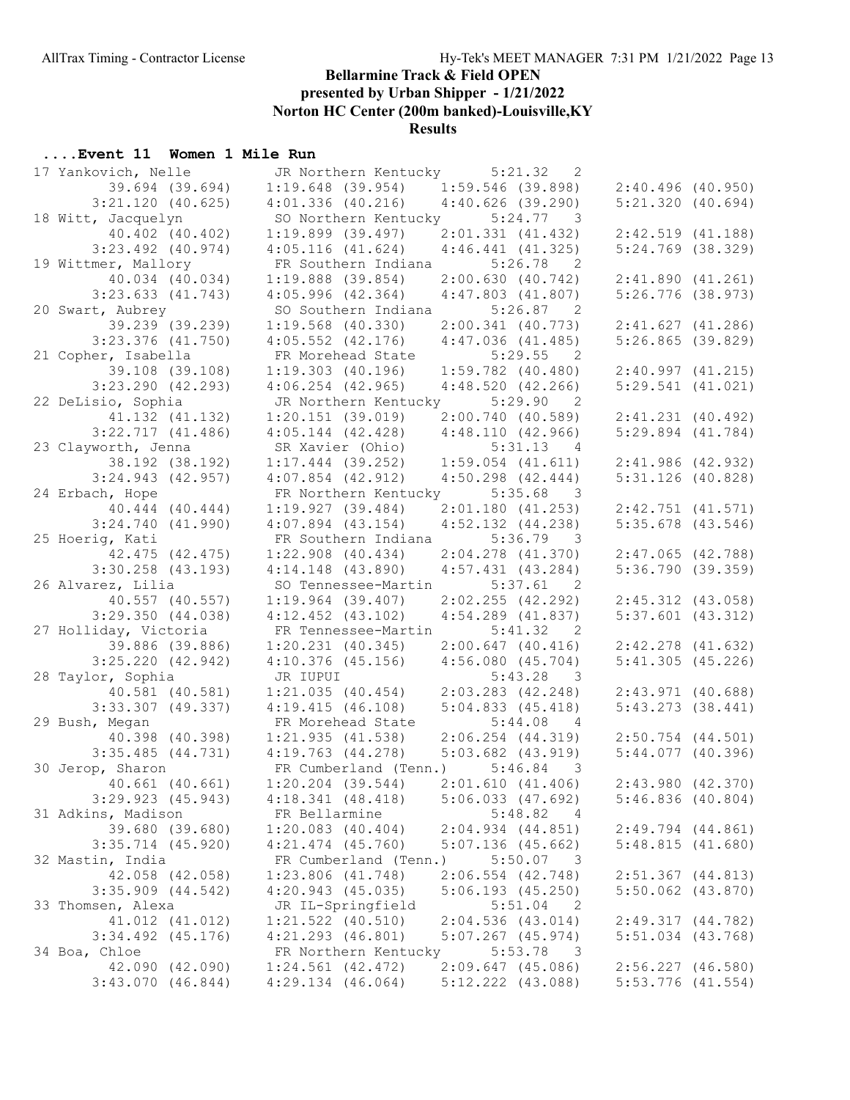## ....Event 11 Women 1 Mile Run

| 17 Yankovich, Nelle                 | JR Northern Kentucky                           | 5:21.32<br>2                               |                                              |
|-------------------------------------|------------------------------------------------|--------------------------------------------|----------------------------------------------|
| 39.694 (39.694)                     | $1:19.648$ (39.954)                            | $1:59.546$ (39.898)                        | 2:40.496(40.950)                             |
| $3:21.120$ (40.625)                 | $4:01.336$ $(40.216)$                          | $4:40.626$ (39.290)                        | 5:21.320(40.694)                             |
| 18 Witt, Jacquelyn                  | SO Northern Kentucky 5:24.77 3                 |                                            |                                              |
| 40.402 (40.402)                     | $1:19.899$ (39.497)                            | 2:01.331(41.432)                           | 2:42.519(41.188)                             |
| $3:23.492$ (40.974)                 | 4:05.116(41.624)                               | 4:46.441(41.325)                           | $5:24.769$ (38.329)                          |
| 19 Wittmer, Mallory                 | FR Southern Indiana                            | 5:26.78<br>$\overline{2}$                  |                                              |
| 40.034 (40.034)                     | $1:19.888$ (39.854)                            | 2:00.630(40.742)                           | 2:41.890(41.261)                             |
| $3:23.633$ $(41.743)$               | 4:05.996(42.364)                               | $4:47.803$ $(41.807)$                      | $5:26.776$ (38.973)                          |
| 20 Swart, Aubrey                    | SO Southern Indiana 5:26.87 2                  |                                            |                                              |
| 39.239 (39.239)                     | $1:19.568$ (40.330)                            | $2:00.341$ $(40.773)$                      | 2:41.627(41.286)                             |
| $3:23.376$ (41.750)                 | $4:05.552$ $(42.176)$                          | 4:47.036(41.485)                           | $5:26.865$ (39.829)                          |
| 21 Copher, Isabella                 | FR Morehead State                              | 5:29.55<br>$\overline{2}$                  |                                              |
| 39.108 (39.108)                     | $1:19.303$ $(40.196)$                          | $1:59.782$ (40.480)                        | 2:40.997(41.215)                             |
| $3:23.290$ $(42.293)$               | $4:06.254$ $(42.965)$                          | 4:48.520(42.266)                           | 5:29.541(41.021)                             |
|                                     |                                                |                                            |                                              |
| 22 DeLisio, Sophia                  | JR Northern Kentucky 5:29.90                   | 2                                          |                                              |
| 41.132 (41.132)                     | 1:20.151(39.019)                               | 2:00.740(40.589)                           | $2:41.231$ $(40.492)$                        |
| $3:22.717$ $(41.486)$               | $4:05.144$ $(42.428)$                          | 4:48.110(42.966)                           | $5:29.894$ $(41.784)$                        |
| 23 Clayworth, Jenna                 | SR Xavier (Ohio)                               | 5:31.13<br>4                               |                                              |
| 38.192 (38.192)                     | $1:17.444$ (39.252)                            | $1:59.054$ $(41.611)$                      | 2:41.986(42.932)                             |
| $3:24.943$ $(42.957)$               | $4:07.854$ $(42.912)$                          | $4:50.298$ $(42.444)$                      | $5:31.126$ (40.828)                          |
| 24 Erbach, Hope                     | FR Northern Kentucky 5:35.68 3                 |                                            |                                              |
| 40.444 (40.444)                     | 1:19.927(39.484)                               | $2:01.180$ (41.253)                        | 2:42.751(41.571)                             |
| 3:24.740(41.990)                    | $4:07.894$ $(43.154)$                          | $4:52.132$ $(44.238)$                      | $5:35.678$ (43.546)                          |
| 25 Hoerig, Kati                     | FR Southern Indiana                            | 5:36.79<br>$\overline{\phantom{a}}$ 3      |                                              |
| 42.475 (42.475)                     | $1:22.908$ $(40.434)$                          | $2:04.278$ $(41.370)$                      | $2:47.065$ $(42.788)$                        |
| $3:30.258$ $(43.193)$               | $4:14.148$ $(43.890)$                          | $4:57.431$ $(43.284)$                      | 5:36.790(39.359)                             |
| 26 Alvarez, Lilia                   | SO Tennessee-Martin 5:37.61                    | $\overline{\phantom{0}}$ 2                 |                                              |
| 40.557 (40.557)                     | $1:19.964$ (39.407)                            | 2:02.255(42.292)                           | $2:45.312$ $(43.058)$                        |
| 3:29.350(44.038)                    | $4:12.452$ $(43.102)$                          | $4:54.289$ $(41.837)$                      | $5:37.601$ $(43.312)$                        |
| 27 Holliday, Victoria               | FR Tennessee-Martin                            | 5:41.32<br>$\overline{\phantom{0}}^2$      |                                              |
|                                     |                                                |                                            |                                              |
| 39.886 (39.886)                     | $1:20.231$ $(40.345)$                          | 2:00.647(40.416)                           | $2:42.278$ $(41.632)$                        |
| $3:25.220$ $(42.942)$               | $4:10.376$ (45.156)                            | 4:56.080(45.704)                           | 5:41.305(45.226)                             |
| 28 Taylor, Sophia                   | JR IUPUI                                       | $5:43.28$ 3                                |                                              |
| 40.581 (40.581)                     | 1:21.035(40.454)                               | $2:03.283$ $(42.248)$                      | 2:43.971(40.688)                             |
| $3:33.307$ (49.337)                 | 4:19.415(46.108)                               | 5:04.833(45.418)                           | $5:43.273$ $(38.441)$                        |
| 29 Bush, Megan                      | FR Morehead State                              | 5:44.08<br>$\overline{4}$                  |                                              |
| 40.398 (40.398)                     | 1:21.935(41.538)                               | $2:06.254$ $(44.319)$                      | $2:50.754$ $(44.501)$                        |
| $3:35.485$ $(44.731)$               | $4:19.763$ $(44.278)$                          | $5:03.682$ $(43.919)$                      | 5:44.077(40.396)                             |
|                                     |                                                |                                            |                                              |
| 30 Jerop, Sharon                    | FR Cumberland (Tenn.) 5:46.84 3                |                                            |                                              |
| $40.661$ $(40.661)$                 | $1:20.204$ (39.544)                            | 2:01.610(41.406)                           | 2:43.980(42.370)                             |
| $3:29.923$ $(45.943)$               | 4:18.341(48.418)                               | $5:06.033$ $(47.692)$                      | 5:46.836(40.804)                             |
| 31 Adkins, Madison                  | FR Bellarmine                                  | 5:48.82<br>- 4                             |                                              |
| 39.680 (39.680)                     | $1:20.083$ $(40.404)$                          | 2:04.934(44.851)                           | $2:49.794$ $(44.861)$                        |
| $3:35.714$ $(45.920)$               | $4:21.474$ $(45.760)$                          | $5:07.136$ (45.662)                        | 5:48.815(41.680)                             |
| 32 Mastin, India                    | FR Cumberland (Tenn.)                          | $5:50.07$ 3                                |                                              |
| 42.058 (42.058)                     | $1:23.806$ $(41.748)$                          | $2:06.554$ $(42.748)$                      | $2:51.367$ $(44.813)$                        |
| $3:35.909$ $(44.542)$               | $4:20.943$ $(45.035)$                          | $5:06.193$ $(45.250)$                      | $5:50.062$ $(43.870)$                        |
| 33 Thomsen, Alexa                   | JR IL-Springfield                              | 5:51.04<br>2                               |                                              |
| 41.012 (41.012)                     | $1:21.522$ $(40.510)$                          | 2:04.536(43.014)                           | 2:49.317(44.782)                             |
| $3:34.492$ $(45.176)$               | $4:21.293$ $(46.801)$                          | $5:07.267$ $(45.974)$                      | $5:51.034$ $(43.768)$                        |
| 34 Boa, Chloe                       | FR Northern Kentucky                           | 5:53.78<br>$\overline{\phantom{a}}$        |                                              |
| 42.090 (42.090)<br>3:43.070(46.844) | $1:24.561$ $(42.472)$<br>$4:29.134$ $(46.064)$ | $2:09.647$ (45.086)<br>$5:12.222$ (43.088) | $2:56.227$ $(46.580)$<br>$5:53.776$ (41.554) |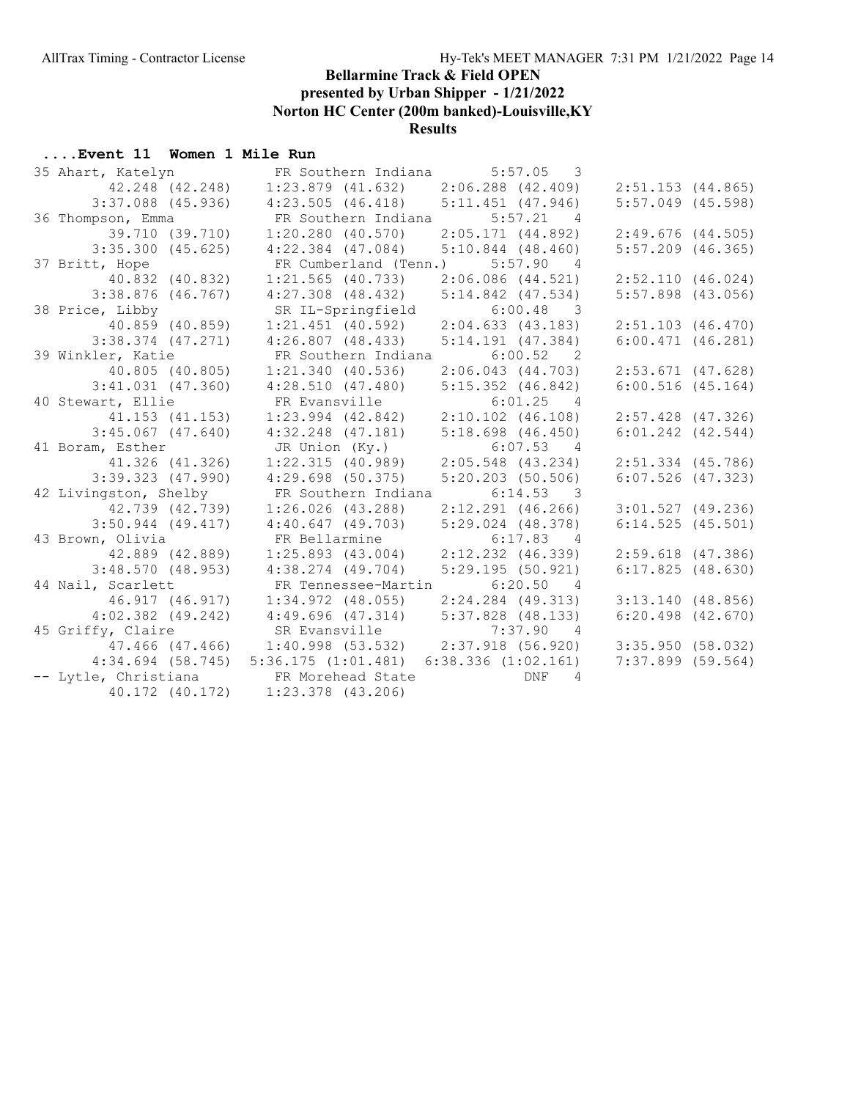# ....Event 11 Women 1 Mile Run

| 35 Ahart, Katelyn                      | FR Southern Indiana 5:57.05 3                       |                              |                       |
|----------------------------------------|-----------------------------------------------------|------------------------------|-----------------------|
| 42.248 (42.248)                        | $1:23.879$ (41.632) $2:06.288$ (42.409)             |                              | $2:51.153$ (44.865)   |
| $3:37.088$ (45.936)                    | $4:23.505$ (46.418) $5:11.451$ (47.946)             |                              | $5:57.049$ (45.598)   |
| 36 Thompson, Emma                      | FR Southern Indiana 5:57.21 4                       |                              |                       |
| 39.710 (39.710)                        | $1:20.280$ $(40.570)$                               | 2:05.171(44.892)             | $2:49.676$ (44.505)   |
| $3:35.300$ $(45.625)$                  | $4:22.384$ (47.084) $5:10.844$ (48.460)             |                              | $5:57.209$ $(46.365)$ |
| 37 Britt, Hope                         | FR Cumberland (Tenn.) 5:57.90 4                     |                              |                       |
| 40.832 (40.832)                        | $1:21.565$ (40.733)                                 | $2:06.086$ $(44.521)$        | 2:52.110(46.024)      |
| $3:38.876$ (46.767)                    | $4:27.308$ $(48.432)$                               | $5:14.842$ $(47.534)$        | $5:57.898$ (43.056)   |
| 38 Price, Libby                        | SR IL-Springfield                                   | $6:00.48$ 3                  |                       |
| 40.859 (40.859)                        | $1:21.451$ (40.592)                                 | 2:04.633(43.183)             | $2:51.103$ $(46.470)$ |
| $3:38.374$ $(47.271)$                  | 4:26.807(48.433)                                    | $5:14.191$ $(47.384)$        | $6:00.471$ $(46.281)$ |
| 39 Winkler, Katie                      | FR Southern Indiana 6:00.52 2                       |                              |                       |
| 40.805 (40.805)                        | $1:21.340$ (40.536)                                 | 2:06.043 (44.703)            | $2:53.671$ (47.628)   |
| $3:41.031$ $(47.360)$                  | 4:28.510 (47.480) 5:15.352 (46.842)                 |                              | 6:00.516(45.164)      |
| 40 Stewart, Ellie                      | FR Evansville                                       | $6:01.25$ 4                  |                       |
| 41.153 (41.153)                        | $1:23.994$ (42.842) $2:10.102$ (46.108)             |                              | $2:57.428$ (47.326)   |
| $3:45.067$ $(47.640)$                  | 4:32.248 (47.181)                                   | $5:18.698$ $(46.450)$        | $6:01.242$ $(42.544)$ |
| 41 Boram, Esther                       | JR Union (Ky.)                                      | $6:07.53$ 4                  |                       |
| 41.326 (41.326)                        | $1:22.315$ (40.989) 2:05.548 (43.234)               |                              | $2:51.334$ $(45.786)$ |
| $3:39.323$ $(47.990)$                  | $4:29.698$ (50.375)                                 | $5:20.203$ (50.506)          | $6:07.526$ $(47.323)$ |
| 42 Livingston, Shelby                  | FR Southern Indiana 6:14.53 3                       |                              |                       |
| 42.739 (42.739)                        | $1:26.026$ (43.288)                                 | $2:12.291$ (46.266)          | 3:01.527(49.236)      |
| $3:50.944$ (49.417)                    | 4:40.647(49.703)                                    | $5:29.024$ $(48.378)$        | 6:14.525(45.501)      |
| 43 Brown, Olivia                       | FR Bellarmine                                       | $6:17.83$ 4                  |                       |
| 42.889 (42.889)                        | 1:25.893(43.004)                                    | $2:12.232$ $(46.339)$        | $2:59.618$ $(47.386)$ |
| 3:48.570(48.953)                       | 4:38.274 (49.704)                                   | 5:29.195(50.921)             | 6:17.825(48.630)      |
| 44 Nail, Scarlett                      | FR Tennessee-Martin 6:20.50 4                       |                              |                       |
| 46.917 (46.917)                        | $1:34.972$ (48.055)                                 | $2:24.284$ (49.313)          | 3:13.140(48.856)      |
| $4:02.382$ $(49.242)$                  | $4:49.696$ $(47.314)$                               | 5:37.828 (48.133)            | $6:20.498$ $(42.670)$ |
| 45 Griffy, Claire                      | SR Evansville                                       | $7:37.90$ 4                  |                       |
|                                        | 47.466 (47.466) 1:40.998 (53.532) 2:37.918 (56.920) |                              | 3:35.950(58.032)      |
|                                        | $4:34.694$ (58.745) 5:36.175 (1:01.481)             | $6:38.336$ $(1:02.161)$      | $7:37.899$ (59.564)   |
| -- Lytle, Christiana FR Morehead State |                                                     | <b>DNF</b><br>$\overline{4}$ |                       |
|                                        | 40.172 (40.172) 1:23.378 (43.206)                   |                              |                       |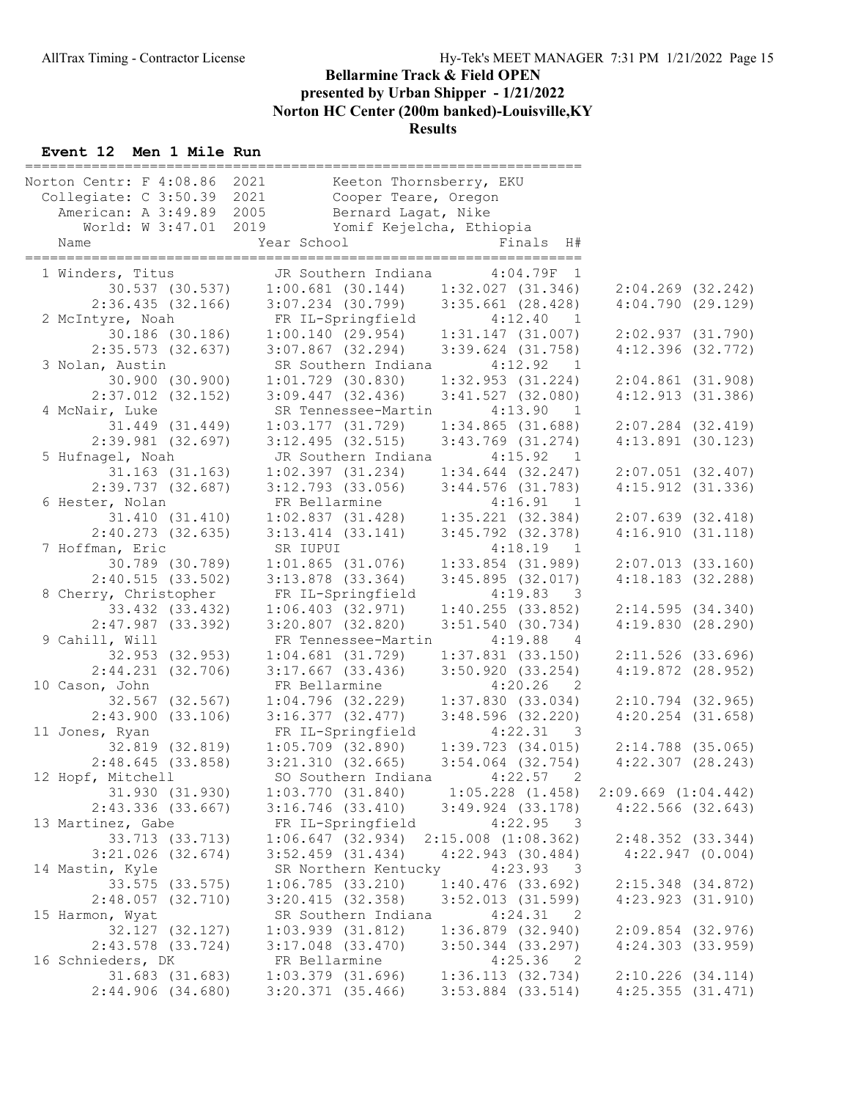#### Event 12 Men 1 Mile Run

| Norton Centr: F 4:08.86<br>Collegiate: C 3:50.39 2021 |                 | 2021                  | Keeton Thornsberry, EKU<br>Cooper Teare, Oregon |                                         |                         |                      |
|-------------------------------------------------------|-----------------|-----------------------|-------------------------------------------------|-----------------------------------------|-------------------------|----------------------|
| American: A 3:49.89 2005<br>World: W 3:47.01 2019     |                 |                       | Bernard Lagat, Nike                             | Yomif Kejelcha, Ethiopia                |                         |                      |
| Name                                                  |                 | Year School           |                                                 | Finals H#                               |                         |                      |
|                                                       |                 |                       |                                                 |                                         |                         |                      |
| 1 Winders, Titus                                      |                 |                       | JR Southern Indiana                             | $4:04.79F$ 1                            |                         |                      |
|                                                       | 30.537 (30.537) |                       |                                                 | $1:00.681$ (30.144) $1:32.027$ (31.346) | $2:04.269$ $(32.242)$   |                      |
| 2:36.435(32.166)                                      |                 |                       |                                                 | $3:07.234$ (30.799) $3:35.661$ (28.428) | 4:04.790(29.129)        |                      |
| 2 McIntyre, Noah                                      |                 |                       | FR IL-Springfield                               | 4:12.40<br>$\overline{1}$               |                         |                      |
|                                                       | 30.186 (30.186) |                       |                                                 | $1:00.140$ (29.954) $1:31.147$ (31.007) | 2:02.937(31.790)        |                      |
| $2:35.573$ (32.637)                                   |                 |                       | $3:07.867$ (32.294)                             | $3:39.624$ (31.758)                     | $4:12.396$ $(32.772)$   |                      |
| 3 Nolan, Austin                                       |                 |                       | SR Southern Indiana                             | 4:12.92<br>$\overline{1}$               |                         |                      |
|                                                       | 30.900 (30.900) | $1:01.729$ (30.830)   |                                                 | 1:32.953(31.224)                        | $2:04.861$ (31.908)     |                      |
| $2:37.012$ $(32.152)$                                 |                 | $3:09.447$ $(32.436)$ |                                                 | $3:41.527$ (32.080)                     | 4:12.913(31.386)        |                      |
| 4 McNair, Luke                                        |                 |                       | SR Tennessee-Martin                             | 4:13.90<br>$\overline{1}$               |                         |                      |
|                                                       | 31.449 (31.449) |                       | 1:03.177(31.729)                                | 1:34.865(31.688)                        | $2:07.284$ (32.419)     |                      |
| $2:39.981$ (32.697)                                   |                 | $3:12.495$ (32.515)   |                                                 | $3:43.769$ $(31.274)$                   | $4:13.891$ (30.123)     |                      |
| 5 Hufnagel, Noah                                      |                 |                       | JR Southern Indiana                             | 4:15.92<br>$\overline{1}$               |                         |                      |
|                                                       | 31.163 (31.163) |                       | $1:02.397$ (31.234)                             | $1:34.644$ $(32.247)$                   | $2:07.051$ (32.407)     |                      |
| $2:39.737$ $(32.687)$                                 |                 |                       | $3:12.793$ $(33.056)$                           | $3:44.576$ (31.783)                     | $4:15.912$ $(31.336)$   |                      |
| 6 Hester, Nolan                                       |                 | FR Bellarmine         |                                                 | $4:16.91$ 1                             |                         |                      |
|                                                       | 31.410(31.410)  |                       | 1:02.837(31.428)                                | $1:35.221$ (32.384)                     | 2:07.639(32.418)        |                      |
| $2:40.273$ (32.635)                                   |                 | $3:13.414$ $(33.141)$ |                                                 | $3:45.792$ $(32.378)$                   | 4:16.910(31.118)        |                      |
| 7 Hoffman, Eric                                       |                 | SR IUPUI              |                                                 | 4:18.19<br>$\overline{1}$               |                         |                      |
|                                                       | 30.789 (30.789) |                       | $1:01.865$ (31.076)                             | $1:33.854$ (31.989)                     | 2:07.013(33.160)        |                      |
| 2:40.515(33.502)                                      |                 | $3:13.878$ $(33.364)$ |                                                 | 3:45.895(32.017)                        | $4:18.183$ (32.288)     |                      |
| 8 Cherry, Christopher                                 |                 |                       | FR IL-Springfield                               | 4:19.83<br>$\overline{\phantom{a}}$     |                         |                      |
|                                                       | 33.432 (33.432) |                       | 1:06.403(32.971)                                | 1:40.255(33.852)                        | 2:14.595(34.340)        |                      |
| $2:47.987$ (33.392)                                   |                 | $3:20.807$ (32.820)   |                                                 | $3:51.540$ (30.734)                     | 4:19.830(28.290)        |                      |
| 9 Cahill, Will                                        |                 |                       | FR Tennessee-Martin                             | 4:19.88<br>4                            |                         |                      |
|                                                       | 32.953 (32.953) | $1:04.681$ (31.729)   |                                                 | $1:37.831$ $(33.150)$                   | $2:11.526$ (33.696)     |                      |
| 2:44.231(32.706)                                      |                 |                       | $3:17.667$ (33.436)                             | $3:50.920$ (33.254)                     | $4:19.872$ $(28.952)$   |                      |
| 10 Cason, John                                        |                 | FR Bellarmine         |                                                 | $4:20.26$ 2                             |                         |                      |
|                                                       | 32.567 (32.567) |                       | 1:04.796(32.229)                                | 1:37.830(33.034)                        | $2:10.794$ (32.965)     |                      |
| 2:43.900(33.106)                                      |                 |                       | 3:16.377(32.477)                                | 3:48.596(32.220)                        | $4:20.254$ $(31.658)$   |                      |
| 11 Jones, Ryan                                        |                 |                       | FR IL-Springfield                               | 4:22.31<br>$\overline{\phantom{a}}$     |                         |                      |
|                                                       | 32.819 (32.819) |                       | $1:05.709$ $(32.890)$                           | 1:39.723(34.015)                        | $2:14.788$ (35.065)     |                      |
| 2:48.645(33.858)                                      |                 |                       | 3:21.310(32.665)                                | $3:54.064$ $(32.754)$                   | $4:22.307$ $(28.243)$   |                      |
| 12 Hopf, Mitchell                                     |                 |                       | SO Southern Indiana                             | 4:22.57<br>2                            |                         |                      |
|                                                       | 31.930 (31.930) | 1:03.770(31.840)      |                                                 | $1:05.228$ $(1.458)$                    | $2:09.669$ $(1:04.442)$ |                      |
| $2:43.336$ (33.667)                                   |                 | $3:16.746$ (33.410)   |                                                 | $3:49.924$ $(33.178)$                   | $4:22.566$ $(32.643)$   |                      |
| 13 Martinez, Gabe                                     |                 |                       | FR IL-Springfield                               | 4:22.95<br>$\overline{\phantom{a}}$     |                         |                      |
|                                                       | 33.713 (33.713) | $1:06.647$ (32.934)   |                                                 | $2:15.008$ $(1:08.362)$                 | $2:48.352$ (33.344)     |                      |
| $3:21.026$ (32.674)                                   |                 | $3:52.459$ $(31.434)$ |                                                 | $4:22.943$ (30.484)                     |                         | $4:22.947$ $(0.004)$ |
| 14 Mastin, Kyle                                       |                 |                       | SR Northern Kentucky                            | 4:23.93<br>$\overline{\phantom{a}}$     |                         |                      |
|                                                       | 33.575 (33.575) |                       | 1:06.785(33.210)                                | $1:40.476$ (33.692)                     | $2:15.348$ (34.872)     |                      |
| 2:48.057(32.710)                                      |                 | $3:20.415$ (32.358)   |                                                 | $3:52.013$ $(31.599)$                   | 4:23.923(31.910)        |                      |
| 15 Harmon, Wyat                                       |                 |                       | SR Southern Indiana                             | 4:24.31<br>$\overline{\phantom{0}}^2$   |                         |                      |
|                                                       | 32.127 (32.127) | $1:03.939$ $(31.812)$ |                                                 | $1:36.879$ $(32.940)$                   | $2:09.854$ (32.976)     |                      |
| $2:43.578$ (33.724)                                   |                 | $3:17.048$ (33.470)   |                                                 | $3:50.344$ (33.297)                     | 4:24.303(33.959)        |                      |
| 16 Schnieders, DK                                     |                 | FR Bellarmine         |                                                 | 4:25.36<br>$\overline{\phantom{0}}^2$   |                         |                      |
|                                                       | 31.683 (31.683) | $1:03.379$ (31.696)   |                                                 | 1:36.113(32.734)                        | $2:10.226$ $(34.114)$   |                      |
| $2:44.906$ (34.680)                                   |                 | $3:20.371$ (35.466)   |                                                 | $3:53.884$ (33.514)                     | 4:25.355(31.471)        |                      |
|                                                       |                 |                       |                                                 |                                         |                         |                      |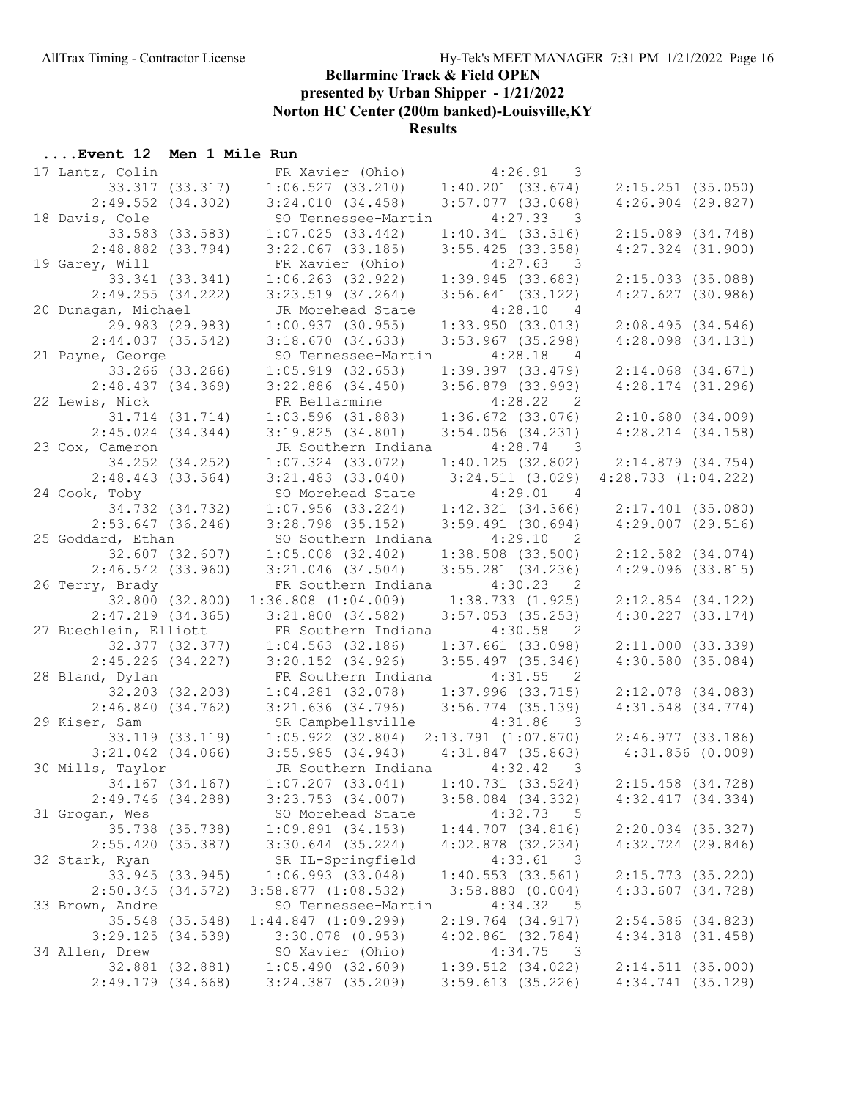Results

## ....Event 12 Men 1 Mile Run

|                                        | 17 Lantz, Colin FR Xavier (Ohio)                                                           | $4:26.91$ 3                                  |                                                                    |
|----------------------------------------|--------------------------------------------------------------------------------------------|----------------------------------------------|--------------------------------------------------------------------|
|                                        | 33.317 (33.317) 1:06.527 (33.210)                                                          | 1:40.201(33.674)                             | $2:15.251$ (35.050)                                                |
| $2:49.552$ (34.302)                    | 3:24.010(34.458)                                                                           | $3:57.077$ (33.068)                          | $4:26.904$ (29.827)                                                |
| 18 Davis, Cole                         | SO Tennessee-Martin 4:27.33 3                                                              |                                              |                                                                    |
| 33.583 (33.583)                        | 1:07.025(33.442)                                                                           | 1:40.341(33.316)                             | $2:15.089$ $(34.748)$                                              |
| $2:48.882$ (33.794)                    | $3:22.067$ (33.185)                                                                        | $3:55.425$ (33.358)                          | $4:27.324$ $(31.900)$                                              |
| 19 Garey, Will                         | FR Xavier (Ohio)                                                                           | $4:27.63$ 3                                  |                                                                    |
| 33.341 (33.341)                        | $1:06.263$ (32.922)                                                                        | 1:39.945(33.683)                             | $2:15.033$ (35.088)                                                |
| 2:49.255(34.222)                       | $3:23.519$ $(34.264)$                                                                      | $3:56.641$ (33.122)                          | 4:27.627(30.986)                                                   |
| 20 Dunagan, Michael                    | JR Morehead State                                                                          | 4:28.10 4                                    |                                                                    |
| 29.983 (29.983)                        | 1:00.937(30.955)                                                                           | 1:33.950(33.013)                             | 2:08.495(34.546)                                                   |
| $2:44.037$ (35.542)                    | 3:18.670(34.633)                                                                           | $3:53.967$ (35.298)                          | $4:28.098$ $(34.131)$                                              |
| 21 Payne, George                       | SO Tennessee-Martin 4:28.18 4                                                              |                                              |                                                                    |
| 33.266 (33.266)                        | $1:05.919$ (32.653)                                                                        | $1:39.397$ $(33.479)$                        | $2:14.068$ $(34.671)$                                              |
| 2:48.437(34.369)                       | $3:22.886$ $(34.450)$                                                                      | $3:56.879$ $(33.993)$                        | $4:28.174$ $(31.296)$                                              |
| 22 Lewis, Nick                         | FR Bellarmine<br>FR Bellarmine<br>1:03.596 (31.883) 1:36.672 (33.076)<br>2:54.056 (34.231) |                                              |                                                                    |
| 31.714 (31.714)                        |                                                                                            |                                              | 2:10.680(34.009)                                                   |
| $2:45.024$ $(34.344)$                  | 3:19.825(34.801)                                                                           | $3:54.056$ $(34.231)$                        | $4:28.214$ $(34.158)$                                              |
| 23 Cox, Cameron                        | JR Southern Indiana 4:28.74 3                                                              |                                              |                                                                    |
| 34.252 (34.252)<br>$2:48.443$ (33.564) | $1:07.324$ $(33.072)$<br>$3:21.483$ $(33.040)$                                             |                                              | $1:40.125$ (32.802) $2:14.879$ (34.754)<br>$4:28.733$ $(1:04.222)$ |
| 24 Cook, Toby                          | SO Morehead State                                                                          | $3:24.511$ (3.029)<br>$4:29.01$ 4            |                                                                    |
| 34.732 (34.732)                        | $1:07.956$ (33.224)                                                                        | $1:42.321$ $(34.366)$                        | $2:17.401$ (35.080)                                                |
| $2:53.647$ (36.246)                    | $3:28.798$ (35.152)                                                                        | $3:59.491$ (30.694)                          | $4:29.007$ $(29.516)$                                              |
| 25 Goddard, Ethan                      | SO Southern Indiana 4:29.10 2                                                              |                                              |                                                                    |
| 32.607 (32.607)                        | $1:05.008$ $(32.402)$                                                                      | $1:38.508$ $(33.500)$                        | $2:12.582$ $(34.074)$                                              |
| $2:46.542$ (33.960)                    | $3:21.046$ (34.504)                                                                        | $3:55.281$ $(34.236)$                        | 4:29.096(33.815)                                                   |
|                                        |                                                                                            |                                              |                                                                    |
|                                        |                                                                                            |                                              |                                                                    |
| 26 Terry, Brady                        | FR Southern Indiana 4:30.23 2                                                              |                                              |                                                                    |
| 32.800 (32.800)<br>2:47.219(34.365)    | $1:36.808$ $(1:04.009)$ $1:38.733$ $(1.925)$<br>3:21.800(34.582)                           | $3:57.053$ (35.253)                          | $2:12.854$ (34.122)                                                |
| 27 Buechlein, Elliott                  | FR Southern Indiana 4:30.58 2                                                              |                                              | $4:30.227$ $(33.174)$                                              |
|                                        | 32.377 (32.377) 1:04.563 (32.186)                                                          | $1:37.661$ (33.098)                          | 2:11.000(33.339)                                                   |
| $2:45.226$ (34.227)                    | $3:20.152$ (34.926) $3:55.497$ (35.346)                                                    |                                              | 4:30.580(35.084)                                                   |
| 28 Bland, Dylan                        |                                                                                            |                                              |                                                                    |
| 32.203 (32.203)                        | FR Southern Indiana 4:31.55 2<br>$1:04.281$ (32.078) $1:37.996$ (33.715)                   |                                              | $2:12.078$ (34.083)                                                |
| 2:46.840(34.762)                       | $3:21.636$ $(34.796)$ $3:56.774$ $(35.139)$                                                |                                              | $4:31.548$ $(34.774)$                                              |
| 29 Kiser, Sam                          | SR Campbellsville 4:31.86 3                                                                |                                              |                                                                    |
|                                        | $33.119$ $(33.119)$ $1.05.922$ $(32.804)$ $2.13.791$ $(1.07.870)$ $2.46.977$ $(33.186)$    |                                              |                                                                    |
|                                        | $3:21.042$ (34.066) $3:55.985$ (34.943) $4:31.847$ (35.863)                                |                                              | 4:31.856(0.009)                                                    |
| 30 Mills, Taylor                       | JR Southern Indiana 4:32.42 3                                                              |                                              |                                                                    |
| 34.167 (34.167)                        | $1:07.207$ (33.041) $1:40.731$ (33.524) $2:15.458$ (34.728)                                |                                              |                                                                    |
| 2:49.746 (34.288)                      | $3:23.753$ $(34.007)$                                                                      | $3:58.084$ $(34.332)$                        | 4:32.417(34.334)                                                   |
| 31 Grogan, Wes                         | SO Morehead State                                                                          | 4:32.73<br>$-5$                              |                                                                    |
| 35.738 (35.738)                        | 1:09.891(34.153)                                                                           | 1:44.707(34.816)                             | $2:20.034$ (35.327)                                                |
| 2:55.420 (35.387)                      | $3:30.644$ (35.224)                                                                        | $4:02.878$ $(32.234)$                        | $4:32.724$ (29.846)                                                |
| 32 Stark, Ryan                         | SR IL-Springfield                                                                          | 4:33.61<br>$\overline{\phantom{a}}$          |                                                                    |
| 33.945 (33.945)<br>2:50.345(34.572)    | 1:06.993(33.048)                                                                           | $1:40.553$ (33.561)<br>$3:58.880$ $(0.004)$  | $2:15.773$ (35.220)                                                |
| 33 Brown, Andre                        | $3:58.877$ $(1:08.532)$<br>SO Tennessee-Martin                                             | 4:34.32<br>5                                 | $4:33.607$ (34.728)                                                |
| 35.548 (35.548)                        | $1:44.847$ $(1:09.299)$                                                                    | $2:19.764$ (34.917)                          | $2:54.586$ (34.823)                                                |
| 3:29.125(34.539)                       | $3:30.078$ $(0.953)$                                                                       | $4:02.861$ $(32.784)$                        | $4:34.318$ $(31.458)$                                              |
| 34 Allen, Drew                         | SO Xavier (Ohio)                                                                           | 4:34.75<br>$\overline{\mathbf{3}}$           |                                                                    |
| 32.881 (32.881)<br>$2:49.179$ (34.668) | 1:05.490(32.609)<br>$3:24.387$ (35.209)                                                    | $1:39.512$ $(34.022)$<br>$3:59.613$ (35.226) | 2:14.511(35.000)<br>$4:34.741$ (35.129)                            |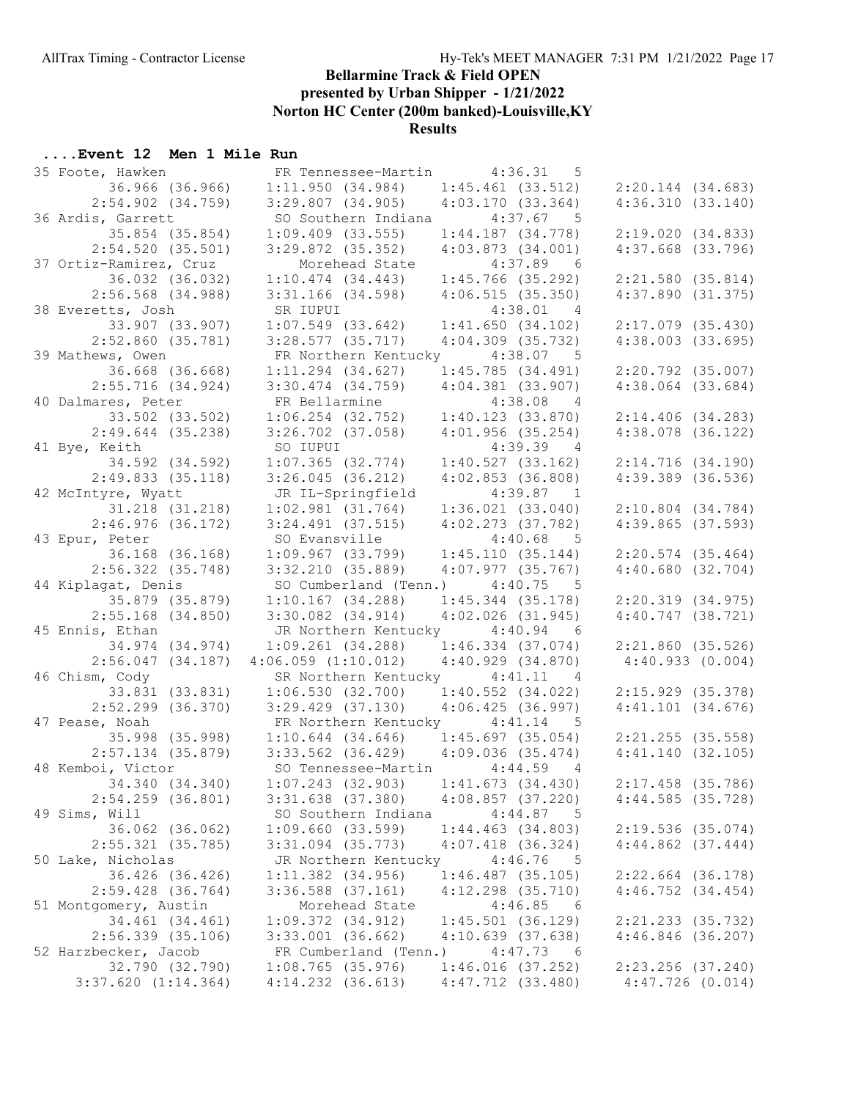# Results

#### ....Event 12 Men 1 Mile Run

| 35 Foote, Hawken        | FR Tennessee-Martin 4:36.31                             | $5^{\circ}$           |                       |
|-------------------------|---------------------------------------------------------|-----------------------|-----------------------|
| 36.966 (36.966)         | 1:11.950(34.984)                                        | $1:45.461$ (33.512)   | $2:20.144$ $(34.683)$ |
| $2:54.902$ $(34.759)$   | $3:29.807$ (34.905)                                     | 4:03.170(33.364)      | 4:36.310(33.140)      |
| 36 Ardis, Garrett       | SO Southern Indiana 4:37.67 5                           |                       |                       |
| 35.854 (35.854)         | $1:09.409$ $(33.555)$                                   | $1:44.187$ $(34.778)$ | 2:19.020(34.833)      |
| $2:54.520$ (35.501)     | $3:29.872$ (35.352)                                     | 4:03.873(34.001)      | $4:37.668$ $(33.796)$ |
| 37 Ortiz-Ramirez, Cruz  | Morehead State                                          | $4:37.89$ 6           |                       |
| 36.032 (36.032)         | 1:10.474(34.443)                                        | $1:45.766$ (35.292)   | 2:21.580(35.814)      |
| $2:56.568$ $(34.988)$   | $3:31.166$ (34.598)                                     | 4:06.515(35.350)      | 4:37.890(31.375)      |
| 38 Everetts, Josh       | SR IUPUI                                                | $4:38.01$ 4           |                       |
| 33.907 (33.907)         | $1:07.549$ (33.642)                                     | 1:41.650(34.102)      | $2:17.079$ $(35.430)$ |
| $2:52.860$ (35.781)     | $3:28.577$ (35.717)                                     | $4:04.309$ $(35.732)$ | 4:38.003(33.695)      |
| 39 Mathews, Owen        | FR Northern Kentucky 4:38.07                            | $5^{\circ}$           |                       |
| 36.668 (36.668)         | $1:11.294$ $(34.627)$                                   | 1:45.785(34.491)      | $2:20.792$ (35.007)   |
| $2:55.716$ (34.924)     | $3:30.474$ $(34.759)$                                   | $4:04.381$ $(33.907)$ | $4:38.064$ $(33.684)$ |
| 40 Dalmares, Peter      | FR Bellarmine                                           | $4:38.08$ 4           |                       |
| 33.502 (33.502)         | rk Bellarmine<br>1:06.254 (32.752)                      | 1:40.123(33.870)      |                       |
|                         |                                                         |                       | 2:14.406(34.283)      |
| $2:49.644$ (35.238)     | $3:26.702$ (37.058)                                     | $4:01.956$ (35.254)   | $4:38.078$ $(36.122)$ |
| 41 Bye, Keith           | SO IUPUI                                                | $4:39.39$ 4           |                       |
| 34.592 (34.592)         | 1:07.365(32.774)                                        | 1:40.527(33.162)      | 2:14.716(34.190)      |
| 2:49.833(35.118)        | $3:26.045$ (36.212)                                     | $4:02.853$ $(36.808)$ | $4:39.389$ $(36.536)$ |
| 42 McIntyre, Wyatt      | JR IL-Springfield                                       | $4:39.87$ 1           |                       |
| 31.218 (31.218)         | $1:02.981$ $(31.764)$                                   | $1:36.021$ $(33.040)$ | $2:10.804$ $(34.784)$ |
| $2:46.976$ (36.172)     | $3:24.491$ $(37.515)$                                   | $4:02.273$ $(37.782)$ | 4:39.865(37.593)      |
| 43 Epur, Peter          | SO Evansville                                           | $4:40.68$ 5           |                       |
| 36.168 (36.168)         | $1:09.967$ (33.799) $1:45.110$ (35.144)                 |                       | $2:20.574$ (35.464)   |
| $2:56.322$ (35.748)     | 3:32.210(35.889)                                        | 4:07.977(35.767)      | 4:40.680(32.704)      |
| 44 Kiplagat, Denis      | SO Cumberland (Tenn.) 4:40.75                           | $5^{\circ}$           |                       |
| 35.879 (35.879)         | $1:10.167$ (34.288) $1:45.344$ (35.178)                 |                       | 2:20.319(34.975)      |
| $2:55.168$ (34.850)     | $3:30.082$ $(34.914)$                                   | $4:02.026$ (31.945)   | $4:40.747$ $(38.721)$ |
| 45 Ennis, Ethan         | JR Northern Kentucky 4:40.94 6                          |                       |                       |
| 34.974 (34.974)         | $1:09.261$ $(34.288)$                                   | $1:46.334$ (37.074)   | 2:21.860(35.526)      |
| $2:56.047$ (34.187)     | $4:06.059$ $(1:10.012)$                                 | 4:40.929(34.870)      | 4:40.933(0.004)       |
| 46 Chism, Cody          | SR Northern Kentucky 4:41.11 4                          |                       |                       |
| 33.831 (33.831)         | $1:06.530$ (32.700) $1:40.552$ (34.022)                 |                       | $2:15.929$ $(35.378)$ |
| $2:52.299$ (36.370)     | $3:29.429$ (37.130) $4:06.425$ (36.997)                 |                       | 4:41.101(34.676)      |
| 47 Pease, Noah          | FR Northern Kentucky 4:41.14 5                          |                       |                       |
|                         | 35.998 (35.998)   1:10.644 (34.646)   1:45.697 (35.054) |                       | 2:21.255(35.558)      |
|                         | 2:57.134 (35.879) 3:33.562 (36.429) 4:09.036 (35.474)   |                       | 4:41.140(32.105)      |
| 48 Kemboi, Victor       | SO Tennessee-Martin 4:44.59 4                           |                       |                       |
| 34.340 (34.340)         | $1:07.243$ $(32.903)$                                   | 1:41.673(34.430)      | $2:17.458$ (35.786)   |
| $2:54.259$ (36.801)     | $3:31.638$ $(37.380)$                                   | $4:08.857$ (37.220)   | 4:44.585(35.728)      |
| 49 Sims, Will           | SO Southern Indiana                                     | 4:44.87<br>$-5$       |                       |
| 36.062 (36.062)         | 1:09.660(33.599)                                        | $1:44.463$ $(34.803)$ | 2:19.536(35.074)      |
| $2:55.321$ (35.785)     | $3:31.094$ $(35.773)$                                   | $4:07.418$ $(36.324)$ | $4:44.862$ $(37.444)$ |
| 50 Lake, Nicholas       | JR Northern Kentucky                                    | 4:46.76<br>$-5$       |                       |
| 36.426 (36.426)         | $1:11.382$ $(34.956)$                                   | $1:46.487$ (35.105)   | $2:22.664$ (36.178)   |
| $2:59.428$ (36.764)     | $3:36.588$ $(37.161)$                                   | $4:12.298$ $(35.710)$ | $4:46.752$ $(34.454)$ |
| 51 Montgomery, Austin   | Morehead State                                          | 4:46.85<br>- 6        |                       |
| 34.461 (34.461)         | 1:09.372(34.912)                                        | $1:45.501$ (36.129)   | 2:21.233 (35.732)     |
| $2:56.339$ $(35.106)$   | $3:33.001$ (36.662)                                     | 4:10.639(37.638)      | $4:46.846$ (36.207)   |
| 52 Harzbecker, Jacob    | FR Cumberland (Tenn.)                                   | 4:47.73<br>6          |                       |
| 32.790 (32.790)         | $1:08.765$ (35.976)                                     | 1:46.016(37.252)      | $2:23.256$ (37.240)   |
| $3:37.620$ $(1:14.364)$ | $4:14.232$ $(36.613)$                                   | 4:47.712 (33.480)     | 4:47.726 (0.014)      |
|                         |                                                         |                       |                       |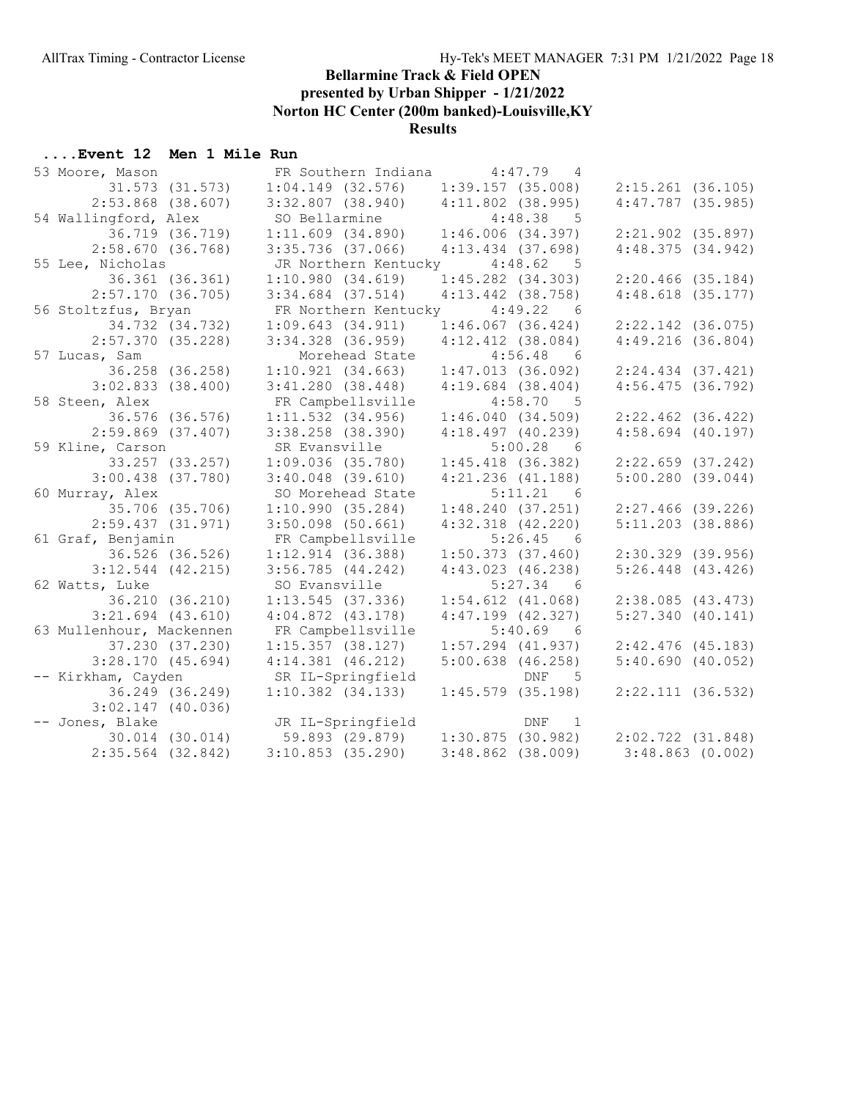# Results

# ....Event 12 Men 1 Mile Run

| 53 Moore, Mason          | FR Southern Indiana 4:47.79 4             |                                      |                       |
|--------------------------|-------------------------------------------|--------------------------------------|-----------------------|
| 31.573 (31.573)          | $1:04.149$ (32.576)                       | 1:39.157(35.008)                     | $2:15.261$ (36.105)   |
| $2:53.868$ (38.607)      | 3:32.807(38.940)                          | $4:11.802$ (38.995)                  | $4:47.787$ (35.985)   |
| 54 Wallingford, Alex     | SO Bellarmine                             | $4:48.38$ 5                          |                       |
| 36.719 (36.719)          | 1:11.609(34.890)                          | 1:46.006(34.397)                     | $2:21.902$ (35.897)   |
| 2:58.670(36.768)         | $3:35.736$ (37.066)                       | $4:13.434$ $(37.698)$                | 4:48.375(34.942)      |
| 55 Lee, Nicholas         | JR Northern Kentucky 4:48.62              | $-5$                                 |                       |
| 36.361 (36.361)          | 1:10.980(34.619)                          | $1:45.282$ $(34.303)$                | $2:20.466$ (35.184)   |
| 2:57.170(36.705)         | $3:34.684$ (37.514)                       | $4:13.442$ $(38.758)$                | $4:48.618$ $(35.177)$ |
| 56 Stoltzfus, Bryan      | FR Northern Kentucky 4:49.22 6            |                                      |                       |
| 34.732 (34.732)          | 1:09.643(34.911)                          | 1:46.067(36.424)                     | $2:22.142$ (36.075)   |
| $2:57.370$ (35.228)      | $3:34.328$ $(36.959)$                     | $4:12.412$ $(38.084)$                | 4:49.216(36.804)      |
| 57 Lucas, Sam            | Morehead State                            | $4:56.48$ 6                          |                       |
| 36.258 (36.258)          | 1:10.921(34.663)                          | $1:47.013$ (36.092)                  | $2:24.434$ $(37.421)$ |
| $3:02.833$ $(38.400)$    | 3:41.280(38.448)                          | $4:19.684$ $(38.404)$                | $4:56.475$ (36.792)   |
| 58 Steen, Alex           | FR Campbellsville                         | $4:58.70$ 5                          |                       |
| 36.576 (36.576)          | $1:11.532$ $(34.956)$                     | 1:46.040(34.509)                     | $2:22.462$ $(36.422)$ |
| $2:59.869$ (37.407)      | $3:38.258$ $(38.390)$                     | $4:18.497$ $(40.239)$                | $4:58.694$ (40.197)   |
| 59 Kline, Carson         | SR Evansville                             | $5:00.28$ 6                          |                       |
| 33.257 (33.257)          | $1:09.036$ (35.780)                       | $1:45.418$ (36.382)                  | $2:22.659$ (37.242)   |
| $3:00.438$ $(37.780)$    | $3:40.048$ (39.610)                       | $4:21.236$ $(41.188)$                | 5:00.280(39.044)      |
| 60 Murray, Alex          | SO Morehead State                         | $5:11.21$ 6                          |                       |
| 35.706 (35.706)          | 1:10.990(35.284)                          | 1:48.240(37.251)                     | $2:27.466$ (39.226)   |
| 2:59.437 (31.971)        | $3:50.098$ (50.661)                       | $4:32.318$ $(42.220)$                | $5:11.203$ (38.886)   |
| 61 Graf, Benjamin        | FR Campbellsville                         | $5:26.45$ 6                          |                       |
| 36.526 (36.526)          | 1:12.914(36.388)                          | $1:50.373$ $(37.460)$                | $2:30.329$ $(39.956)$ |
| $3:12.544$ (42.215)      | $3:56.785$ $(44.242)$                     | $4:43.023$ $(46.238)$                | $5:26.448$ (43.426)   |
| 62 Watts, Luke           | SO Evansville                             | 5:27.34 6                            |                       |
| 36.210 (36.210)          | $1:13.545$ (37.336)                       | $1:54.612$ $(41.068)$                | 2:38.085(43.473)      |
| $3:21.694$ $(43.610)$    | $4:04.872$ $(43.178)$                     | $4:47.199$ $(42.327)$                | 5:27.340(40.141)      |
| 63 Mullenhour, Mackennen | FR Campbellsville                         | $5:40.69$ 6                          |                       |
| 37.230 (37.230)          | $1:15.357$ (38.127)                       | $1:57.294$ (41.937)                  | $2:42.476$ (45.183)   |
| 3:28.170(45.694)         | $4:14.381$ $(46.212)$                     | $5:00.638$ (46.258)                  | 5:40.690(40.052)      |
| -- Kirkham, Cayden       | SR IL-Springfield                         | <b>Example 19 DNF</b><br>$5^{\circ}$ |                       |
| 36.249 (36.249)          | $1:10.382$ $(34.133)$                     | $1:45.579$ (35.198)                  | 2:22.111(36.532)      |
| $3:02.147$ (40.036)      |                                           |                                      |                       |
| -- Jones, Blake          | JR IL-Springfield                         | DNF 1                                |                       |
| $30.014$ $(30.014)$      | $59.893$ $(29.879)$ $1:30.875$ $(30.982)$ |                                      | $2:02.722$ $(31.848)$ |
| $2:35.564$ (32.842)      | $3:10.853$ (35.290)                       | $3:48.862$ (38.009)                  | $3:48.863$ (0.002)    |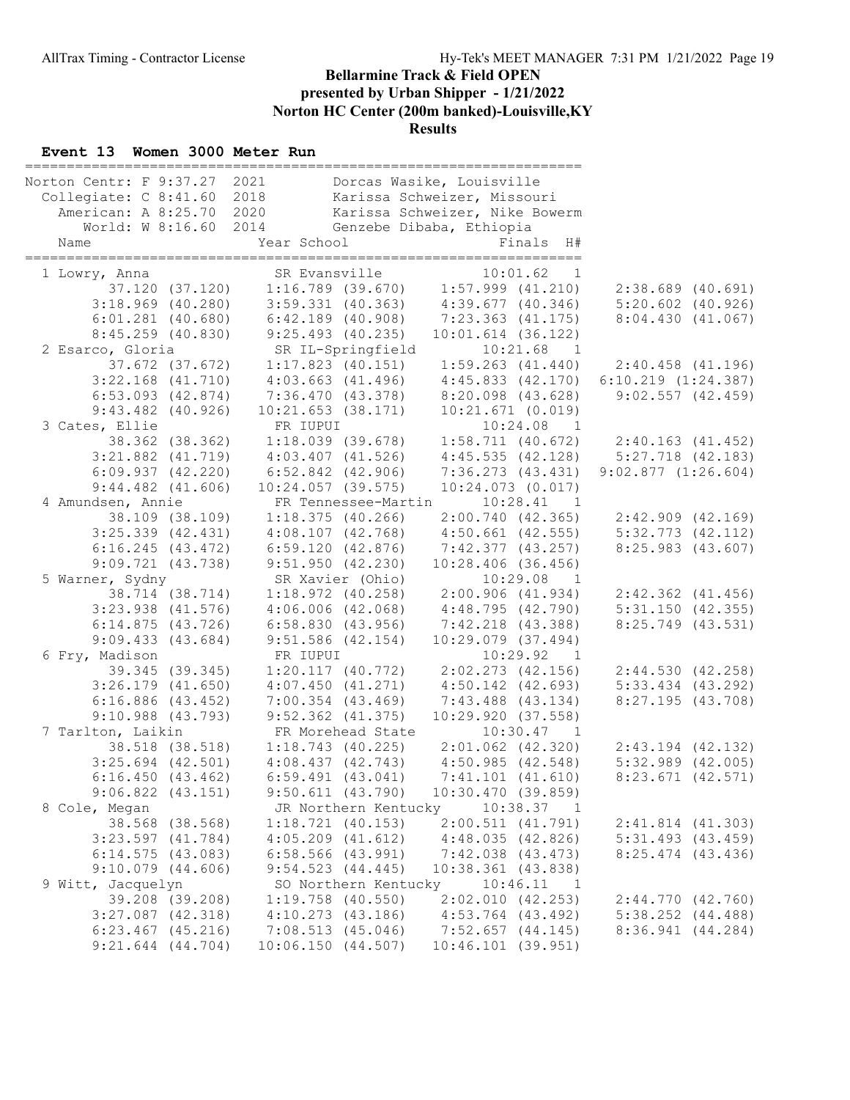#### Event 13 Women 3000 Meter Run

| Norton Centr: F 9:37.27 2021 |                       |                       | Dorcas Wasike, Louisville               |                                        |                |                         |  |
|------------------------------|-----------------------|-----------------------|-----------------------------------------|----------------------------------------|----------------|-------------------------|--|
| Collegiate: C 8:41.60 2018   |                       |                       | Karissa Schweizer, Missouri             |                                        |                |                         |  |
| American: A 8:25.70 2020     |                       |                       | Karissa Schweizer, Nike Bowerm          |                                        |                |                         |  |
|                              | World: W 8:16.60 2014 |                       | Genzebe Dibaba, Ethiopia                |                                        |                |                         |  |
| Name                         |                       | Year School           |                                         |                                        | Finals H#      |                         |  |
|                              |                       |                       |                                         |                                        |                |                         |  |
| 1 Lowry, Anna                |                       | SR Evansville         |                                         | 10:01.62                               | $\overline{1}$ |                         |  |
|                              | 37.120 (37.120)       |                       | $1:16.789$ (39.670) $1:57.999$ (41.210) |                                        |                | $2:38.689$ $(40.691)$   |  |
|                              | $3:18.969$ (40.280)   |                       | $3:59.331$ (40.363) 4:39.677 (40.346)   |                                        |                | $5:20.602$ $(40.926)$   |  |
|                              | $6:01.281$ $(40.680)$ | $6:42.189$ $(40.908)$ |                                         | 7:23.363 (41.175)                      |                | 8:04.430(41.067)        |  |
|                              | 8:45.259 (40.830)     | 9:25.493(40.235)      |                                         | $10:01.614$ (36.122)                   |                |                         |  |
| 2 Esarco, Gloria             |                       | SR IL-Springfield     |                                         | 10:21.68                               | $\overline{1}$ |                         |  |
|                              | 37.672 (37.672)       | $1:17.823$ (40.151)   |                                         | $1:59.263$ $(41.440)$                  |                | $2:40.458$ $(41.196)$   |  |
|                              | $3:22.168$ $(41.710)$ | $4:03.663$ $(41.496)$ |                                         | 4:45.833 (42.170)                      |                | $6:10.219$ $(1:24.387)$ |  |
|                              | $6:53.093$ $(42.874)$ | 7:36.470 (43.378)     |                                         | $8:20.098$ $(43.628)$                  |                | 9:02.557(42.459)        |  |
|                              | $9:43.482$ $(40.926)$ | $10:21.653$ (38.171)  |                                         | 10:21.671(0.019)                       |                |                         |  |
| 3 Cates, Ellie               |                       | FR IUPUI              |                                         |                                        | $10:24.08$ 1   |                         |  |
|                              | 38.362 (38.362)       | 1:18.039(39.678)      |                                         | 1:58.711(40.672)                       |                | 2:40.163(41.452)        |  |
|                              | $3:21.882$ $(41.719)$ | $4:03.407$ $(41.526)$ |                                         | 4:45.535(42.128)                       |                | $5:27.718$ $(42.183)$   |  |
|                              | $6:09.937$ $(42.220)$ | 6:52.842 (42.906)     |                                         | 7:36.273(43.431)                       |                | 9:02.877(1:26.604)      |  |
|                              | $9:44.482$ $(41.606)$ | $10:24.057$ (39.575)  |                                         | $10:24.073$ $(0.017)$                  |                |                         |  |
| 4 Amundsen, Annie            |                       |                       | FR Tennessee-Martin                     | 10:28.41                               | $\overline{1}$ |                         |  |
|                              | 38.109 (38.109)       | 1:18.375(40.266)      |                                         | 2:00.740(42.365)                       |                | $2:42.909$ $(42.169)$   |  |
|                              | $3:25.339$ $(42.431)$ | 4:08.107(42.768)      |                                         | $4:50.661$ (42.555)                    |                | $5:32.773$ $(42.112)$   |  |
|                              | 6:16.245(43.472)      | 6:59.120(42.876)      |                                         | 7:42.377(43.257)                       |                | 8:25.983(43.607)        |  |
|                              | 9:09.721(43.738)      | 9:51.950(42.230)      |                                         | $10:28.406$ (36.456)                   |                |                         |  |
| 5 Warner, Sydny              |                       | SR Xavier (Ohio)      |                                         | 10:29.08                               | $\overline{1}$ |                         |  |
|                              | 38.714 (38.714)       | $1:18.972$ (40.258)   |                                         |                                        |                | $2:42.362$ $(41.456)$   |  |
|                              | $3:23.938$ $(41.576)$ | $4:06.006$ $(42.068)$ |                                         | 2:00.906 (41.934)<br>4:48.795 (42.790) |                | $5:31.150$ (42.355)     |  |
|                              | 6:14.875(43.726)      | 6:58.830(43.956)      |                                         | $7:42.218$ $(43.388)$                  |                | 8:25.749 (43.531)       |  |
|                              | 9:09.433(43.684)      | $9:51.586$ $(42.154)$ |                                         | $10:29.079$ $(37.494)$                 |                |                         |  |
| 6 Fry, Madison               |                       | FR IUPUI              |                                         | 10:29.92                               | $\overline{1}$ |                         |  |
|                              | 39.345 (39.345)       | 1:20.117(40.772)      |                                         | 2:02.273 (42.156)                      |                | 2:44.530(42.258)        |  |
|                              | $3:26.179$ $(41.650)$ | 4:07.450(41.271)      |                                         | $4:50.142$ $(42.693)$                  |                | $5:33.434$ $(43.292)$   |  |
|                              | $6:16.886$ (43.452)   | $7:00.354$ $(43.469)$ |                                         | $7:43.488$ (43.134)                    |                | 8:27.195(43.708)        |  |
|                              | $9:10.988$ $(43.793)$ | $9:52.362$ $(41.375)$ |                                         | 10:29.920(37.558)                      |                |                         |  |
| 7 Tarlton, Laikin            |                       | FR Morehead State     |                                         |                                        | 10:30.47 1     |                         |  |
|                              | 38.518 (38.518)       | 1:18.743(40.225)      |                                         | $2:01.062$ $(42.320)$                  |                | $2:43.194$ $(42.132)$   |  |
|                              | $3:25.694$ $(42.501)$ | 4:08.437(42.743)      |                                         | 4:50.985(42.548)                       |                | $5:32.989$ $(42.005)$   |  |
|                              | 6:16.450(43.462)      | $6:59.491$ $(43.041)$ |                                         | $7:41.101$ $(41.610)$                  |                | $8:23.671$ $(42.571)$   |  |
|                              | $9:06.822$ $(43.151)$ | $9:50.611$ $(43.790)$ |                                         | 10:30.470(39.859)                      |                |                         |  |
| 8 Cole, Megan                |                       |                       | JR Northern Kentucky                    | 10:38.37                               | $\overline{1}$ |                         |  |
|                              | 38.568 (38.568)       | 1:18.721(40.153)      |                                         | 2:00.511(41.791)                       |                | 2:41.814(41.303)        |  |
|                              | $3:23.597$ $(41.784)$ | $4:05.209$ $(41.612)$ |                                         | 4:48.035(42.826)                       |                | $5:31.493$ $(43.459)$   |  |
|                              | 6:14.575(43.083)      | $6:58.566$ (43.991)   |                                         | $7:42.038$ $(43.473)$                  |                | $8:25.474$ $(43.436)$   |  |
|                              | $9:10.079$ $(44.606)$ | $9:54.523$ $(44.445)$ |                                         | 10:38.361(43.838)                      |                |                         |  |
| 9 Witt, Jacquelyn            |                       |                       | SO Northern Kentucky                    | 10:46.11                               | $\overline{1}$ |                         |  |
|                              | 39.208 (39.208)       | $1:19.758$ (40.550)   |                                         | 2:02.010(42.253)                       |                | 2:44.770(42.760)        |  |
|                              | $3:27.087$ $(42.318)$ | $4:10.273$ $(43.186)$ |                                         | $4:53.764$ (43.492)                    |                | $5:38.252$ $(44.488)$   |  |
|                              | $6:23.467$ $(45.216)$ | 7:08.513(45.046)      |                                         | $7:52.657$ $(44.145)$                  |                | 8:36.941(44.284)        |  |
|                              | $9:21.644$ $(44.704)$ | 10:06.150(44.507)     |                                         | $10:46.101$ (39.951)                   |                |                         |  |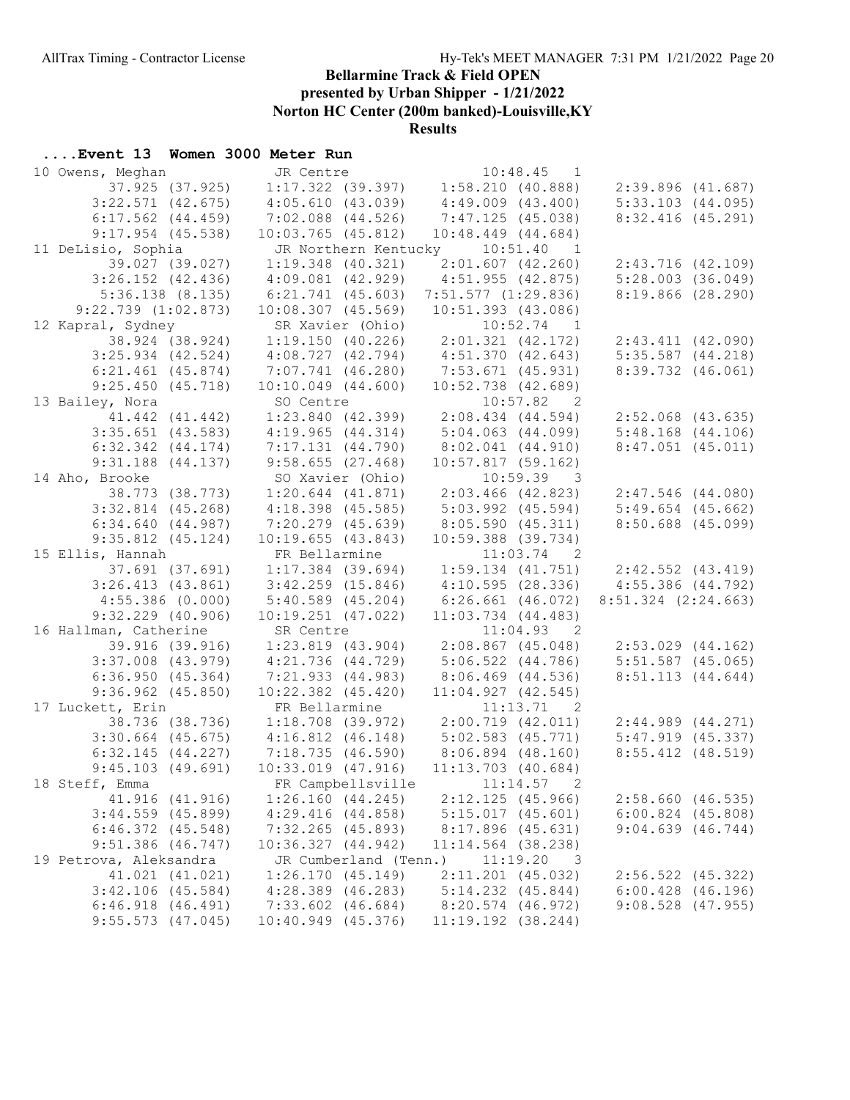presented by Urban Shipper - 1/21/2022

Norton HC Center (200m banked)-Louisville,KY

#### Results

| 10 Owens, Meghan                             | JR Centre                                                   | JR Centre 10:48.45 1<br>1:17.322 (39.397) 1:58.210 (40.888) |                                                |
|----------------------------------------------|-------------------------------------------------------------|-------------------------------------------------------------|------------------------------------------------|
| 37.925 (37.925)                              |                                                             |                                                             | 2:39.896(41.687)                               |
| $3:22.571$ $(42.675)$                        | 4:05.610(43.039)                                            | $4:49.009$ $(43.400)$                                       | $5:33.103$ $(44.095)$                          |
| $6:17.562$ $(44.459)$                        | $7:02.088$ $(44.526)$                                       | 7:47.125(45.038)                                            | 8:32.416(45.291)                               |
| $9:17.954$ (45.538)                          | $10:03.765$ $(45.812)$                                      | $10:48.449$ $(44.684)$                                      |                                                |
| 11 DeLisio, Sophia                           |                                                             | JR Northern Kentucky 10:51.40 1                             |                                                |
| 39.027 (39.027)                              | 1:19.348 (40.321)                                           | 2:01.607(42.260)                                            | $2:43.716$ (42.109)                            |
| $3:26.152$ $(42.436)$                        | $4:09.081$ $(42.929)$                                       | 4:51.955 (42.875)                                           | 5:28.003(36.049)                               |
| $5:36.138$ $(8.135)$                         | $6:21.741$ (45.603)                                         | $7:51.577$ $(1:29.836)$                                     | 8:19.866(28.290)                               |
| $9:22.739$ $(1:02.873)$                      | $10:08.307$ $(45.569)$                                      | 10:51.393 (43.086)                                          |                                                |
| 12 Kapral, Sydney                            | SR Xavier (Ohio)                                            | $10:52.74$ 1                                                |                                                |
| 38.924 (38.924)                              | $1:19.150$ (40.226) $2:01.321$ (42.172)                     |                                                             | $2:43.411$ $(42.090)$                          |
| $3:25.934$ $(42.524)$                        | 4:08.727(42.794)                                            | 4:51.370(42.643)                                            | 5:35.587(44.218)                               |
|                                              | $6:21.461$ (45.874) 7:07.741 (46.280)                       | $7:53.671$ (45.931)                                         | $8:39.732$ $(46.061)$                          |
| 9:25.450(45.718)                             | $10:10.049$ $(44.600)$                                      | $10:52.738$ (42.689)                                        |                                                |
| 13 Bailey, Nora                              |                                                             | $10:57.82$ 2                                                |                                                |
| 41.442 (41.442)                              | SO Centre<br>1:23.840 (42.399)                              | 10:57.82 2<br>2:08.434 (44.594)                             | $2:52.068$ $(43.635)$                          |
| $3:35.651$ (43.583)                          | 4:19.965(44.314)                                            | $5:04.063$ (44.099)                                         | $5:48.168$ $(44.106)$                          |
| $6:32.342$ $(44.174)$                        | 7:17.131 (44.790)                                           | $8:02.041$ $(44.910)$                                       | $8:47.051$ (45.011)                            |
| $9:31.188$ $(44.137)$                        | $9:58.655$ (27.468)                                         | 10:57.817(59.162)                                           |                                                |
| 14 Aho, Brooke                               | SO Xavier (Ohio)                                            | $10:59.39$ 3                                                |                                                |
| 38.773 (38.773)                              | $1:20.644$ $(41.871)$                                       | $2:03.466$ (42.823)                                         | $2:47.546$ $(44.080)$                          |
| $3:32.814$ $(45.268)$                        | $4:18.398$ (45.585)                                         | $5:03.992$ $(45.594)$                                       | $5:49.654$ (45.662)                            |
| 6:34.640(44.987)                             | $7:20.279$ $(45.639)$                                       | 8:05.590 (45.311)                                           | $8:50.688$ $(45.099)$                          |
| $9:35.812$ $(45.124)$                        | 10:19.655(43.843)                                           | $10:59.388$ (39.734)                                        |                                                |
|                                              |                                                             |                                                             |                                                |
| 15 Ellis, Hannah                             | FR Bellarmine                                               | $11:03.74$ 2                                                |                                                |
| 37.691 (37.691)                              | $1:17.384$ (39.694)                                         | $1:59.134$ $(41.751)$                                       |                                                |
| 3:26.413(43.861)                             | $3:42.259$ $(15.846)$                                       | 4:10.595(28.336)                                            | $2:42.552$ $(43.419)$<br>$4:55.386$ $(44.792)$ |
| 4:55.386(0.000)                              | 5:40.589(45.204)                                            | $6:26.661$ $(46.072)$                                       | $8:51.324$ $(2:24.663)$                        |
| $9:32.229$ $(40.906)$                        | $10:19.251$ $(47.022)$                                      | $11:03.734$ $(44.483)$                                      |                                                |
| 16 Hallman, Catherine                        | SR Centre                                                   | 11:04.93 2                                                  |                                                |
| 39.916 (39.916)                              | $1:23.819$ $(43.904)$                                       | $2:08.867$ (45.048)                                         | 2:53.029 (44.162)                              |
| $3:37.008$ $(43.979)$                        | 4:21.736 (44.729)                                           | $5:06.522$ $(44.786)$                                       | $5:51.587$ (45.065)                            |
| 6:36.950(45.364)                             | 7:21.933 (44.983)                                           | $8:06.469$ $(44.536)$                                       | 8:51.113(44.644)                               |
| $9:36.962$ $(45.850)$                        | $10:22.382$ $(45.420)$                                      | $11:04.927$ $(42.545)$                                      |                                                |
| 17 Luckett, Erin                             | FR Bellarmine                                               | 11:13.71 2                                                  |                                                |
|                                              |                                                             | 38.736 (38.736) 1:18.708 (39.972) 2:00.719 (42.011)         | 2:44.989(44.271)                               |
|                                              | $3:30.664$ (45.675) $4:16.812$ (46.148) $5:02.583$ (45.771) |                                                             | $5:47.919$ $(45.337)$                          |
| 6:32.145(44.227)                             | 7:18.735 (46.590) 8:06.894 (48.160)                         |                                                             | $8:55.412$ $(48.519)$                          |
| 9:45.103(49.691)                             | $10:33.019$ $(47.916)$                                      | $11:13.703$ (40.684)                                        |                                                |
| 18 Steff, Emma                               |                                                             | FR Campbellsville 11:14.57 2                                |                                                |
| 41.916 (41.916)                              | 1:26.160(44.245)                                            | $2:12.125$ (45.966)                                         | 2:58.660(46.535)                               |
| $3:44.559$ (45.899)                          | 4:29.416(44.858)                                            | $5:15.017$ $(45.601)$                                       | $6:00.824$ $(45.808)$                          |
| $6:46.372$ $(45.548)$                        | $7:32.265$ (45.893)                                         | $8:17.896$ (45.631)                                         | 9:04.639(46.744)                               |
| $9:51.386$ (46.747)                          | 10:36.327(44.942)                                           | $11:14.564$ (38.238)                                        |                                                |
| 19 Petrova, Aleksandra                       | JR Cumberland (Tenn.)                                       | 11:19.20<br>- 3                                             |                                                |
| 41.021 (41.021)                              | 1:26.170(45.149)                                            | $2:11.201$ (45.032)                                         | $2:56.522$ $(45.322)$                          |
| $3:42.106$ (45.584)                          | $4:28.389$ $(46.283)$                                       | $5:14.232$ $(45.844)$                                       | $6:00.428$ $(46.196)$                          |
| $6:46.918$ $(46.491)$<br>$9:55.573$ (47.045) | $7:33.602$ $(46.684)$<br>$10:40.949$ $(45.376)$             | 8:20.574 (46.972)<br>11:19.192 (38.244)                     | $9:08.528$ (47.955)                            |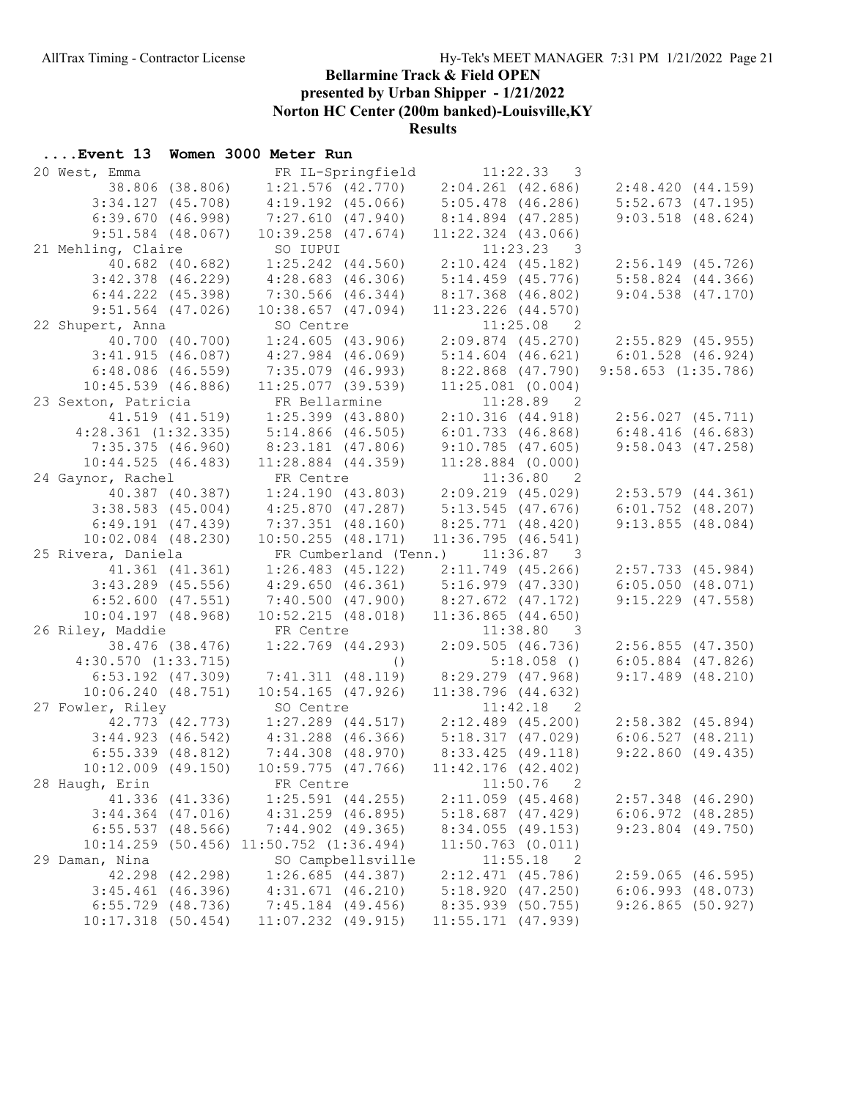presented by Urban Shipper - 1/21/2022

Norton HC Center (200m banked)-Louisville,KY

Results

| 20 West, Emma                                 | FR IL-Springfield                           | 11:22.33<br>3                           |                                     |
|-----------------------------------------------|---------------------------------------------|-----------------------------------------|-------------------------------------|
| 38.806 (38.806)                               |                                             | $1:21.576$ (42.770) $2:04.261$ (42.686) | 2:48.420(44.159)                    |
| $3:34.127$ $(45.708)$                         | $4:19.192$ $(45.066)$                       | $5:05.478$ (46.286)                     | $5:52.673$ $(47.195)$               |
| 6:39.670(46.998)                              | 7:27.610(47.940)                            | 8:14.894 (47.285)                       | $9:03.518$ $(48.624)$               |
| $9:51.584$ (48.067)                           | $10:39.258$ $(47.674)$                      | $11:22.324$ $(43.066)$                  |                                     |
| 21 Mehling, Claire                            | SO IUPUI                                    | $11:23.23$ 3                            |                                     |
| 40.682 (40.682)                               | $1:25.242$ $(44.560)$                       | $2:10.424$ (45.182)                     | $2:56.149$ (45.726)                 |
| $3:42.378$ $(46.229)$                         | 4:28.683(46.306)                            | $5:14.459$ (45.776)                     | $5:58.824$ $(44.366)$               |
| $6:44.222$ $(45.398)$                         | 7:30.566 (46.344)                           | $8:17.368$ (46.802)                     | $9:04.538$ $(47.170)$               |
| $9:51.564$ (47.026)                           | $10:38.657$ $(47.094)$                      | $11:23.226$ $(44.570)$                  |                                     |
| 22 Shupert, Anna                              | SO Centre                                   | $11:25.08$ 2                            |                                     |
| 40.700 (40.700)                               | 1:24.605(43.906)                            |                                         | 2:09.874 (45.270) 2:55.829 (45.955) |
| 3:41.915(46.087)                              | $4:27.984$ $(46.069)$                       | $5:14.604$ $(46.621)$                   | $6:01.528$ $(46.924)$               |
| $6:48.086$ $(46.559)$                         | $7:35.079$ (46.993)                         | $8:22.868$ $(47.790)$                   | $9:58.653$ $(1:35.786)$             |
| $10:45.539$ (46.886)                          | $11:25.077$ (39.539)                        | $11:25.081$ (0.004)                     |                                     |
| 23 Sexton, Patricia                           | FR Bellarmine                               | 11:28.89 2                              |                                     |
| 41.519 (41.519)                               | $1:25.399$ $(43.880)$                       | 2:10.316(44.918)                        | 2:56.027(45.711)                    |
| $4:28.361$ $(1:32.335)$                       | $5:14.866$ (46.505)                         | 6:01.733(46.868)                        | 6:48.416(46.683)                    |
| 7:35.375(46.960)                              | 8:23.181 (47.806)                           | 9:10.785(47.605)                        | $9:58.043$ (47.258)                 |
| 10:44.525(46.483)                             | $11:28.884$ $(44.359)$                      | $11:28.884$ (0.000)                     |                                     |
| 24 Gaynor, Rachel                             | FR Centre                                   | 11:36.80 2                              |                                     |
| 40.387 (40.387)                               | 1:24.190(43.803)                            | $2:09.219$ $(45.029)$                   | $2:53.579$ $(44.361)$               |
| $3:38.583$ $(45.004)$                         | 4:25.870(47.287)                            | 5:13.545(47.676)                        | $6:01.752$ $(48.207)$               |
| 6:49.191(47.439)                              | $7:37.351$ (48.160)                         | $8:25.771$ (48.420)                     | 9:13.855(48.084)                    |
| $10:02.084$ $(48.230)$                        | $10:50.255$ $(48.171)$                      | 11:36.795(46.541)                       |                                     |
| 25 Rivera, Daniela                            | FR Cumberland (Tenn.) 11:36.87 3            |                                         |                                     |
| 41.361 (41.361)                               | $1:26.483$ (45.122)                         | $2:11.749$ (45.266)                     | $2:57.733$ (45.984)                 |
| $3:43.289$ (45.556)                           | 4:29.650(46.361)                            | 5:16.979 (47.330)                       | 6:05.050(48.071)                    |
| $6:52.600$ $(47.551)$                         | 7:40.500 (47.900)                           | $8:27.672$ (47.172)                     | $9:15.229$ (47.558)                 |
| $10:04.197$ $(48.968)$                        | 10:52.215(48.018)                           | $11:36.865$ $(44.650)$                  |                                     |
| 26 Riley, Maddie                              | FR Centre                                   | 11:38.80 3                              |                                     |
| 38.476 (38.476)                               | $1:22.769$ $(44.293)$                       | 2:09.505(46.736)                        | 2:56.855(47.350)                    |
| $4:30.570$ $(1:33.715)$                       | $\left( \ \right)$                          | $5:18.058$ ()                           | $6:05.884$ $(47.826)$               |
| $6:53.192$ $(47.309)$                         | 7:41.311(48.119)                            | 8:29.279 (47.968)                       | $9:17.489$ $(48.210)$               |
| 10:06.240(48.751)                             | $10:54.165$ (47.926)                        | $11:38.796$ (44.632)                    |                                     |
| 27 Fowler, Riley                              | SO Centre                                   | $11:42.18$ 2                            |                                     |
| 42.773 (42.773)                               | $1:27.289$ (44.517) $2:12.489$ (45.200)     |                                         | $2:58.382$ (45.894)                 |
| 3:44.923(46.542)                              | $4:31.288$ (46.366)                         | 5:18.317(47.029)                        | 6:06.527(48.211)                    |
| $6:55.339$ $(48.812)$                         | 7:44.308 (48.970)                           | 8:33.425 (49.118)                       | 9:22.860(49.435)                    |
| $10:12.009$ (49.150)                          | $10:59.775$ $(47.766)$                      | $11:42.176$ (42.402)                    |                                     |
| 28 Haugh, Erin                                | FR Centre                                   | 11:50.76<br>2                           |                                     |
| 41.336 (41.336)                               | $1:25.591$ $(44.255)$                       | $2:11.059$ (45.468)                     | $2:57.348$ (46.290)                 |
| $3:44.364$ $(47.016)$                         | $4:31.259$ $(46.895)$                       | $5:18.687$ (47.429)                     | $6:06.972$ $(48.285)$               |
| $6:55.537$ $(48.566)$                         | $7:44.902$ (49.365)                         | 8:34.055(49.153)                        | $9:23.804$ (49.750)                 |
|                                               | $10:14.259$ (50.456) $11:50.752$ (1:36.494) | $11:50.763$ (0.011)                     |                                     |
| 29 Daman, Nina                                | SO Campbellsville                           | 11:55.18<br>2                           |                                     |
| 42.298 (42.298)                               | 1:26.685(44.387)                            | $2:12.471$ (45.786)                     | $2:59.065$ (46.595)                 |
| $3:45.461$ (46.396)                           | $4:31.671$ $(46.210)$                       | 5:18.920(47.250)                        | 6:06.993(48.073)                    |
|                                               | $7:45.184$ (49.456)                         | 8:35.939 (50.755)                       | 9:26.865(50.927)                    |
| $6:55.729$ $(48.736)$<br>$10:17.318$ (50.454) | $11:07.232$ (49.915)                        | $11:55.171$ (47.939)                    |                                     |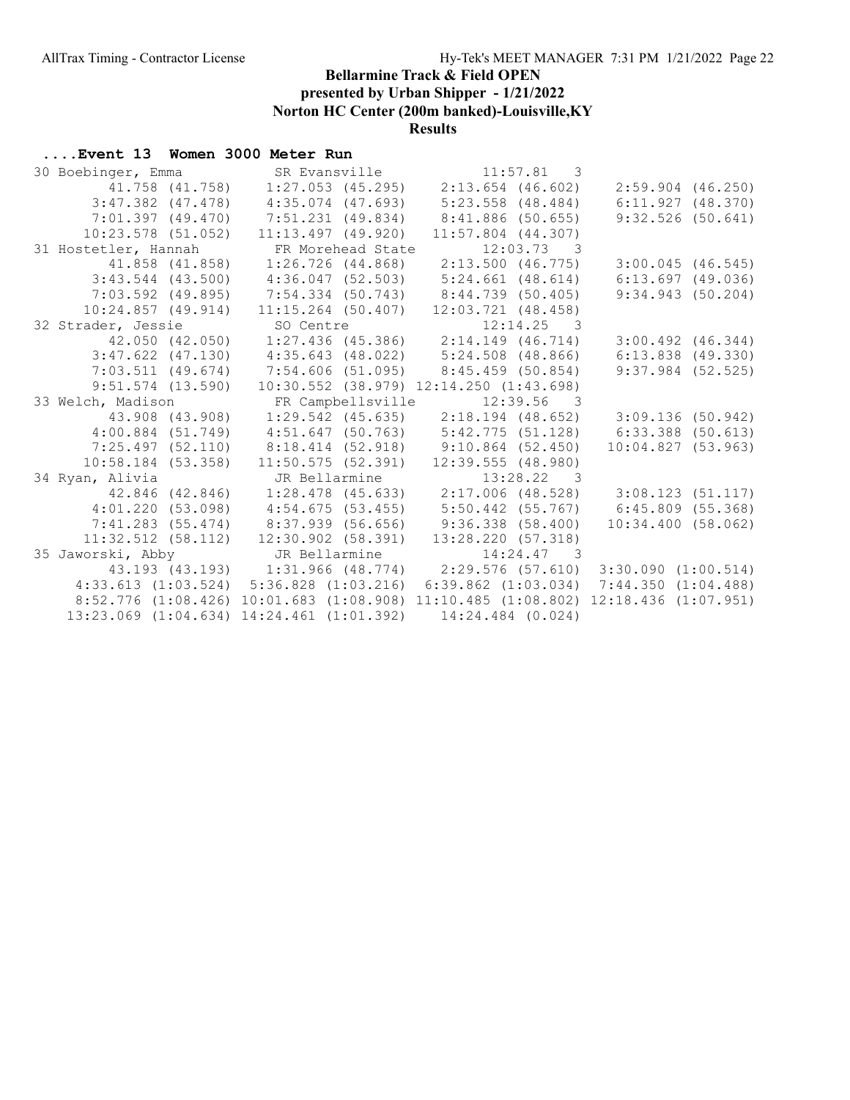presented by Urban Shipper - 1/21/2022

Norton HC Center (200m banked)-Louisville,KY

#### Results

| 30 Boebinger, Emma    |                                                                         | SR Evansville 11:57.81 3                                    |              |                          |                       |
|-----------------------|-------------------------------------------------------------------------|-------------------------------------------------------------|--------------|--------------------------|-----------------------|
|                       | 41.758 (41.758)  1:27.053 (45.295)  2:13.654 (46.602)                   |                                                             |              |                          | $2:59.904$ (46.250)   |
|                       | $3:47.382$ (47.478) $4:35.074$ (47.693)                                 | $5:23.558$ (48.484)                                         |              |                          | 6:11.927(48.370)      |
| $7:01.397$ (49.470)   | 7:51.231 (49.834)                                                       | 8:41.886 (50.655)                                           |              |                          | $9:32.526$ (50.641)   |
| $10:23.578$ (51.052)  | $11:13.497$ (49.920)                                                    | $11:57.804$ (44.307)                                        |              |                          |                       |
| 31 Hostetler, Hannah  | FR Morehead State                                                       |                                                             | $12:03.73$ 3 |                          |                       |
|                       | 41.858 (41.858) 1:26.726 (44.868)                                       | 2:13.500 (46.775)                                           |              |                          | $3:00.045$ (46.545)   |
| $3:43.544$ (43.500)   | $4:36.047$ (52.503)                                                     | $5:24.661$ (48.614)                                         |              |                          | $6:13.697$ (49.036)   |
|                       | 7:03.592 (49.895) 7:54.334 (50.743) 8:44.739 (50.405)                   |                                                             |              |                          | 9:34.943(50.204)      |
| $10:24.857$ (49.914)  |                                                                         | $11:15.264$ (50.407) $12:03.721$ (48.458)                   |              |                          |                       |
| 32 Strader, Jessie    |                                                                         | SO Centre 12:14.25 3<br>1:27.436 (45.386) 2:14.149 (46.714) |              |                          |                       |
| 42.050 (42.050)       |                                                                         |                                                             |              |                          | $3:00.492$ $(46.344)$ |
|                       | $3:47.622$ (47.130) $4:35.643$ (48.022) $5:24.508$ (48.866)             |                                                             |              |                          | $6:13.838$ (49.330)   |
|                       | $7:03.511$ (49.674) $7:54.606$ (51.095)                                 | $8:45.459$ (50.854)                                         |              |                          | $9:37.984$ (52.525)   |
| $9:51.574$ $(13.590)$ |                                                                         | 10:30.552 (38.979) 12:14.250 (1:43.698)                     |              |                          |                       |
| 33 Welch, Madison     | FR Campbellsville                                                       | $12:39.56$ 3                                                |              |                          |                       |
|                       |                                                                         |                                                             |              |                          |                       |
|                       |                                                                         |                                                             |              |                          | 3:09.136(50.942)      |
|                       | 4:00.884 (51.749) 4:51.647 (50.763) 5:42.775 (51.128) 6:33.388 (50.613) |                                                             |              |                          |                       |
|                       | 7:25.497 (52.110) 8:18.414 (52.918) 9:10.864 (52.450)                   |                                                             |              | 10:04.827(53.963)        |                       |
| $10:58.184$ (53.358)  | 11:50.575(52.391)                                                       | $12:39.555$ (48.980)                                        |              |                          |                       |
| 34 Ryan, Alivia       |                                                                         | JR Bellarmine 13:28.22 3                                    |              |                          |                       |
|                       | 42.846 (42.846) 1:28.478 (45.633) 2:17.006 (48.528) 3:08.123 (51.117)   |                                                             |              |                          |                       |
|                       | $4:01.220$ (53.098) $4:54.675$ (53.455)                                 | $5:50.442$ (55.767)                                         |              | $6:45.809$ (55.368)      |                       |
|                       | 7:41.283 (55.474) 8:37.939 (56.656)                                     | 9:36.338(58.400)                                            |              | 10:34.400(58.062)        |                       |
|                       | $11:32.512$ (58.112) $12:30.902$ (58.391)                               | 13:28.220 (57.318)                                          |              |                          |                       |
|                       |                                                                         |                                                             |              |                          |                       |
|                       | 43.193 (43.193) 1:31.966 (48.774) 2:29.576 (57.610) 3:30.090 (1:00.514) |                                                             |              |                          |                       |
|                       | $4:33.613$ $(1:03.524)$ $5:36.828$ $(1:03.216)$                         | $6:39.862$ $(1:03.034)$ $7:44.350$ $(1:04.488)$             |              |                          |                       |
|                       | 8:52.776 (1:08.426) 10:01.683 (1:08.908) 11:10.485 (1:08.802)           |                                                             |              | $12:18.436$ $(1:07.951)$ |                       |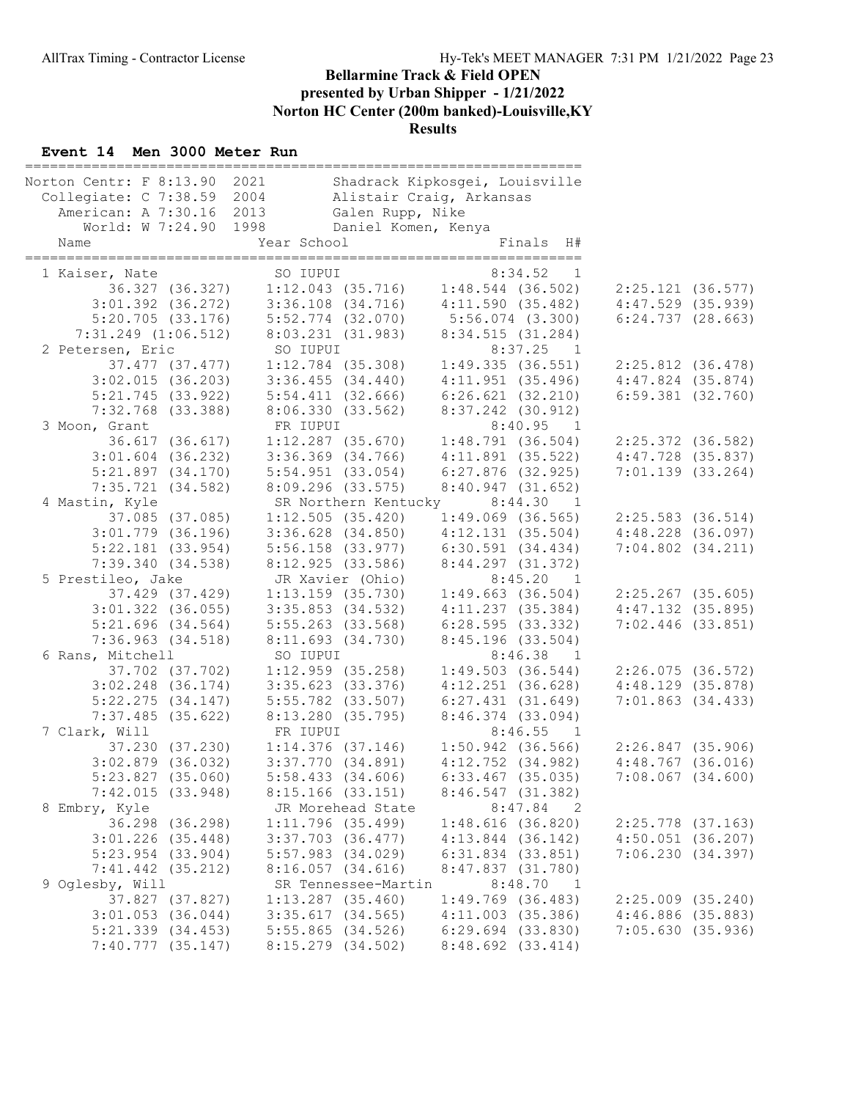| Norton Centr: F 8:13.90 2021<br>Collegiate: C 7:38.59 2004<br>American: A 7:30.16 2013<br>World: W 7:24.90 1998<br>Name | Galen Rupp, Nike<br>Daniel Komen, Kenya<br>Year School | Shadrack Kipkosgei, Louisville<br>Alistair Craig, Arkansas<br>Finals H# |                       |  |
|-------------------------------------------------------------------------------------------------------------------------|--------------------------------------------------------|-------------------------------------------------------------------------|-----------------------|--|
| 1 Kaiser, Nate<br>36.327 (36.327)                                                                                       | SO IUPUI<br>$1:12.043$ (35.716) $1:48.544$ (36.502)    | 8:34.52<br>1                                                            | 2:25.121(36.577)      |  |
| $3:01.392$ $(36.272)$                                                                                                   | $3:36.108$ $(34.716)$                                  | 4:11.590(35.482)                                                        | $4:47.529$ $(35.939)$ |  |
| 5:20.705(33.176)                                                                                                        | $5:52.774$ (32.070)                                    | $5:56.074$ $(3.300)$                                                    | 6:24.737(28.663)      |  |
| $7:31.249$ $(1:06.512)$                                                                                                 | 8:03.231 (31.983)                                      | 8:34.515 (31.284)                                                       |                       |  |
| 2 Petersen, Eric                                                                                                        | SO IUPUI                                               | $8:37.25$ 1                                                             |                       |  |
| 37.477 (37.477)                                                                                                         | $1:12.784$ (35.308)                                    | 1:49.335(36.551)                                                        | $2:25.812$ (36.478)   |  |
| $3:02.015$ (36.203)                                                                                                     | $3:36.455$ $(34.440)$                                  | 4:11.951(35.496)                                                        | $4:47.824$ (35.874)   |  |
| 5:21.745(33.922)                                                                                                        | $5:54.411$ $(32.666)$                                  | 6:26.621(32.210)                                                        | $6:59.381$ $(32.760)$ |  |
| $7:32.768$ (33.388)                                                                                                     | 8:06.330 (33.562)                                      | 8:37.242 (30.912)                                                       |                       |  |
| 3 Moon, Grant                                                                                                           | FR IUPUI                                               | 8:40.95 1                                                               |                       |  |
| 36.617 (36.617)                                                                                                         | $1:12.287$ (35.670)                                    | 1:48.791(36.504)                                                        | $2:25.372$ (36.582)   |  |
| $3:01.604$ (36.232)                                                                                                     | $3:36.369$ $(34.766)$                                  | $4:11.891$ (35.522)                                                     | $4:47.728$ (35.837)   |  |
| $5:21.897$ $(34.170)$                                                                                                   | $5:54.951$ (33.054)                                    | $6:27.876$ (32.925)                                                     | $7:01.139$ (33.264)   |  |
| 7:35.721(34.582)                                                                                                        | $8:09.296$ (33.575)<br>SR Northern Kentucky            | 8:40.947(31.652)                                                        |                       |  |
| 4 Mastin, Kyle<br>37.085 (37.085)                                                                                       | 1:12.505(35.420)                                       | 8:44.30<br>$\overline{1}$<br>$1:49.069$ (36.565)                        | $2:25.583$ (36.514)   |  |
| $3:01.779$ (36.196)                                                                                                     | $3:36.628$ $(34.850)$                                  | $4:12.131$ $(35.504)$                                                   | $4:48.228$ $(36.097)$ |  |
| $5:22.181$ (33.954)                                                                                                     | $5:56.158$ (33.977)                                    | 6:30.591(34.434)                                                        | $7:04.802$ $(34.211)$ |  |
| 7:39.340(34.538)                                                                                                        | 8:12.925 (33.586)                                      | 8:44.297 (31.372)                                                       |                       |  |
| 5 Prestileo, Jake                                                                                                       | JR Xavier (Ohio)                                       | 8:45.20<br>$\overline{1}$                                               |                       |  |
| 37.429 (37.429)                                                                                                         | $1:13.159$ (35.730)                                    | 1:49.663(36.504)                                                        | $2:25.267$ (35.605)   |  |
| $3:01.322$ (36.055)                                                                                                     | $3:35.853$ $(34.532)$                                  | 4:11.237(35.384)                                                        | $4:47.132$ (35.895)   |  |
| $5:21.696$ $(34.564)$                                                                                                   | $5:55.263$ (33.568)                                    | 6:28.595(33.332)                                                        | $7:02.446$ (33.851)   |  |
| $7:36.963$ $(34.518)$                                                                                                   | 8:11.693 (34.730)                                      | 8:45.196(33.504)                                                        |                       |  |
| 6 Rans, Mitchell                                                                                                        | SO IUPUI                                               | 8:46.38<br>$\overline{1}$                                               |                       |  |
| 37.702 (37.702)                                                                                                         | $1:12.959$ (35.258)                                    | 1:49.503(36.544)                                                        | 2:26.075(36.572)      |  |
| $3:02.248$ (36.174)                                                                                                     | $3:35.623$ $(33.376)$                                  | $4:12.251$ $(36.628)$                                                   | 4:48.129(35.878)      |  |
| $5:22.275$ $(34.147)$                                                                                                   | $5:55.782$ (33.507)                                    | 6:27.431(31.649)                                                        | $7:01.863$ $(34.433)$ |  |
| $7:37.485$ (35.622)                                                                                                     | 8:13.280 (35.795)                                      | $8:46.374$ (33.094)                                                     |                       |  |
| 7 Clark, Will                                                                                                           | FR IUPUI                                               | 8:46.55<br>$\overline{1}$                                               |                       |  |
| 37.230 (37.230)                                                                                                         | $1:14.376$ (37.146)                                    | $1:50.942$ (36.566)                                                     | $2:26.847$ (35.906)   |  |
| $3:02.879$ (36.032)<br>$5:23.827$ (35.060)                                                                              | $3:37.770$ $(34.891)$                                  | $4:12.752$ $(34.982)$                                                   | $4:48.767$ (36.016)   |  |
|                                                                                                                         | $5:58.433$ $(34.606)$                                  | $6:33.467$ (35.035)<br>8:46.547 (31.382)                                | $7:08.067$ $(34.600)$ |  |
| 7:42.015(33.948)<br>8 Embry, Kyle                                                                                       | $8:15.166$ $(33.151)$<br>JR Morehead State             | 8:47.84<br>$\overline{\phantom{0}}^2$                                   |                       |  |
| 36.298 (36.298)                                                                                                         | 1:11.796(35.499)                                       | $1:48.616$ (36.820)                                                     | $2:25.778$ (37.163)   |  |
| $3:01.226$ (35.448)                                                                                                     | $3:37.703$ $(36.477)$                                  | $4:13.844$ (36.142)                                                     | $4:50.051$ (36.207)   |  |
| $5:23.954$ $(33.904)$                                                                                                   | $5:57.983$ $(34.029)$                                  | $6:31.834$ $(33.851)$                                                   | 7:06.230(34.397)      |  |
| $7:41.442$ (35.212)                                                                                                     | $8:16.057$ $(34.616)$                                  | 8:47.837 (31.780)                                                       |                       |  |
| 9 Oglesby, Will                                                                                                         | SR Tennessee-Martin                                    | 8:48.70<br>$\overline{\phantom{0}}$                                     |                       |  |
| 37.827 (37.827)                                                                                                         | $1:13.287$ (35.460)                                    | $1:49.769$ (36.483)                                                     | $2:25.009$ $(35.240)$ |  |
| $3:01.053$ $(36.044)$                                                                                                   | $3:35.617$ $(34.565)$                                  | $4:11.003$ (35.386)                                                     | $4:46.886$ (35.883)   |  |
| $5:21.339$ $(34.453)$                                                                                                   | $5:55.865$ (34.526)                                    | $6:29.694$ $(33.830)$                                                   | 7:05.630(35.936)      |  |
| 7:40.777(35.147)                                                                                                        | 8:15.279 (34.502)                                      | $8:48.692$ $(33.414)$                                                   |                       |  |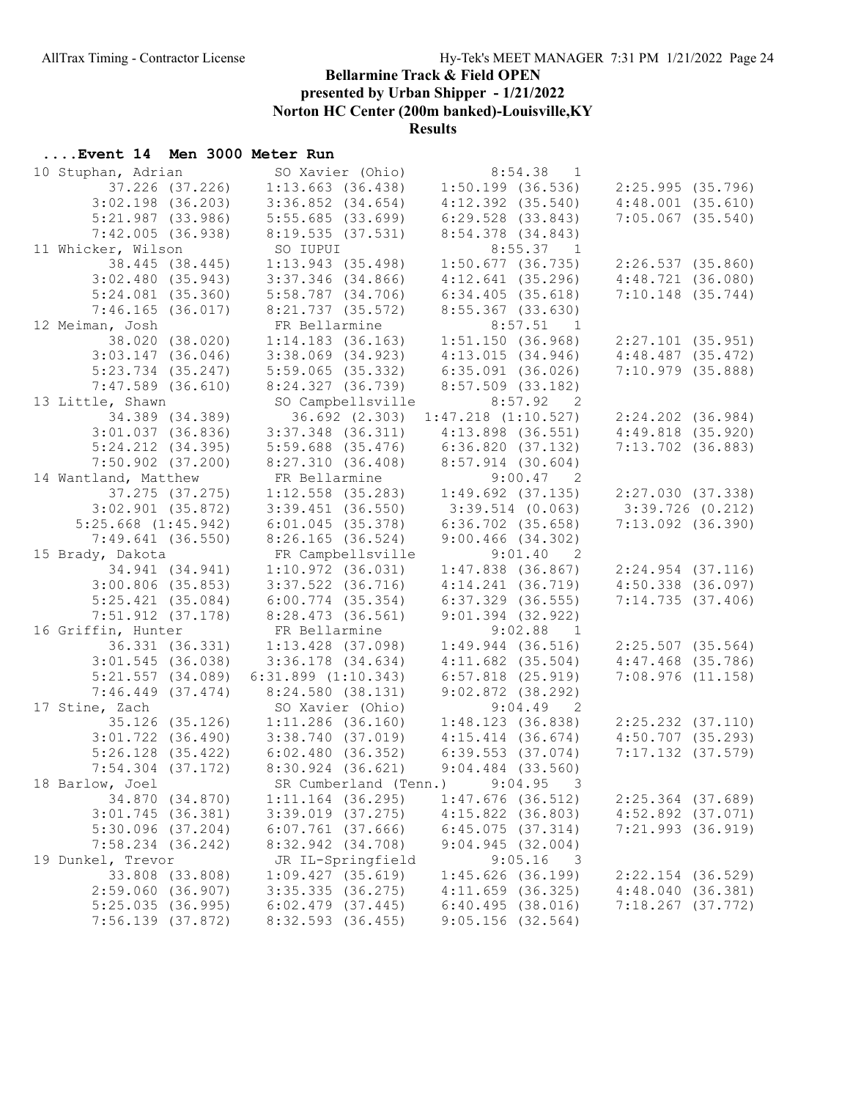presented by Urban Shipper - 1/21/2022

Norton HC Center (200m banked)-Louisville,KY

Results

| 10 Stuphan, Adrian SO Xavier (Ohio)          |                                                                | $8:54.38$ 1                                |                       |
|----------------------------------------------|----------------------------------------------------------------|--------------------------------------------|-----------------------|
| 37.226 (37.226)                              | $1:13.663$ (36.438)                                            | $1:50.199$ (36.536)                        | 2:25.995(35.796)      |
| $3:02.198$ (36.203)                          | $3:36.852$ $(34.654)$                                          | $4:12.392$ $(35.540)$                      | $4:48.001$ $(35.610)$ |
| $5:21.987$ (33.986)                          | 5:55.685(33.699)                                               | $6:29.528$ $(33.843)$                      | $7:05.067$ $(35.540)$ |
| 7:42.005(36.938)                             | 8:19.535(37.531)                                               | 8:54.378 (34.843)                          |                       |
| 11 Whicker, Wilson                           | SO IUPUI                                                       | $8:55.37$ 1                                |                       |
| 38.445 (38.445)                              | 1:13.943(35.498)                                               | $1:50.677$ (36.735)                        | 2:26.537(35.860)      |
| 3:02.480(35.943)                             | $3:37.346$ (34.866)                                            | 4:12.641(35.296)                           | 4:48.721(36.080)      |
| $5:24.081$ $(35.360)$                        | 5:58.787 (34.706)                                              | $6:34.405$ $(35.618)$                      | $7:10.148$ $(35.744)$ |
| 7:46.165(36.017)                             | 8:21.737 (35.572)                                              | 8:55.367 (33.630)                          |                       |
| 12 Meiman, Josh                              | FR Bellarmine                                                  | $8:57.51$ 1                                |                       |
| 38.020 (38.020)                              | $1:14.183$ (36.163)                                            | 1:51.150(36.968)                           | $2:27.101$ (35.951)   |
| $3:03.147$ (36.046)                          | $3:38.069$ $(34.923)$                                          | 4:13.015(34.946)                           | $4:48.487$ $(35.472)$ |
| $5:23.734$ $(35.247)$                        | $5:59.065$ (35.332)                                            | $6:35.091$ (36.026)                        | $7:10.979$ $(35.888)$ |
| $7:47.589$ (36.610)                          | 8:24.327 (36.739)                                              | $8:57.509$ (33.182)                        |                       |
| 13 Little, Shawn                             | SO Campbellsville                                              | 8:57.92 2                                  |                       |
| 34.389 (34.389)                              |                                                                | 36.692 (2.303) 1:47.218 (1:10.527)         | $2:24.202$ $(36.984)$ |
| $3:01.037$ (36.836)                          | $3:37.348$ (36.311)                                            | $4:13.898$ (36.551)                        | $4:49.818$ $(35.920)$ |
| $5:24.212$ $(34.395)$                        | $5:59.688$ $(35.476)$                                          | 6:36.820 (37.132)                          | $7:13.702$ (36.883)   |
| $7:50.902$ $(37.200)$                        | 8:27.310(36.408)                                               | $8:57.914$ (30.604)                        |                       |
| 14 Wantland, Matthew                         |                                                                |                                            |                       |
| 37.275 (37.275)                              | FR Bellarmine 9:00.47 2<br>1:12.558 (35.283) 1:49.692 (37.135) |                                            | 2:27.030(37.338)      |
| $3:02.901$ $(35.872)$                        | $3:39.451$ $(36.550)$                                          | 3:39.514(0.063)                            | 3:39.726(0.212)       |
| $5:25.668$ $(1:45.942)$                      | 6:01.045(35.378)                                               | $6:36.702$ $(35.658)$                      | $7:13.092$ (36.390)   |
| $7:49.641$ (36.550)                          | $8:26.165$ (36.524)                                            | $9:00.466$ (34.302)                        |                       |
| 15 Brady, Dakota                             | FR Campbellsville                                              | 9:01.40 2                                  |                       |
| 34.941 (34.941)                              | $1:10.972$ (36.031)                                            | $1:47.838$ (36.867)                        | $2:24.954$ $(37.116)$ |
| $3:00.806$ (35.853)                          | $3:37.522$ $(36.716)$                                          | 4:14.241(36.719)                           | $4:50.338$ $(36.097)$ |
| $5:25.421$ $(35.084)$                        | $6:00.774$ $(35.354)$                                          | $6:37.329$ $(36.555)$                      | 7:14.735(37.406)      |
| $7:51.912$ $(37.178)$                        | $8:28.473$ (36.561)                                            | $9:01.394$ (32.922)                        |                       |
| 16 Griffin, Hunter                           | FR Bellarmine                                                  | 9:02.88 1                                  |                       |
| 36.331 (36.331)                              | $1:13.428$ (37.098)                                            | $1:49.944$ (36.516)                        | $2:25.507$ (35.564)   |
| $3:01.545$ (36.038)                          | $3:36.178$ $(34.634)$                                          | $4:11.682$ $(35.504)$                      | $4:47.468$ (35.786)   |
| $5:21.557$ $(34.089)$                        | $6:31.899$ $(1:10.343)$                                        | $6:57.818$ $(25.919)$                      | 7:08.976(11.158)      |
| $7:46.449$ $(37.474)$                        | 8:24.580 (38.131)                                              | $9:02.872$ (38.292)                        |                       |
| 17 Stine, Zach                               | SO Xavier (Ohio)                                               | $9:04.49$ 2                                |                       |
| 35.126 (35.126)                              | 1:11.286 (36.160)                                              | 1:48.123(36.838)                           | $2:25.232$ $(37.110)$ |
| $3:01.722$ $(36.490)$                        | 3:38.740 (37.019)                                              | $4:15.414$ $(36.674)$                      | $4:50.707$ (35.293)   |
| $5:26.128$ (35.422)                          | 6:02.480(36.352)                                               | $6:39.553$ $(37.074)$                      | $7:17.132$ $(37.579)$ |
| $7:54.304$ $(37.172)$                        | 8:30.924 (36.621)                                              | $9:04.484$ $(33.560)$                      |                       |
| 18 Barlow, Joel                              | SR Cumberland (Tenn.) 9:04.95 3                                |                                            |                       |
| 34.870 (34.870)                              | $1:11.164$ (36.295)                                            | $1:47.676$ (36.512)                        | $2:25.364$ (37.689)   |
| $3:01.745$ (36.381)<br>$5:30.096$ $(37.204)$ | $3:39.019$ $(37.275)$                                          | $4:15.822$ (36.803)<br>$6:45.075$ (37.314) | $4:52.892$ $(37.071)$ |
| $7:58.234$ $(36.242)$                        | $6:07.761$ (37.666)<br>8:32.942 (34.708)                       | 9:04.945(32.004)                           | $7:21.993$ $(36.919)$ |
| 19 Dunkel, Trevor                            | JR IL-Springfield                                              | $9:05.16$ 3                                |                       |
| 33.808 (33.808)                              | $1:09.427$ (35.619)                                            | $1:45.626$ (36.199)                        | $2:22.154$ (36.529)   |
| 2:59.060(36.907)                             | $3:35.335$ $(36.275)$                                          | $4:11.659$ (36.325)                        | 4:48.040(36.381)      |
| $5:25.035$ (36.995)                          | $6:02.479$ (37.445)                                            | 6:40.495(38.016)                           | $7:18.267$ (37.772)   |
| $7:56.139$ $(37.872)$                        | 8:32.593 (36.455)                                              | $9:05.156$ (32.564)                        |                       |
|                                              |                                                                |                                            |                       |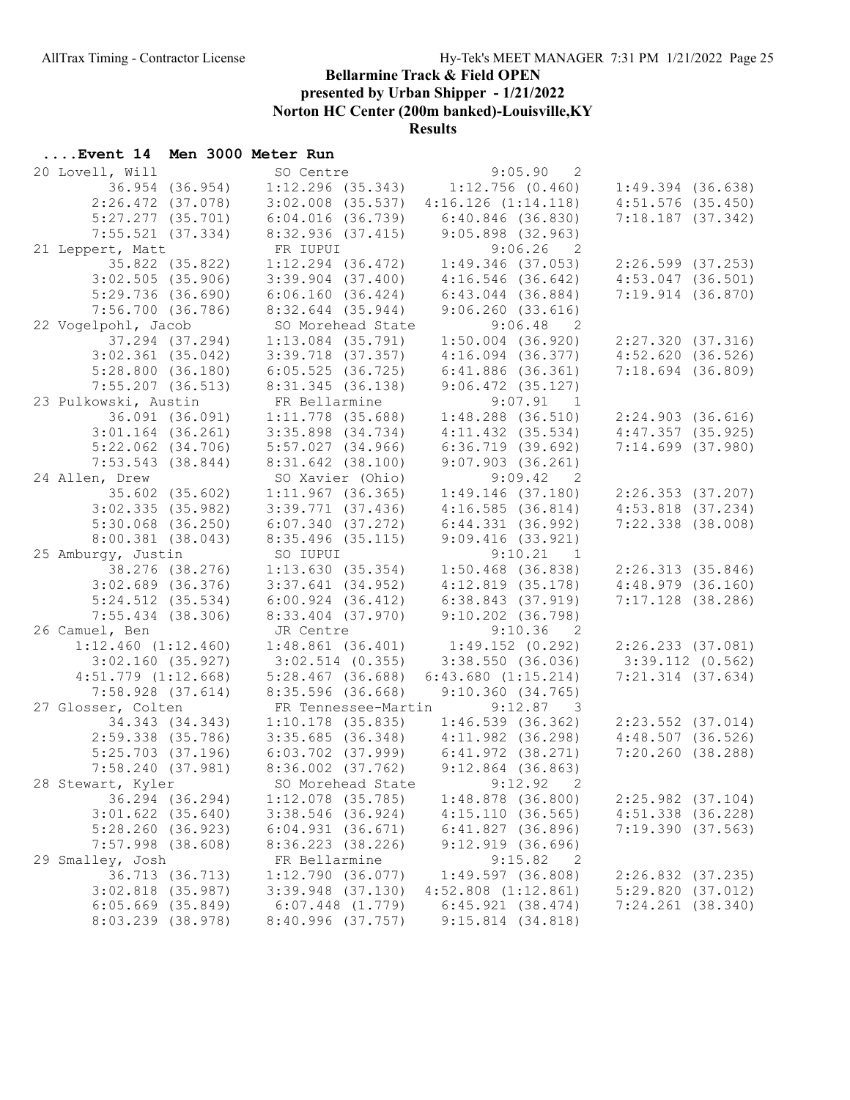presented by Urban Shipper - 1/21/2022

Norton HC Center (200m banked)-Louisville,KY

Results

| 20 Lovell, Will                            | SO Centre                                | 9:05.90<br>2                         |                       |
|--------------------------------------------|------------------------------------------|--------------------------------------|-----------------------|
| 36.954 (36.954)                            | $1:12.296$ (35.343)                      | 1:12.756(0.460)                      | $1:49.394$ (36.638)   |
| $2:26.472$ (37.078)                        | $3:02.008$ $(35.537)$                    | $4:16.126$ $(1:14.118)$              | $4:51.576$ (35.450)   |
| $5:27.277$ $(35.701)$                      | $6:04.016$ $(36.739)$                    | 6:40.846 (36.830)                    | 7:18.187(37.342)      |
| $7:55.521$ (37.334)                        | 8:32.936(37.415)                         | 9:05.898(32.963)                     |                       |
| 21 Leppert, Matt                           | FR IUPUI                                 | $9:06.26$ 2                          |                       |
| 35.822 (35.822)                            | $1:12.294$ $(36.472)$                    | $1:49.346$ (37.053)                  | $2:26.599$ $(37.253)$ |
| $3:02.505$ (35.906)                        | $3:39.904$ $(37.400)$                    | $4:16.546$ (36.642)                  | $4:53.047$ $(36.501)$ |
| 5:29.736(36.690)                           | 6:06.160(36.424)                         | $6:43.044$ $(36.884)$                | 7:19.914(36.870)      |
| 7:56.700(36.786)                           | $8:32.644$ (35.944)                      | 9:06.260(33.616)                     |                       |
| 22 Vogelpohl, Jacob                        | SO Morehead State                        | $9:06.48$ 2                          |                       |
| 37.294 (37.294)                            | $1:13.084$ $(35.791)$                    | $1:50.004$ (36.920)                  | 2:27.320(37.316)      |
| $3:02.361$ $(35.042)$                      | $3:39.718$ $(37.357)$                    | $4:16.094$ $(36.377)$                | 4:52.620(36.526)      |
| 5:28.800(36.180)                           | 6:05.525(36.725)                         | $6:41.886$ $(36.361)$                | $7:18.694$ (36.809)   |
| $7:55.207$ (36.513)                        | 8:31.345(36.138)                         | $9:06.472$ (35.127)                  |                       |
| 23 Pulkowski, Austin                       | FR Bellarmine                            | $9:07.91$ 1                          |                       |
| 36.091 (36.091)                            | $1:11.778$ (35.688)                      | $1:48.288$ (36.510)                  | 2:24.903(36.616)      |
| $3:01.164$ (36.261)                        | $3:35.898$ $(34.734)$                    | $4:11.432$ $(35.534)$                | 4:47.357(35.925)      |
| $5:22.062$ $(34.706)$                      | $5:57.027$ $(34.966)$                    | $6:36.719$ $(39.692)$                | $7:14.699$ $(37.980)$ |
| $7:53.543$ (38.844)                        | $8:31.642$ (38.100)                      | $9:07.903$ $(36.261)$                |                       |
| 24 Allen, Drew                             | SO Xavier (Ohio)                         | 9:09.42 2                            |                       |
| 35.602 (35.602)                            | 1:11.967(36.365)                         | 1:49.146(37.180)                     | 2:26.353(37.207)      |
| 3:02.335(35.982)                           | $3:39.771$ (37.436)                      | 4:16.585(36.814)                     | $4:53.818$ $(37.234)$ |
| $5:30.068$ $(36.250)$                      | 6:07.340(37.272)                         | $6:44.331$ $(36.992)$                | $7:22.338$ $(38.008)$ |
| $8:00.381$ (38.043)                        | $8:35.496$ (35.115)                      | $9:09.416$ (33.921)                  |                       |
| 25 Amburgy, Justin                         | SO IUPUI                                 | 9:10.21 1                            |                       |
|                                            |                                          |                                      |                       |
| 38.276 (38.276)                            | 1:13.630(35.354)                         | $1:50.468$ (36.838)                  | 2:26.313(35.846)      |
| $3:02.689$ (36.376)                        | $3:37.641$ $(34.952)$                    | $4:12.819$ $(35.178)$                | 4:48.979(36.160)      |
| $5:24.512$ $(35.534)$                      | $6:00.924$ $(36.412)$                    | $6:38.843$ $(37.919)$                | $7:17.128$ (38.286)   |
| $7:55.434$ (38.306)                        | 8:33.404 (37.970)                        | $9:10.202$ (36.798)                  |                       |
| 26 Camuel, Ben                             | JR Centre                                | $9:10.36$ 2                          |                       |
| $1:12.460$ $(1:12.460)$                    | $1:48.861$ (36.401)                      | $1:49.152$ $(0.292)$                 | 2:26.233 (37.081)     |
| $3:02.160$ (35.927)                        | $3:02.514$ (0.355)                       | 3:38.550(36.036)                     | $3:39.112$ (0.562)    |
| $4:51.779$ $(1:12.668)$                    | $5:28.467$ (36.688)                      | $6:43.680$ $(1:15.214)$              | $7:21.314$ $(37.634)$ |
| $7:58.928$ $(37.614)$                      | $8:35.596$ (36.668)                      | 9:10.360(34.765)                     |                       |
| 27 Glosser, Colten                         |                                          | FR Tennessee-Martin 9:12.87 3        |                       |
| 34.343 (34.343)                            | $1:10.178$ (35.835)                      | $1:46.539$ (36.362)                  | $2:23.552$ $(37.014)$ |
| $2:59.338$ $(35.786)$                      | $3:35.685$ (36.348) $4:11.982$ (36.298)  |                                      | 4:48.507(36.526)      |
| $5:25.703$ $(37.196)$                      | $6:03.702$ (37.999) $6:41.972$ (38.271)  |                                      | 7:20.260(38.288)      |
| 7:58.240(37.981)                           | 8:36.002 (37.762) 9:12.864 (36.863)      |                                      |                       |
| 28 Stewart, Kyler                          | SO Morehead State                        | 9:12.92<br>2                         |                       |
| 36.294 (36.294)                            | $1:12.078$ (35.785)                      | $1:48.878$ (36.800)                  | $2:25.982$ (37.104)   |
| $3:01.622$ (35.640)                        | $3:38.546$ (36.924)                      | 4:15.110(36.565)                     | $4:51.338$ $(36.228)$ |
| 5:28.260(36.923)                           | 6:04.931(36.671)                         | 6:41.827(36.896)                     | 7:19.390(37.563)      |
| $7:57.998$ (38.608)                        | $8:36.223$ (38.226)                      | $9:12.919$ $(36.696)$                |                       |
| 29 Smalley, Josh                           | FR Bellarmine                            | 9:15.82<br>- 2                       |                       |
| 36.713 (36.713)                            | 1:12.790(36.077)                         | 1:49.597(36.808)                     | $2:26.832$ (37.235)   |
| $3:02.818$ (35.987)                        | $3:39.948$ $(37.130)$                    | $4:52.808$ $(1:12.861)$              | 5:29.820(37.012)      |
| $6:05.669$ $(35.849)$<br>8:03.239 (38.978) | $6:07.448$ $(1.779)$<br>8:40.996(37.757) | 6:45.921(38.474)<br>9:15.814(34.818) | $7:24.261$ (38.340)   |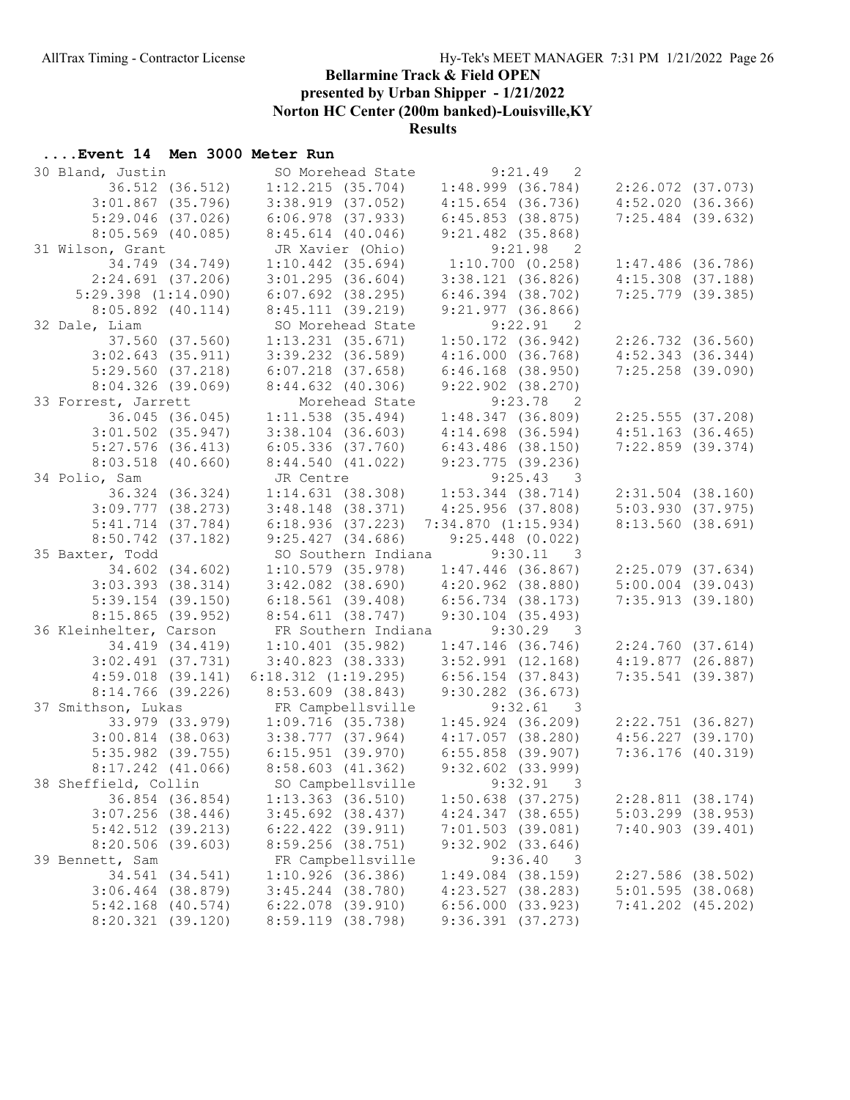presented by Urban Shipper - 1/21/2022

Norton HC Center (200m banked)-Louisville,KY

Results

| 30 Bland, Justin                         | SO Morehead State                          | 9:21.49<br>2                            |                       |
|------------------------------------------|--------------------------------------------|-----------------------------------------|-----------------------|
| 36.512 (36.512)                          |                                            | $1:12.215$ (35.704) $1:48.999$ (36.784) | $2:26.072$ (37.073)   |
| $3:01.867$ (35.796)                      | $3:38.919$ $(37.052)$                      | $4:15.654$ (36.736)                     | 4:52.020(36.366)      |
| $5:29.046$ (37.026)                      | $6:06.978$ $(37.933)$                      | 6:45.853(38.875)                        | $7:25.484$ (39.632)   |
| $8:05.569$ (40.085)                      | $8:45.614$ (40.046)                        | $9:21.482$ (35.868)                     |                       |
| 31 Wilson, Grant                         | JR Xavier (Ohio)                           | 9:21.98 2                               |                       |
| 34.749 (34.749)                          | $1:10.442$ $(35.694)$                      | 1:10.700(0.258)                         | $1:47.486$ (36.786)   |
| $2:24.691$ (37.206)                      | $3:01.295$ $(36.604)$                      | 3:38.121(36.826)                        | $4:15.308$ $(37.188)$ |
| $5:29.398$ $(1:14.090)$                  | $6:07.692$ (38.295)                        | $6:46.394$ $(38.702)$                   | $7:25.779$ (39.385)   |
| $8:05.892$ $(40.114)$                    | 8:45.111(39.219)                           | $9:21.977$ (36.866)                     |                       |
| 32 Dale, Liam                            | SO Morehead State                          | $9:22.91$ 2                             |                       |
| 37.560 (37.560)                          | $1:13.231$ (35.671)                        | 1:50.172(36.942)                        | $2:26.732$ $(36.560)$ |
| $3:02.643$ $(35.911)$                    | $3:39.232$ $(36.589)$                      | 4:16.000(36.768)                        | 4:52.343(36.344)      |
| 5:29.560(37.218)                         | 6:07.218 (37.658)                          | $6:46.168$ $(38.950)$                   | $7:25.258$ (39.090)   |
| 8:04.326(39.069)                         | 8:44.632 (40.306)                          | $9:22.902$ $(38.270)$                   |                       |
|                                          |                                            | $9:23.78$ 2                             |                       |
| 33 Forrest, Jarrett                      | Morehead State                             |                                         |                       |
| 36.045 (36.045)                          | $1:11.538$ (35.494)                        | 1:48.347(36.809)                        | 2:25.555(37.208)      |
| $3:01.502$ $(35.947)$                    | $3:38.104$ (36.603)                        | 4:14.698(36.594)                        | $4:51.163$ (36.465)   |
| $5:27.576$ (36.413)                      | $6:05.336$ $(37.760)$                      | $6:43.486$ (38.150)                     | $7:22.859$ $(39.374)$ |
| $8:03.518$ (40.660)                      | 8:44.540(41.022)                           | $9:23.775$ (39.236)                     |                       |
| 34 Polio, Sam                            | JR Centre                                  | 9:25.43 3                               |                       |
| 36.324 (36.324)                          | $1:14.631$ (38.308) $1:53.344$ (38.714)    |                                         | $2:31.504$ (38.160)   |
| $3:09.777$ $(38.273)$                    | $3:48.148$ (38.371)                        | 4:25.956(37.808)                        | 5:03.930(37.975)      |
| $5:41.714$ $(37.784)$                    | 6:18.936(37.223)                           | 7:34.870(1:15.934)                      | 8:13.560(38.691)      |
| $8:50.742$ (37.182)                      | 9:25.427(34.686)                           | $9:25.448$ (0.022)                      |                       |
| 35 Baxter, Todd                          | SO Southern Indiana 9:30.11 3              |                                         |                       |
| 34.602 (34.602)                          | 1:10.579(35.978)                           | $1:47.446$ (36.867)                     | $2:25.079$ $(37.634)$ |
| $3:03.393$ $(38.314)$                    | 3:42.082 (38.690) 4:20.962 (38.880)        |                                         | $5:00.004$ $(39.043)$ |
| $5:39.154$ (39.150)                      | 6:18.561(39.408)                           | $6:56.734$ (38.173)                     | 7:35.913(39.180)      |
| 8:15.865(39.952)                         | 8:54.611 (38.747)                          | $9:30.104$ (35.493)                     |                       |
| 36 Kleinhelter, Carson                   | FR Southern Indiana                        | $9:30.29$ 3                             |                       |
| 34.419 (34.419)                          | $1:10.401$ (35.982)                        | $1:47.146$ (36.746)                     | 2:24.760(37.614)      |
| $3:02.491$ $(37.731)$                    | $3:40.823$ (38.333)                        | $3:52.991$ $(12.168)$                   |                       |
|                                          |                                            |                                         | 4:19.877(26.887)      |
| $4:59.018$ $(39.141)$                    | $6:18.312$ $(1:19.295)$                    | $6:56.154$ $(37.843)$                   | $7:35.541$ (39.387)   |
| $8:14.766$ (39.226)                      | 8:53.609 (38.843)                          | $9:30.282$ $(36.673)$                   |                       |
| 37 Smithson, Lukas                       | FR Campbellsville                          | 9:32.61 3                               |                       |
| 33.979 (33.979)                          | 1:09.716(35.738)                           | $1:45.924$ (36.209)                     | $2:22.751$ (36.827)   |
| $3:00.814$ (38.063)                      | $3:38.777$ (37.964) $4:17.057$ (38.280)    |                                         | $4:56.227$ $(39.170)$ |
| $5:35.982$ (39.755)                      | 6:15.951 (39.970) 6:55.858 (39.907)        |                                         | 7:36.176(40.319)      |
| $8:17.242$ $(41.066)$                    | 8:58.603 (41.362) 9:32.602 (33.999)        |                                         |                       |
| 38 Sheffield, Collin                     | SO Campbellsville 9:32.91 3                |                                         |                       |
| 36.854 (36.854)                          | $1:13.363$ (36.510)                        | $1:50.638$ $(37.275)$                   | 2:28.811(38.174)      |
| $3:07.256$ (38.446)                      | $3:45.692$ (38.437)                        | $4:24.347$ (38.655)                     | $5:03.299$ (38.953)   |
| $5:42.512$ (39.213)                      | $6:22.422$ $(39.911)$                      | $7:01.503$ (39.081)                     | 7:40.903(39.401)      |
| $8:20.506$ (39.603)                      | $8:59.256$ (38.751)                        | $9:32.902$ $(33.646)$                   |                       |
| 39 Bennett, Sam                          | FR Campbellsville                          | 9:36.40<br>- 3                          |                       |
| 34.541 (34.541)                          | 1:10.926(36.386)                           | $1:49.084$ (38.159)                     | $2:27.586$ (38.502)   |
| $3:06.464$ (38.879)                      | $3:45.244$ (38.780)                        | $4:23.527$ (38.283)                     | 5:01.595(38.068)      |
| $5:42.168$ (40.574)<br>8:20.321 (39.120) | $6:22.078$ $(39.910)$<br>8:59.119 (38.798) | 6:56.000(33.923)                        | $7:41.202$ $(45.202)$ |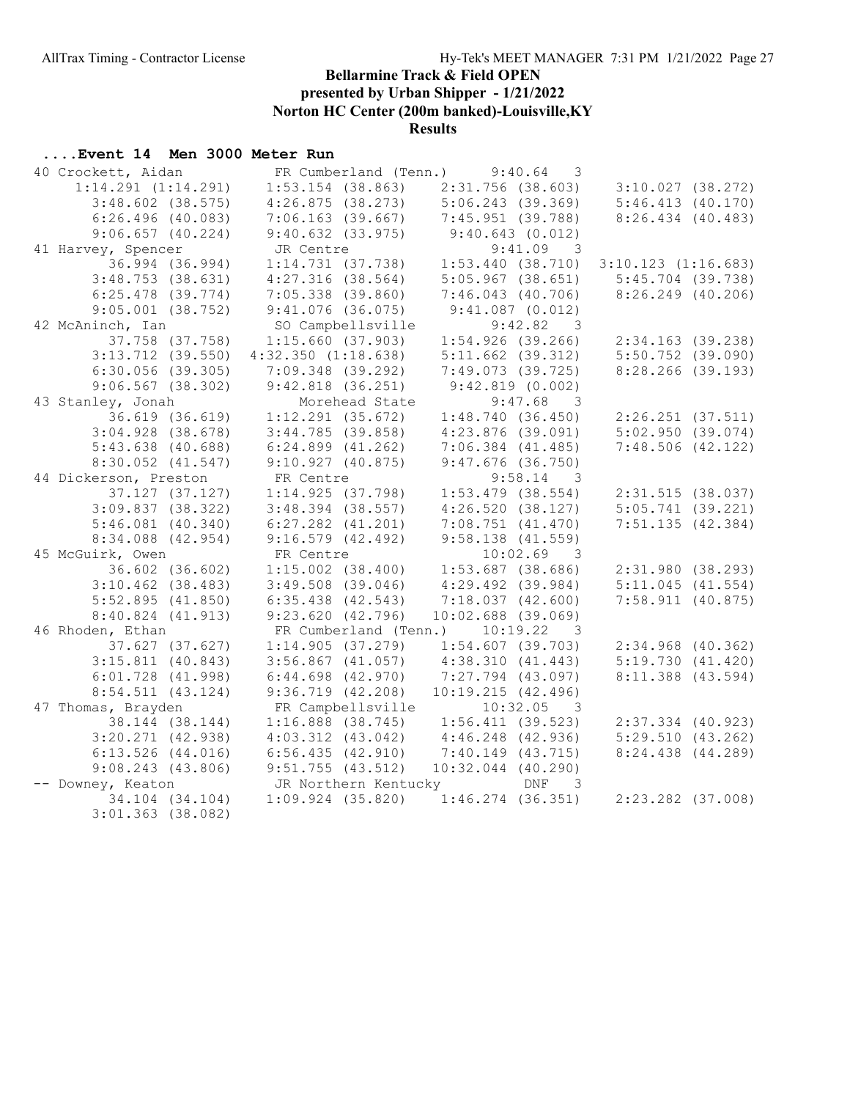presented by Urban Shipper - 1/21/2022

Norton HC Center (200m banked)-Louisville,KY

Results

| 40 Crockett, Aidan      | FR Cumberland (Tenn.)   | 9:40.64<br>3                     |                         |
|-------------------------|-------------------------|----------------------------------|-------------------------|
| $1:14.291$ $(1:14.291)$ | $1:53.154$ (38.863)     | $2:31.756$ (38.603)              | 3:10.027(38.272)        |
| $3:48.602$ (38.575)     | 4:26.875(38.273)        | 5:06.243(39.369)                 | 5:46.413(40.170)        |
| $6:26.496$ (40.083)     | $7:06.163$ (39.667)     | 7:45.951 (39.788)                | $8:26.434$ $(40.483)$   |
| $9:06.657$ $(40.224)$   | 9:40.632(33.975)        | 9:40.643(0.012)                  |                         |
| 41 Harvey, Spencer      | JR Centre               | 9:41.09 3                        |                         |
| 36.994 (36.994)         | 1:14.731(37.738)        | 1:53.440(38.710)                 | $3:10.123$ $(1:16.683)$ |
| $3:48.753$ (38.631)     | $4:27.316$ (38.564)     | $5:05.967$ (38.651)              | $5:45.704$ (39.738)     |
| $6:25.478$ $(39.774)$   | $7:05.338$ $(39.860)$   | $7:46.043$ $(40.706)$            | $8:26.249$ (40.206)     |
| $9:05.001$ $(38.752)$   | $9:41.076$ (36.075)     | $9:41.087$ (0.012)               |                         |
| 42 McAninch, Ian        | SO Campbellsville       | 9:42.82 3                        |                         |
| 37.758 (37.758)         | 1:15.660(37.903)        | 1:54.926(39.266)                 | $2:34.163$ (39.238)     |
| $3:13.712$ (39.550)     | $4:32.350$ $(1:18.638)$ | $5:11.662$ (39.312)              | $5:50.752$ (39.090)     |
| $6:30.056$ (39.305)     | $7:09.348$ (39.292)     | $7:49.073$ (39.725)              | $8:28.266$ (39.193)     |
| $9:06.567$ (38.302)     | $9:42.818$ $(36.251)$   | $9:42.819$ $(0.002)$             |                         |
| 43 Stanley, Jonah       | Morehead State          | $9:47.68$ 3                      |                         |
| 36.619 (36.619)         | $1:12.291$ $(35.672)$   | 1:48.740(36.450)                 | $2:26.251$ $(37.511)$   |
| $3:04.928$ (38.678)     | 3:44.785(39.858)        | $4:23.876$ (39.091)              | 5:02.950(39.074)        |
| $5:43.638$ (40.688)     | $6:24.899$ $(41.262)$   | $7:06.384$ $(41.485)$            | 7:48.506(42.122)        |
| $8:30.052$ $(41.547)$   | $9:10.927$ (40.875)     | $9:47.676$ (36.750)              |                         |
| 44 Dickerson, Preston   | FR Centre               | $9:58.14$ 3                      |                         |
| $37.127$ $(37.127)$     | 1:14.925(37.798)        | $1:53.479$ (38.554)              | 2:31.515(38.037)        |
| 3:09.837(38.322)        | $3:48.394$ (38.557)     | 4:26.520(38.127)                 | $5:05.741$ (39.221)     |
| $5:46.081$ $(40.340)$   | $6:27.282$ $(41.201)$   | 7:08.751(41.470)                 | 7:51.135(42.384)        |
| 8:34.088 (42.954)       | $9:16.579$ $(42.492)$   | $9:58.138$ (41.559)              |                         |
| 45 McGuirk, Owen        | FR Centre               | $10:02.69$ 3                     |                         |
| 36.602 (36.602)         | $1:15.002$ $(38.400)$   | $1:53.687$ (38.686)              | 2:31.980(38.293)        |
| $3:10.462$ (38.483)     | $3:49.508$ (39.046)     | $4:29.492$ (39.984)              | $5:11.045$ (41.554)     |
| 5:52.895(41.850)        | $6:35.438$ $(42.543)$   | $7:18.037$ $(42.600)$            | 7:58.911(40.875)        |
| 8:40.824 (41.913)       | 9:23.620(42.796)        | $10:02.688$ (39.069)             |                         |
| 46 Rhoden, Ethan        |                         | FR Cumberland (Tenn.) 10:19.22 3 |                         |
| 37.627 (37.627)         | 1:14.905(37.279)        | $1:54.607$ (39.703)              | $2:34.968$ (40.362)     |
| $3:15.811$ (40.843)     | $3:56.867$ $(41.057)$   | 4:38.310(41.443)                 | 5:19.730(41.420)        |
| $6:01.728$ $(41.998)$   | $6:44.698$ $(42.970)$   | 7:27.794 (43.097)                | $8:11.388$ (43.594)     |
| $8:54.511$ $(43.124)$   | 9:36.719(42.208)        | 10:19.215 (42.496)               |                         |
| 47 Thomas, Brayden      | FR Campbellsville       | $10:32.05$ 3                     |                         |
| 38.144 (38.144)         | $1:16.888$ $(38.745)$   | 1:56.411(39.523)                 | $2:37.334$ $(40.923)$   |
| $3:20.271$ (42.938)     | $4:03.312$ $(43.042)$   | $4:46.248$ $(42.936)$            | 5:29.510(43.262)        |
| $6:13.526$ $(44.016)$   | 6:56.435(42.910)        | 7:40.149(43.715)                 | 8:24.438 (44.289)       |
| $9:08.243$ (43.806)     | $9:51.755$ (43.512)     | $10:32.044$ (40.290)             |                         |
| -- Downey, Keaton       | JR Northern Kentucky    | DNF<br>$\overline{\phantom{a}}$  |                         |
| 34.104 (34.104)         | $1:09.924$ $(35.820)$   | $1:46.274$ (36.351)              | $2:23.282$ $(37.008)$   |
| $3:01.363$ (38.082)     |                         |                                  |                         |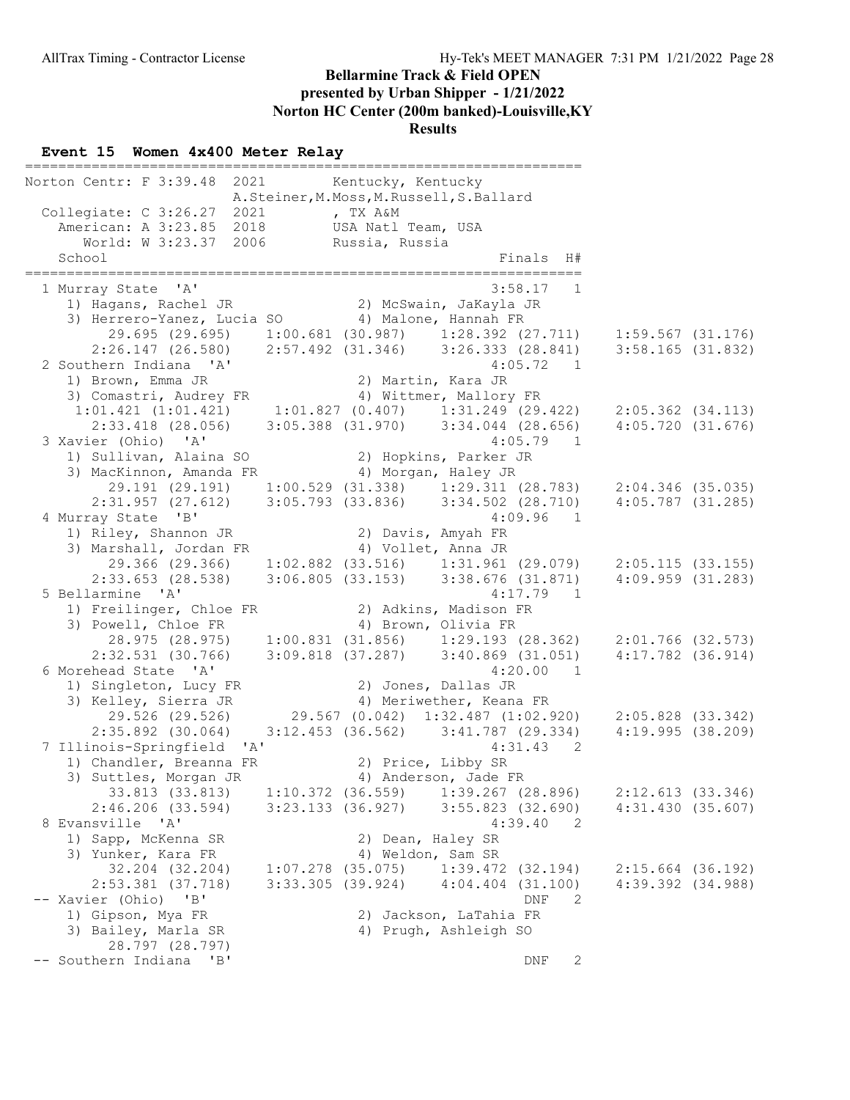#### Event 15 Women 4x400 Meter Relay

=================================================================== Norton Centr: F 3:39.48 2021 Kentucky, Kentucky A.Steiner,M.Moss,M.Russell,S.Ballard Collegiate: C 3:26.27 2021 , TX A&M American: A 3:23.85 2018 USA Natl Team, USA World: W 3:23.37 2006 Russia, Russia School Finals H# =================================================================== 1 Murray State 'A' 3:58.17 1 1) Hagans, Rachel JR 2) McSwain, JaKayla JR 3) Herrero-Yanez, Lucia SO 4) Malone, Hannah FR 29.695 (29.695) 1:00.681 (30.987) 1:28.392 (27.711) 1:59.567 (31.176) 2:26.147 (26.580) 2:57.492 (31.346) 3:26.333 (28.841) 3:58.165 (31.832) 2 Southern Indiana 'A' 4:05.72 1 1) Brown, Emma JR 2) Martin, Kara JR 3) Comastri, Audrey FR 4) Wittmer, Mallory FR 1:01.421 (1:01.421) 1:01.827 (0.407) 1:31.249 (29.422) 2:05.362 (34.113) 2:33.418 (28.056) 3:05.388 (31.970) 3:34.044 (28.656) 4:05.720 (31.676) 3 Xavier (Ohio) 'A' 4:05.79 1 1) Sullivan, Alaina SO 2) Hopkins, Parker JR 3) MacKinnon, Amanda FR 4) Morgan, Haley JR 29.191 (29.191) 1:00.529 (31.338) 1:29.311 (28.783) 2:04.346 (35.035) 2:31.957 (27.612) 3:05.793 (33.836) 3:34.502 (28.710) 4:05.787 (31.285) 4 Murray State 'B' 4:09.96 1 1) Riley, Shannon JR 2) Davis, Amyah FR 3) Marshall, Jordan FR 4) Vollet, Anna JR 29.366 (29.366) 1:02.882 (33.516) 1:31.961 (29.079) 2:05.115 (33.155) 2:33.653 (28.538) 3:06.805 (33.153) 3:38.676 (31.871) 4:09.959 (31.283) 5 Bellarmine 'A' 4:17.79 1 1) Freilinger, Chloe FR 2) Adkins, Madison FR 3) Powell, Chloe FR 4) Brown, Olivia FR 28.975 (28.975) 1:00.831 (31.856) 1:29.193 (28.362) 2:01.766 (32.573) 2:32.531 (30.766) 3:09.818 (37.287) 3:40.869 (31.051) 4:17.782 (36.914) 6 Morehead State 'A' 4:20.00 1 1) Singleton, Lucy FR 2) Jones, Dallas JR 3) Kelley, Sierra JR 4) Meriwether, Keana FR 29.526 (29.526) 29.567 (0.042) 1:32.487 (1:02.920) 2:05.828 (33.342) 2:35.892 (30.064) 3:12.453 (36.562) 3:41.787 (29.334) 4:19.995 (38.209) 7 Illinois-Springfield 'A' 4:31.43 2 1) Chandler, Breanna FR 2) Price, Libby SR 3) Suttles, Morgan JR 4) Anderson, Jade FR 33.813 (33.813) 1:10.372 (36.559) 1:39.267 (28.896) 2:12.613 (33.346) 2:46.206 (33.594) 3:23.133 (36.927) 3:55.823 (32.690) 4:31.430 (35.607) 8 Evansville 'A' 4:39.40 2 1) Sapp, McKenna SR 2) Dean, Haley SR 3) Yunker, Kara FR 4) Weldon, Sam SR 32.204 (32.204) 1:07.278 (35.075) 1:39.472 (32.194) 2:15.664 (36.192) 2:53.381 (37.718) 3:33.305 (39.924) 4:04.404 (31.100) 4:39.392 (34.988) -- Xavier (Ohio) 'B' DNF 2 1) Gipson, Mya FR 2) Jackson, LaTahia FR 3) Bailey, Marla SR 4) Prugh, Ashleigh SO 28.797 (28.797) -- Southern Indiana 'B' DNF 2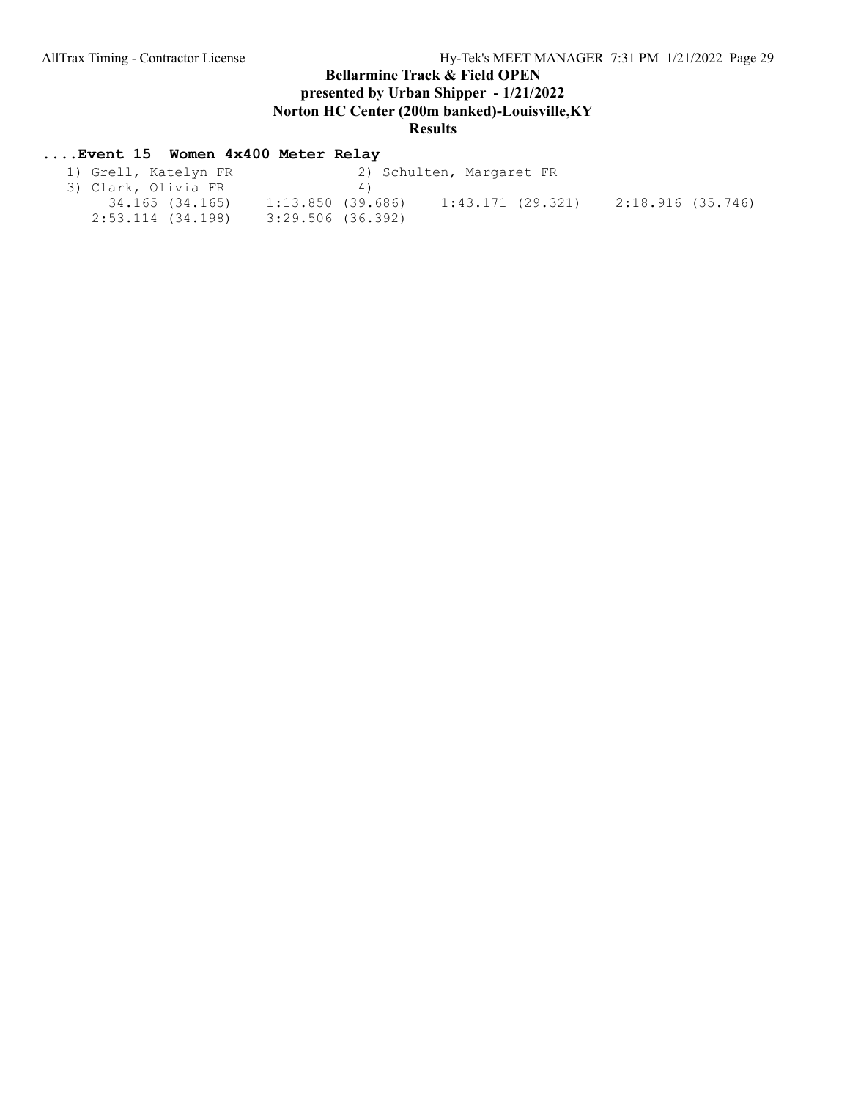## ....Event 15 Women 4x400 Meter Relay

| 1) Grell, Katelyn FR | 2) Schulten, Margaret FR               |                   |
|----------------------|----------------------------------------|-------------------|
| 3) Clark, Olivia FR  | 4)                                     |                   |
| 34.165 (34.165)      | 1:43.171 (29.321)<br>1:13.850 (39.686) | 2:18.916 (35.746) |
| 2:53.114 (34.198)    | 3:29.506 (36.392)                      |                   |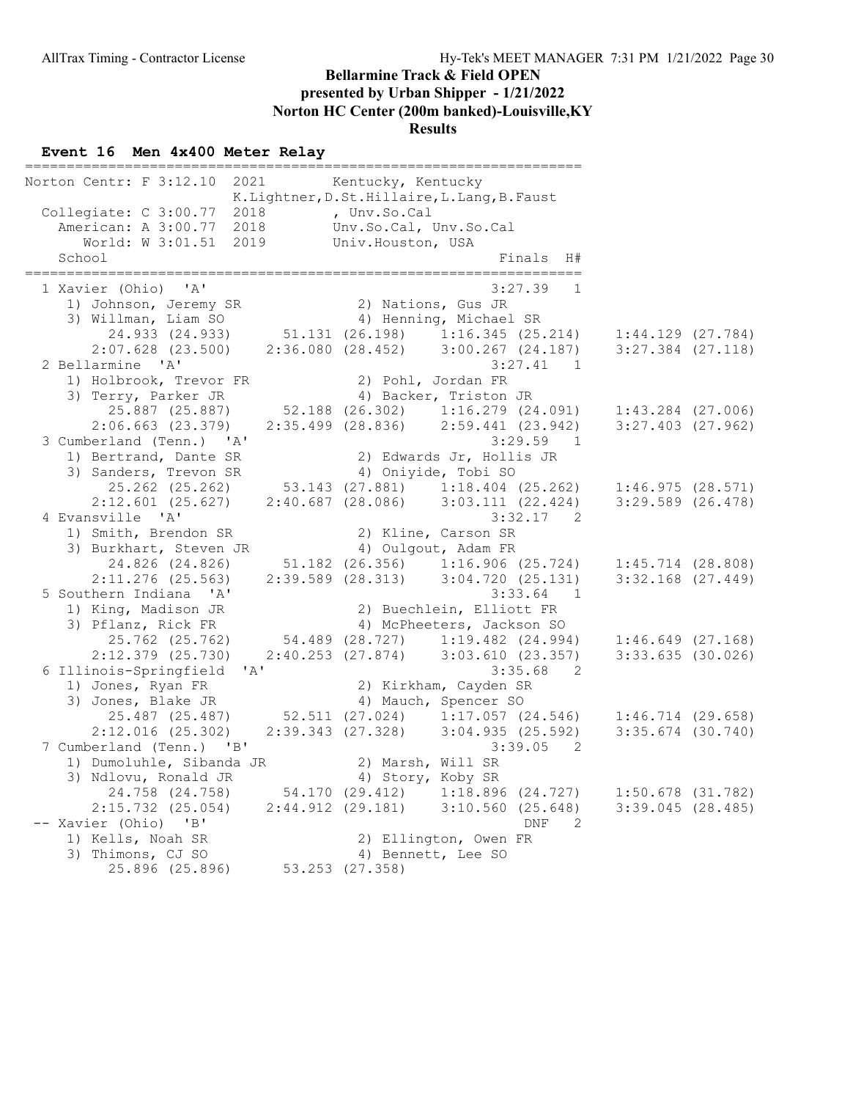#### Event 16 Men 4x400 Meter Relay

=================================================================== Norton Centr: F 3:12.10 2021 Kentucky, Kentucky K.Lightner,D.St.Hillaire,L.Lang,B.Faust Collegiate: C 3:00.77 2018 , Unv.So.Cal American: A 3:00.77 2018 Unv.So.Cal, Unv.So.Cal World: W 3:01.51 2019 Univ.Houston, USA School and Finals H and Finals H and Finals H and Finals H and Finals H and Finals H and Finals H and Finals H =================================================================== 1 Xavier (Ohio) 'A' 3:27.39 1 1) Johnson, Jeremy SR 2) Nations, Gus JR 3) Willman, Liam SO 4) Henning, Michael SR 24.933 (24.933) 51.131 (26.198) 1:16.345 (25.214) 1:44.129 (27.784) 2:07.628 (23.500) 2:36.080 (28.452) 3:00.267 (24.187) 3:27.384 (27.118) 2 Bellarmine 'A' 3:27.41 1 1) Holbrook, Trevor FR 2) Pohl, Jordan FR 3) Terry, Parker JR 4) Backer, Triston JR 25.887 (25.887) 52.188 (26.302) 1:16.279 (24.091) 1:43.284 (27.006) 2:06.663 (23.379) 2:35.499 (28.836) 2:59.441 (23.942) 3:27.403 (27.962) 3 Cumberland (Tenn.) 'A' 3:29.59 1 1) Bertrand, Dante SR 2) Edwards Jr, Hollis JR 3) Sanders, Trevon SR 4) Oniyide, Tobi SO 25.262 (25.262) 53.143 (27.881) 1:18.404 (25.262) 1:46.975 (28.571) 2:12.601 (25.627) 2:40.687 (28.086) 3:03.111 (22.424) 3:29.589 (26.478) 4 Evansville 'A' 3:32.17 2 1) Smith, Brendon SR 2) Kline, Carson SR 3) Burkhart, Steven JR 4) Oulgout, Adam FR 24.826 (24.826) 51.182 (26.356) 1:16.906 (25.724) 1:45.714 (28.808) 2:11.276 (25.563) 2:39.589 (28.313) 3:04.720 (25.131) 3:32.168 (27.449) 5 Southern Indiana 'A' 3:33.64 1 1) King, Madison JR 2) Buechlein, Elliott FR 3) Pflanz, Rick FR 4) McPheeters, Jackson SO 25.762 (25.762) 54.489 (28.727) 1:19.482 (24.994) 1:46.649 (27.168) 2:12.379 (25.730) 2:40.253 (27.874) 3:03.610 (23.357) 3:33.635 (30.026) 6 Illinois-Springfield 'A' 3:35.68 2 1) Jones, Ryan FR 2) Kirkham, Cayden SR 3) Jones, Blake JR 4) Mauch, Spencer SO 25.487 (25.487) 52.511 (27.024) 1:17.057 (24.546) 1:46.714 (29.658) 2:12.016 (25.302) 2:39.343 (27.328) 3:04.935 (25.592) 3:35.674 (30.740) 7 Cumberland (Tenn.) 'B' 3:39.05 2 1) Dumoluhle, Sibanda JR 2) Marsh, Will SR 3) Ndlovu, Ronald JR 4) Story, Koby SR 24.758 (24.758) 54.170 (29.412) 1:18.896 (24.727) 1:50.678 (31.782) 2:15.732 (25.054) 2:44.912 (29.181) 3:10.560 (25.648) 3:39.045 (28.485) -- Xavier (Ohio) 'B' DNF 2 1) Kells, Noah SR 2) Ellington, Owen FR 3) Thimons, CJ SO 4) Bennett, Lee SO 25.896 (25.896) 53.253 (27.358)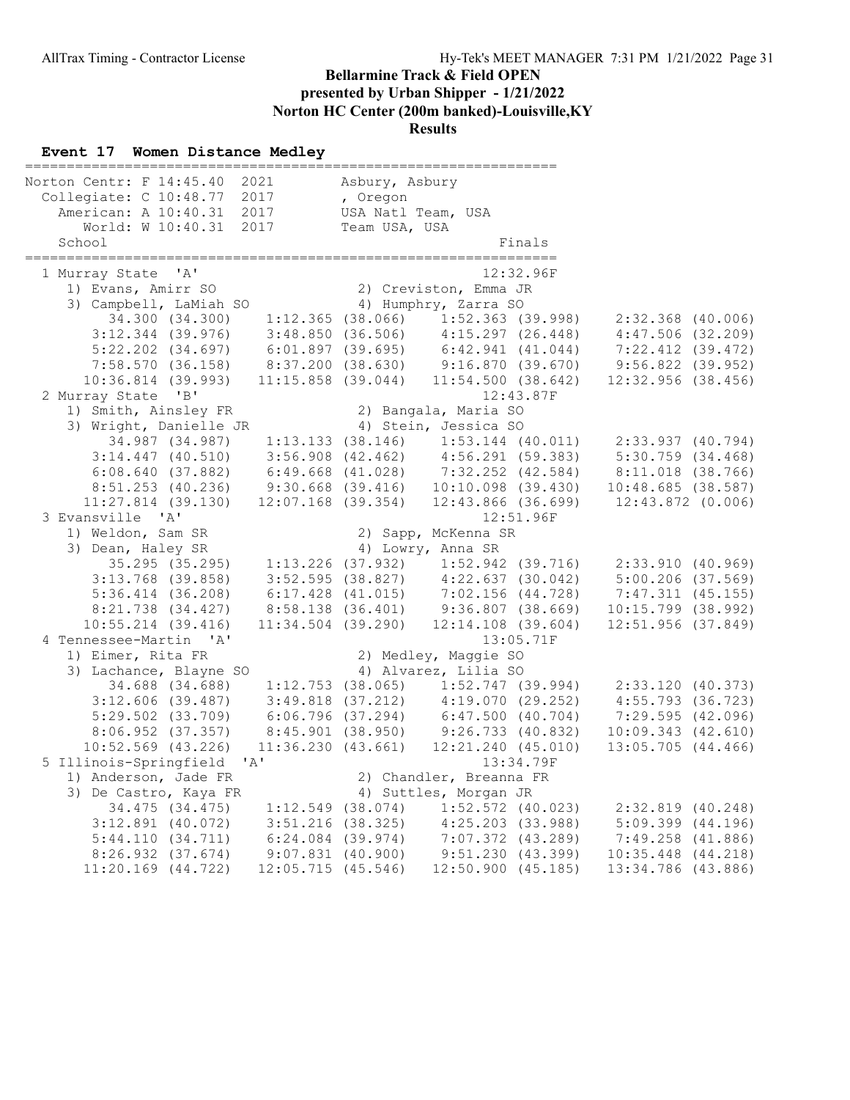#### Event 17 Women Distance Medley

================================================================ Norton Centr: F 14:45.40 2021 Collegiate: C 10:48.77 2017 American: A 10:40.31 2017 USA Natl Team, USA World: W 10:40.31 2017 Team USA, USA vllegiate: C 10:48.77 2017 , Oregon<br>
American: A 10:40.31 2017 USA Natl Team, USA<br>
World: W 10:40.31 2017 Team USA, USA<br>
School Finals ================================================================ 1 Murray State 'A' 12:32.<br>1) Evans, Amirr SO 12:32.96 (2) Creviston, Emma JR 1) Evans, Amirr SO 2) Creviston, Emma JR 3) Campbell, LaMiah SO 4) Humphry, Zarra SO 34.300 (34.300) 1:12.365 (38.066) 1:52.363 (39.998) 2:32.368 (40.006) 3:12.344 (39.976) 3:48.850 (36.506) 4:15.297 (26.448) 4:47.506 (32.209) 5:22.202 (34.697) 6:01.897 (39.695) 6:42.941 (41.044) 7:22.412 (39.472) 7:58.570 (36.158) 8:37.200 (38.630) 9:16.870 (39.670) 9:56.822 (39.952) 10:36.814 (39.993) 11:15.858 (39.044) 11:54.500 (38.642) 12:32.956 (38.456) 2 Murray State 'B' 12:43.87F<br>1) Smith, Ainsley FR 2) Bangala, Maria SO 1) Smith, Ainsley FR 2) Bangala, Maria SO 3) Wright, Danielle JR 4) Stein, Jessica SO 34.987 (34.987) 1:13.133 (38.146) 1:53.144 (40.011) 2:33.937 (40.794) 3:14.447 (40.510) 3:56.908 (42.462) 4:56.291 (59.383) 5:30.759 (34.468) 6:08.640 (37.882) 6:49.668 (41.028) 7:32.252 (42.584) 8:11.018 (38.766) 8:51.253 (40.236) 9:30.668 (39.416) 10:10.098 (39.430) 10:48.685 (38.587) 11:27.814 (39.130) 12:07.168 (39.354) 12:43.866 (36.699) 12:43.872 (0.006)<br>3 Evansville 'A' 12:51.96F 3 Evansville 'A' 12:51.96F 1) Weldon, Sam SR 2) Sapp, McKenna SR 3) Dean, Haley SR 4) Lowry, Anna SR 35.295 (35.295) 1:13.226 (37.932) 1:52.942 (39.716) 2:33.910 (40.969) 3:13.768 (39.858) 3:52.595 (38.827) 4:22.637 (30.042) 5:00.206 (37.569) 5:36.414 (36.208) 6:17.428 (41.015) 7:02.156 (44.728) 7:47.311 (45.155) 8:21.738 (34.427) 8:58.138 (36.401) 9:36.807 (38.669) 10:15.799 (38.992) 10:55.214 (39.416) 11:34.504 (39.290) 12:14.108 (39.604) 12:51.956 (37.849) 4 Tennessee-Martin 'A' 1) Eimer, Rita FR 2) Medley, Maggie SO 3) Lachance, Blayne SO 4) Alvarez, Lilia SO 34.688 (34.688) 1:12.753 (38.065) 1:52.747 (39.994) 2:33.120 (40.373) 3:12.606 (39.487) 3:49.818 (37.212) 4:19.070 (29.252) 4:55.793 (36.723) 5:29.502 (33.709) 6:06.796 (37.294) 6:47.500 (40.704) 7:29.595 (42.096) 8:06.952 (37.357) 8:45.901 (38.950) 9:26.733 (40.832) 10:09.343 (42.610) 10:52.569 (43.226) 11:36.230 (43.661) 12:21.240 (45.010) 13:05.705 (44.466) 5 Illinois-Springfield 'A' 13:34.79F<br>1) Anderson, Jade FR 2) Chandler, Breanna FR 2) Chandler, Breanna FR 3) De Castro, Kaya FR 4) Suttles, Morgan JR 34.475 (34.475) 1:12.549 (38.074) 1:52.572 (40.023) 2:32.819 (40.248) 3:12.891 (40.072) 3:51.216 (38.325) 4:25.203 (33.988) 5:09.399 (44.196) 5:44.110 (34.711) 6:24.084 (39.974) 7:07.372 (43.289) 7:49.258 (41.886) 8:26.932 (37.674) 9:07.831 (40.900) 9:51.230 (43.399) 10:35.448 (44.218) 11:20.169 (44.722) 12:05.715 (45.546) 12:50.900 (45.185) 13:34.786 (43.886)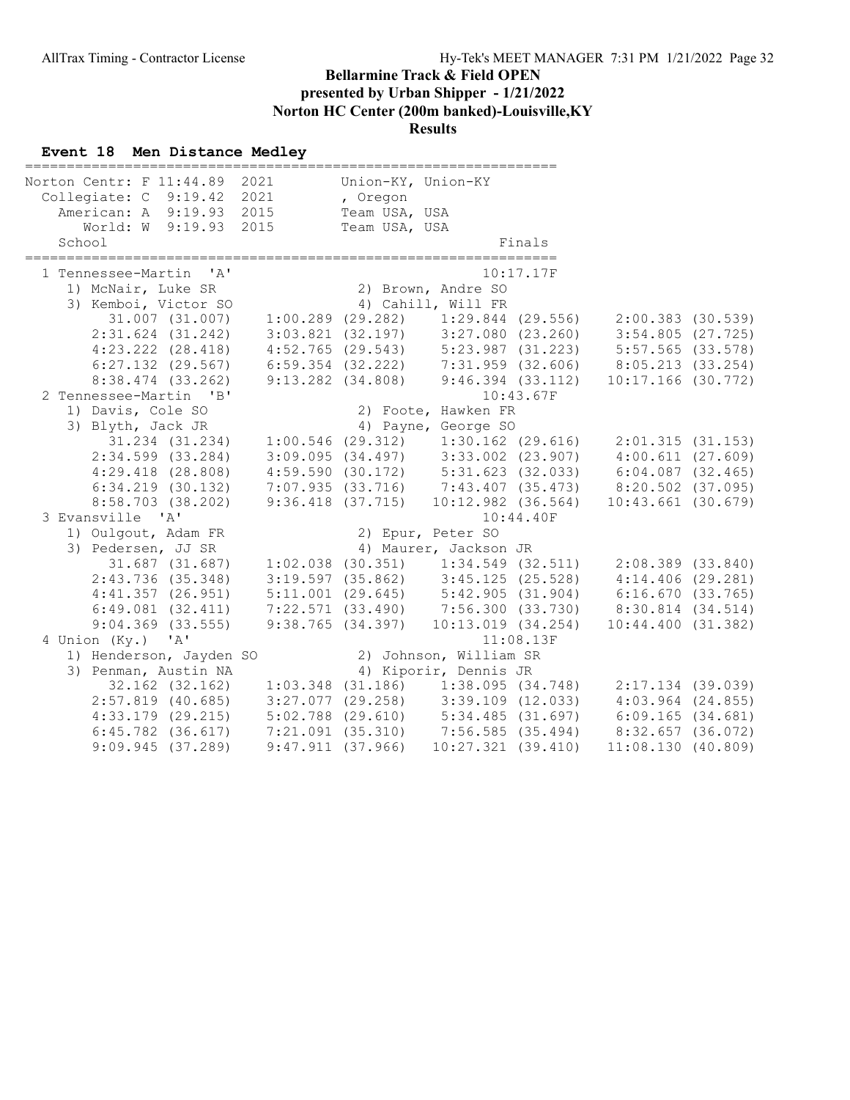#### Event 18 Men Distance Medley

| Norton Centr: F 11:44.89 2021                                   |                                                                                                                    | Union-KY, Union-KY |                                                                             |           |                                                                                                                                                                                                                                     |  |
|-----------------------------------------------------------------|--------------------------------------------------------------------------------------------------------------------|--------------------|-----------------------------------------------------------------------------|-----------|-------------------------------------------------------------------------------------------------------------------------------------------------------------------------------------------------------------------------------------|--|
| Collegiate: C 9:19.42                                           | 2021                                                                                                               | , Oregon           |                                                                             |           |                                                                                                                                                                                                                                     |  |
| American: A 9:19.93 2015                                        |                                                                                                                    | Team USA, USA      |                                                                             |           |                                                                                                                                                                                                                                     |  |
| World: W 9:19.93 2015                                           |                                                                                                                    | Team USA, USA      |                                                                             |           |                                                                                                                                                                                                                                     |  |
| School                                                          |                                                                                                                    |                    |                                                                             | Finals    |                                                                                                                                                                                                                                     |  |
| 1 Tennessee-Martin 'A'                                          |                                                                                                                    |                    |                                                                             | 10:17.17F |                                                                                                                                                                                                                                     |  |
| 1) McNair, Luke SR                                              |                                                                                                                    |                    | 2) Brown, Andre SO                                                          |           |                                                                                                                                                                                                                                     |  |
| 3) Kemboi, Victor SO                                            |                                                                                                                    |                    | 4) Cahill, Will FR                                                          |           |                                                                                                                                                                                                                                     |  |
| $31.007$ $(31.007)$ $1:00.289$ $(29.282)$ $1:29.844$ $(29.556)$ |                                                                                                                    |                    |                                                                             |           | $2:00.383$ (30.539)                                                                                                                                                                                                                 |  |
| $2:31.624$ $(31.242)$                                           |                                                                                                                    |                    |                                                                             |           |                                                                                                                                                                                                                                     |  |
| $4:23.222$ $(28.418)$                                           |                                                                                                                    |                    |                                                                             |           | $3:03.821$ (32.197) $3:27.080$ (23.260) $3:54.805$ (27.725)<br>$4:52.765$ (29.543) $5:23.987$ (31.223) $5:57.565$ (33.578)<br>$6:59.354$ (32.222) 7:31.959 (32.606) 8:05.213 (33.254)<br>9:13.282 (34.808) 9:46.394 (33.112) 10:17. |  |
| $6:27.132$ (29.567)                                             |                                                                                                                    |                    |                                                                             |           |                                                                                                                                                                                                                                     |  |
| 8:38.474 (33.262)                                               |                                                                                                                    |                    |                                                                             |           |                                                                                                                                                                                                                                     |  |
| 2 Tennessee-Martin 'B'                                          |                                                                                                                    |                    |                                                                             | 10:43.67F |                                                                                                                                                                                                                                     |  |
| 1) Davis, Cole SO                                               |                                                                                                                    |                    | 2) Foote, Hawken FR                                                         |           |                                                                                                                                                                                                                                     |  |
| 3) Blyth, Jack JR                                               |                                                                                                                    |                    | 4) Payne, George SO                                                         |           |                                                                                                                                                                                                                                     |  |
| 31.234 (31.234)                                                 |                                                                                                                    |                    | $1:00.546$ (29.312) $1:30.162$ (29.616)                                     |           | 2:01.315(31.153)                                                                                                                                                                                                                    |  |
| $2:34.599$ $(33.284)$                                           |                                                                                                                    |                    | $3:09.095$ (34.497) $3:33.002$ (23.907)                                     |           | 4:00.611(27.609)                                                                                                                                                                                                                    |  |
| $4:29.418$ $(28.808)$                                           |                                                                                                                    |                    | 4:59.590 (30.172) 5:31.623 (32.033)                                         |           | $6:04.087$ $(32.465)$                                                                                                                                                                                                               |  |
| $6:34.219$ $(30.132)$                                           |                                                                                                                    |                    | 7:07.935 (33.716) 7:43.407 (35.473)<br>9:36.418 (37.715) 10:12.982 (36.564) |           | 8:20.502 (37.095)                                                                                                                                                                                                                   |  |
| 8:58.703 (38.202)                                               |                                                                                                                    |                    |                                                                             |           | $10:43.661$ (30.679)                                                                                                                                                                                                                |  |
| 3 Evansville 'A'                                                |                                                                                                                    |                    |                                                                             | 10:44.40F |                                                                                                                                                                                                                                     |  |
| 1) Oulgout, Adam FR                                             |                                                                                                                    |                    | 2) Epur, Peter SO                                                           |           |                                                                                                                                                                                                                                     |  |
| 3) Pedersen, JJ SR                                              |                                                                                                                    |                    | 4) Maurer, Jackson JR                                                       |           |                                                                                                                                                                                                                                     |  |
| 31.687 (31.687)                                                 |                                                                                                                    |                    | $1:02.038$ (30.351) $1:34.549$ (32.511)                                     |           | $2:08.389$ $(33.840)$                                                                                                                                                                                                               |  |
| 2:43.736(35.348)                                                |                                                                                                                    |                    | $3:19.597$ (35.862) $3:45.125$ (25.528)                                     |           | $4:14.406$ (29.281)                                                                                                                                                                                                                 |  |
| 4:41.357(26.951)                                                |                                                                                                                    |                    |                                                                             |           | 5:11.001 (29.645) 5:42.905 (31.904) 6:16.670 (33.765)                                                                                                                                                                               |  |
| $6:49.081$ $(32.411)$                                           |                                                                                                                    |                    |                                                                             |           | 7:22.571 (33.490) 7:56.300 (33.730) 8:30.814 (34.514)                                                                                                                                                                               |  |
| $9:04.369$ $(33.555)$                                           |                                                                                                                    |                    | $9:38.765$ (34.397) 10:13.019 (34.254)                                      |           | 10:44.400(31.382)                                                                                                                                                                                                                   |  |
| 4 Union (Ky.) 'A'                                               |                                                                                                                    |                    |                                                                             | 11:08.13F |                                                                                                                                                                                                                                     |  |
| 1) Henderson, Jayden SO                                         |                                                                                                                    |                    | 2) Johnson, William SR                                                      |           |                                                                                                                                                                                                                                     |  |
| 3) Penman, Austin NA                                            |                                                                                                                    |                    | 4) Kiporir, Dennis JR                                                       |           |                                                                                                                                                                                                                                     |  |
| 32.162 (32.162) 1:03.348 (31.186) 1:38.095 (34.748)             |                                                                                                                    |                    |                                                                             |           | 2:17.134 (39.039)                                                                                                                                                                                                                   |  |
| $2:57.819$ (40.685)                                             | $3:27.077$ (29.258) $3:39.109$ (12.033)                                                                            |                    |                                                                             |           | $4:03.964$ $(24.855)$                                                                                                                                                                                                               |  |
| $4:33.179$ $(29.215)$                                           | 5:02.788 (29.610) 5:34.485 (31.697)<br>7:21.091 (35.310) 7:56.585 (35.494)<br>9:47.911 (37.966) 10:27.321 (39.410) |                    |                                                                             |           | 6:09.165(34.681)                                                                                                                                                                                                                    |  |
| $6:45.782$ $(36.617)$                                           |                                                                                                                    |                    |                                                                             |           | $8:32.657$ (36.072)                                                                                                                                                                                                                 |  |
| 9:09.945(37.289)                                                |                                                                                                                    |                    |                                                                             |           | 11:08.130(40.809)                                                                                                                                                                                                                   |  |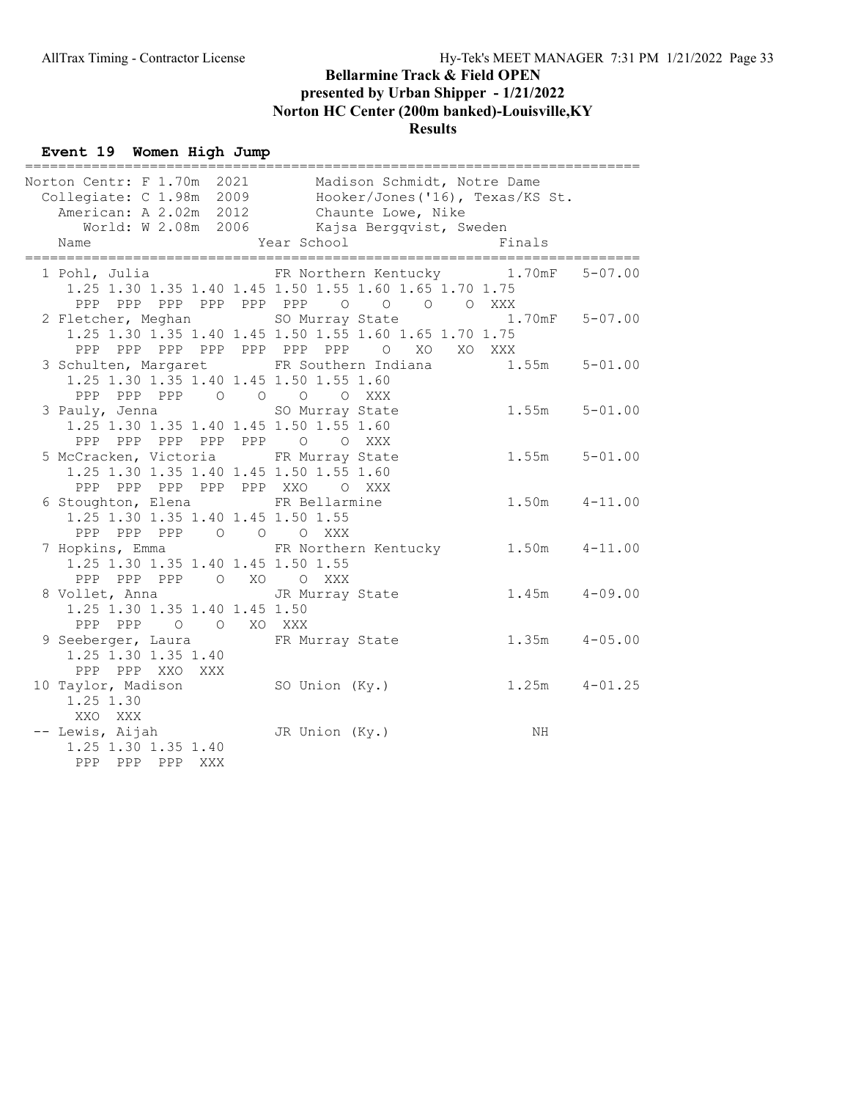#### Event 19 Women High Jump

| _____________                           |                                                           |                   |             |
|-----------------------------------------|-----------------------------------------------------------|-------------------|-------------|
|                                         | Norton Centr: F 1.70m 2021 Madison Schmidt, Notre Dame    |                   |             |
|                                         | Collegiate: C 1.98m 2009 Hooker/Jones ('16), Texas/KS St. |                   |             |
|                                         | American: A 2.02m 2012 Chaunte Lowe, Nike                 |                   |             |
|                                         | World: W 2.08m 2006 Kajsa Bergqvist, Sweden               |                   |             |
| Name                                    | Year School                                               | Finals            |             |
|                                         |                                                           |                   |             |
|                                         | 1 Pohl, Julia Mark PR Northern Kentucky 1.70mF            |                   | $5 - 07.00$ |
|                                         | 1.25 1.30 1.35 1.40 1.45 1.50 1.55 1.60 1.65 1.70 1.75    |                   |             |
|                                         | PPP PPP PPP PPP PPP PPP 0 0 0 0 XXX                       |                   |             |
|                                         | 2 Fletcher, Meghan SO Murray State 1.70mF 5-07.00         |                   |             |
|                                         | 1.25 1.30 1.35 1.40 1.45 1.50 1.55 1.60 1.65 1.70 1.75    |                   |             |
|                                         | PPP PPP PPP PPP PPP PPP PPP O XO XO XXX                   |                   |             |
|                                         | 3 Schulten, Margaret FR Southern Indiana 1.55m 5-01.00    |                   |             |
| 1.25 1.30 1.35 1.40 1.45 1.50 1.55 1.60 |                                                           |                   |             |
| PPP PPP PPP 0 0 0 0 XXX                 |                                                           |                   |             |
| 3 Pauly, Jenna                          | SO Murray State                                           | $1.55m$ $5-01.00$ |             |
| 1.25 1.30 1.35 1.40 1.45 1.50 1.55 1.60 |                                                           |                   |             |
| PPP PPP PPP PPP PPP 0 0 XXX             |                                                           |                   |             |
| 5 McCracken, Victoria FR Murray State   |                                                           | $1.55m$ $5-01.00$ |             |
| 1.25 1.30 1.35 1.40 1.45 1.50 1.55 1.60 |                                                           |                   |             |
|                                         |                                                           |                   |             |
| PPP PPP PPP PPP PPP XXO O XXX           |                                                           |                   |             |
| 6 Stoughton, Elena FR Bellarmine        |                                                           | $1.50m$ $4-11.00$ |             |
| 1.25 1.30 1.35 1.40 1.45 1.50 1.55      |                                                           |                   |             |
| PPP PPP PPP 0 0 0 XXX                   |                                                           |                   |             |
|                                         | 7 Hopkins, Emma TR Northern Kentucky 1.50m 4-11.00        |                   |             |
| 1.25 1.30 1.35 1.40 1.45 1.50 1.55      |                                                           |                   |             |
| PPP PPP PPP O XO O XXX                  |                                                           |                   |             |
|                                         | 8 Vollet, Anna (3) 3 JR Murray State (3) 1.45m (4-09.00   |                   |             |
| 1.25 1.30 1.35 1.40 1.45 1.50           |                                                           |                   |             |
| PPP PPP 0 0 XO XXX                      |                                                           |                   |             |
|                                         | 9 Seeberger, Laura KR Murray State                        | $1.35m$ $4-05.00$ |             |
| 1.25 1.30 1.35 1.40                     |                                                           |                   |             |
| PPP PPP XXO XXX                         |                                                           |                   |             |
| 10 Taylor, Madison                      | SO Union (Ky.)                                            | $1.25m$ $4-01.25$ |             |
| 1.25 1.30                               |                                                           |                   |             |
| XXO XXX                                 |                                                           |                   |             |
| -- Lewis, Aijah                         | JR Union (Ky.)                                            | ΝH                |             |
| 1.25 1.30 1.35 1.40                     |                                                           |                   |             |
| PPP PPP PPP XXX                         |                                                           |                   |             |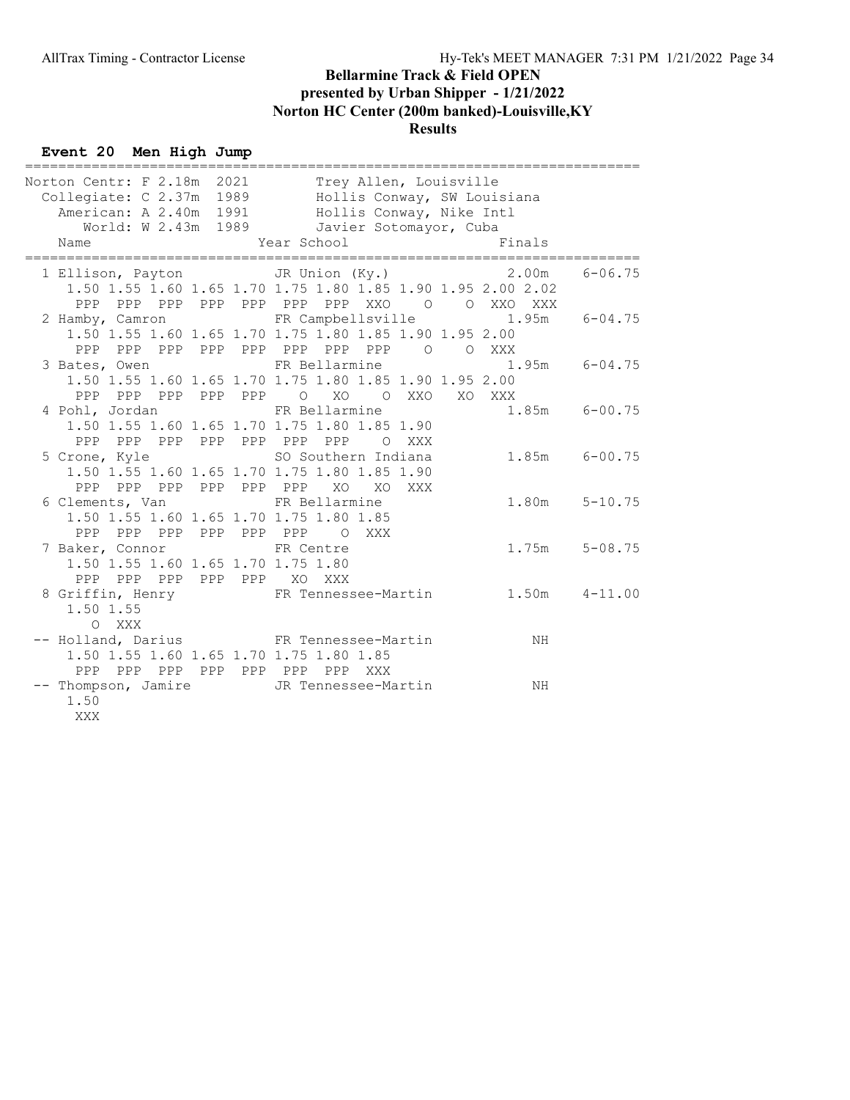#### Event 20 Men High Jump

|                                                                                                                                                                                                            |               | =========================== |  |
|------------------------------------------------------------------------------------------------------------------------------------------------------------------------------------------------------------|---------------|-----------------------------|--|
| Norton Centr: F 2.18m 2021 Trey Allen, Louisville<br>Collegiate: C 2.37m 1989 Hollis Conway, SW Louisiana<br>American: A 2.40m 1991 Hollis Conway, Nike Intl<br>World: W 2.43m 1989 Javier Sotomayor, Cuba |               |                             |  |
|                                                                                                                                                                                                            |               |                             |  |
|                                                                                                                                                                                                            |               |                             |  |
|                                                                                                                                                                                                            |               |                             |  |
| Year School<br>Name                                                                                                                                                                                        |               | <b>Example 19</b> Finals    |  |
| 1 Ellison, Payton 5 Union (Ky.) 3.00m 6-06.75                                                                                                                                                              |               |                             |  |
| 1.50 1.55 1.60 1.65 1.70 1.75 1.80 1.85 1.90 1.95 2.00 2.02                                                                                                                                                |               |                             |  |
|                                                                                                                                                                                                            |               |                             |  |
| 2 Hamby, Camron FR Campbellsville 1.95m 6-04.75                                                                                                                                                            |               |                             |  |
| 1.50 1.55 1.60 1.65 1.70 1.75 1.80 1.85 1.90 1.95 2.00                                                                                                                                                     |               |                             |  |
| PPP PPP PPP PPP PPP PPP PPP PPP 0 0 XXX                                                                                                                                                                    |               |                             |  |
| 3 Bates, Owen TR Bellarmine                                                                                                                                                                                |               | $1.95m$ 6-04.75             |  |
| 1.50 1.55 1.60 1.65 1.70 1.75 1.80 1.85 1.90 1.95 2.00                                                                                                                                                     |               |                             |  |
| PPP PPP PPP PPP PPP O XO O XXO XO XXX                                                                                                                                                                      |               |                             |  |
| 4 Pohl, Jordan                                                                                                                                                                                             | FR Bellarmine | $1.85m$ $6-00.75$           |  |
| 1.50 1.55 1.60 1.65 1.70 1.75 1.80 1.85 1.90                                                                                                                                                               |               |                             |  |
| PPP PPP PPP PPP PPP PPP PPP O XXX                                                                                                                                                                          |               |                             |  |
| 5 Crone, Kyle 6 1988 Southern Indiana                                                                                                                                                                      |               | $1.85m$ 6-00.75             |  |
| 1.50 1.55 1.60 1.65 1.70 1.75 1.80 1.85 1.90                                                                                                                                                               |               |                             |  |
| PPP PPP PPP PPP PPP PPP XO                                                                                                                                                                                 | XO XXX        |                             |  |
| 6 Clements, Van FR Bellarmine                                                                                                                                                                              |               | $1.80m$ $5-10.75$           |  |
| 1.50 1.55 1.60 1.65 1.70 1.75 1.80 1.85                                                                                                                                                                    |               |                             |  |
| PPP PPP PPP PPP PPP PPP O XXX                                                                                                                                                                              |               |                             |  |
| 7 Baker, Connor FR Centre                                                                                                                                                                                  |               | $1.75m$ $5-08.75$           |  |
| 1.50 1.55 1.60 1.65 1.70 1.75 1.80                                                                                                                                                                         |               |                             |  |
| PPP PPP PPP PPP PPP XO XXX                                                                                                                                                                                 |               |                             |  |
| 8 Griffin, Henry FR Tennessee-Martin 1.50m 4-11.00                                                                                                                                                         |               |                             |  |
| 1.50 1.55                                                                                                                                                                                                  |               |                             |  |
| O XXX                                                                                                                                                                                                      |               |                             |  |
| -- Holland, Darius FR Tennessee-Martin                                                                                                                                                                     |               | <b>NH</b>                   |  |
| 1.50 1.55 1.60 1.65 1.70 1.75 1.80 1.85                                                                                                                                                                    |               |                             |  |
| PPP PPP PPP PPP PPP PPP PPP XXX                                                                                                                                                                            |               |                             |  |
|                                                                                                                                                                                                            |               |                             |  |
| 1.50                                                                                                                                                                                                       |               |                             |  |
| XXX                                                                                                                                                                                                        |               |                             |  |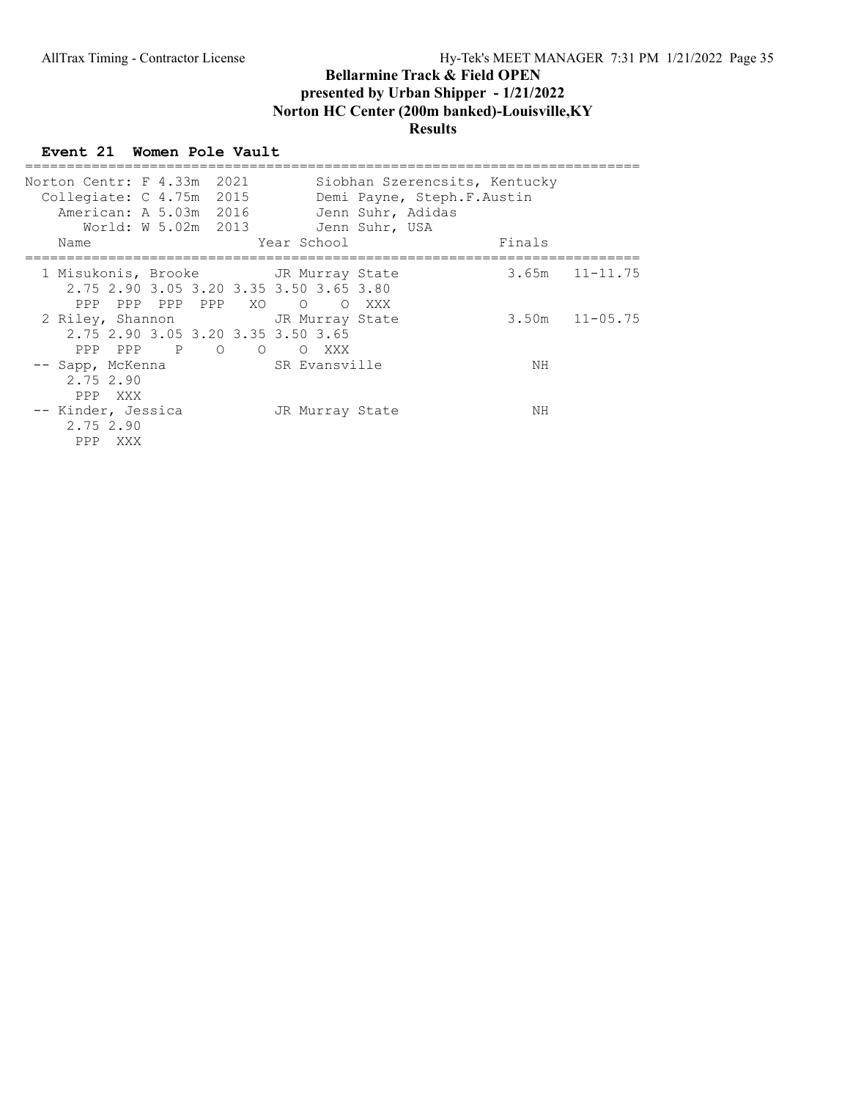#### Event 21 Women Pole Vault

| Norton Centr: F 4.33m 2021<br>Collegiate: $C$ 4.75m 2015 | American: A 5.03m 2016                                                                                 |                              | Siobhan Szerencsits, Kentucky<br>Demi Payne, Steph.F.Austin<br>Jenn Suhr, Adidas |                    |
|----------------------------------------------------------|--------------------------------------------------------------------------------------------------------|------------------------------|----------------------------------------------------------------------------------|--------------------|
|                                                          | World: W 5.02m 2013                                                                                    |                              | Jenn Suhr, USA                                                                   |                    |
| Name                                                     |                                                                                                        | Year School                  |                                                                                  | Finals             |
| PPP                                                      | 1 Misukonis, Brooke       JR Murray State<br>2.75 2.90 3.05 3.20 3.35 3.50 3.65 3.80<br>PPP PPP PPP XO | $\overline{O}$<br>$\bigcirc$ | XXX                                                                              | $3.65m$ $11-11.75$ |
| PPP PPP P O                                              | 2 Riley, Shannon TR Murray State<br>2.75 2.90 3.05 3.20 3.35 3.50 3.65<br>$\Omega$                     | O XXX                        |                                                                                  | $3.50m$ $11-05.75$ |
| -- Sapp, McKenna<br>2.75 2.90<br>PPP XXX                 |                                                                                                        | SR Evansville                |                                                                                  | NΗ                 |
| -- Kinder, Jessica<br>2.75 2.90<br>PPP<br>XXX            |                                                                                                        | JR Murray State              |                                                                                  | ΝH                 |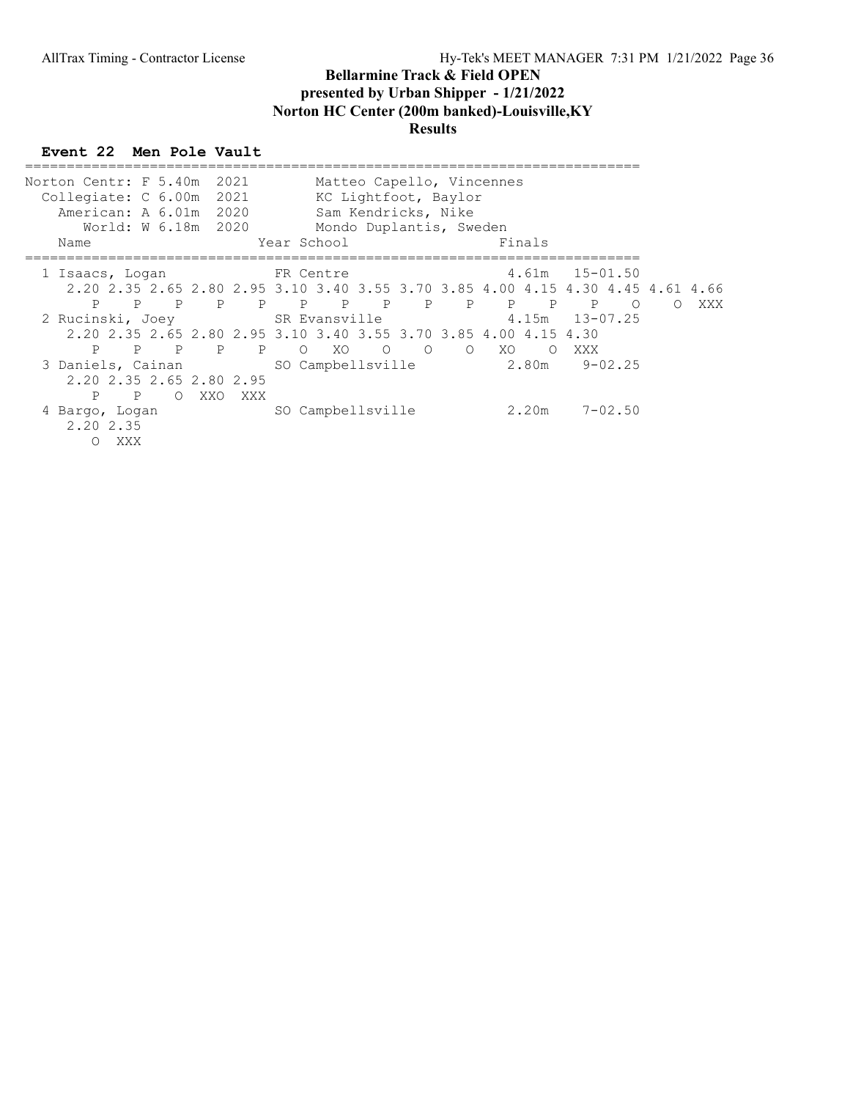## Event 22 Men Pole Vault

| Norton Centr: F 5.40m<br>Collegiate: C 6.00m<br>American: A 6.01m 2020<br>Name  |     |                | World: W 6.18m 2020 | 2021<br>2021 | Year School |    | Sam Kendricks, Nike |                | Matteo Capello, Vincennes<br>KC Lightfoot, Baylor<br>Mondo Duplantis, Sweden |     | Finals     |                    |             |            |     |
|---------------------------------------------------------------------------------|-----|----------------|---------------------|--------------|-------------|----|---------------------|----------------|------------------------------------------------------------------------------|-----|------------|--------------------|-------------|------------|-----|
|                                                                                 |     |                |                     |              |             |    |                     |                |                                                                              |     |            |                    |             |            |     |
| 1 Isaacs, Loqan                                                                 |     |                |                     |              | FR Centre   |    |                     |                |                                                                              |     | 4.61m      | $15 - 01.50$       |             |            |     |
| 2.20 2.35 2.65 2.80 2.95 3.10 3.40 3.55 3.70 3.85 4.00 4.15 4.30 4.45 4.61 4.66 |     |                |                     |              |             |    |                     |                |                                                                              |     |            |                    |             |            |     |
| P                                                                               | P   | $\overline{P}$ | $\mathbb{P}$        |              | P P P       |    | $\mathbb P$         | $\overline{P}$ | P                                                                            |     | $P$ $P$    | $\overline{P}$     | $\Omega$    | $\bigcirc$ | XXX |
| 2 Rucinski, Joey SR Evansville                                                  |     |                |                     |              |             |    |                     |                |                                                                              |     |            | $4.15m$ $13-07.25$ |             |            |     |
| 2.20 2.35 2.65 2.80 2.95 3.10 3.40 3.55 3.70 3.85 4.00 4.15 4.30                |     |                |                     |              |             |    |                     |                |                                                                              |     |            |                    |             |            |     |
| P                                                                               | P   | P              | $\overline{P}$      | $\mathbb{P}$ | $\circ$     | XO | $\circ$             | $\overline{O}$ | $\Omega$                                                                     | XO. | $\bigcirc$ | XXX                |             |            |     |
| 3 Daniels, Cainan                                                               |     |                |                     |              |             |    | SO Campbellsville   |                |                                                                              |     | 2.80m      |                    | $9 - 02.25$ |            |     |
| 2.20 2.35 2.65 2.80 2.95                                                        |     |                |                     |              |             |    |                     |                |                                                                              |     |            |                    |             |            |     |
|                                                                                 |     |                |                     |              |             |    |                     |                |                                                                              |     |            |                    |             |            |     |
| P                                                                               | P   | $\circ$        | XXO                 | XXX          |             |    |                     |                |                                                                              |     |            |                    |             |            |     |
| 4 Bargo, Logan<br>2.20 2.35                                                     | XXX |                |                     |              |             |    | SO Campbellsville   |                |                                                                              |     | 2.20m      |                    | $7 - 02.50$ |            |     |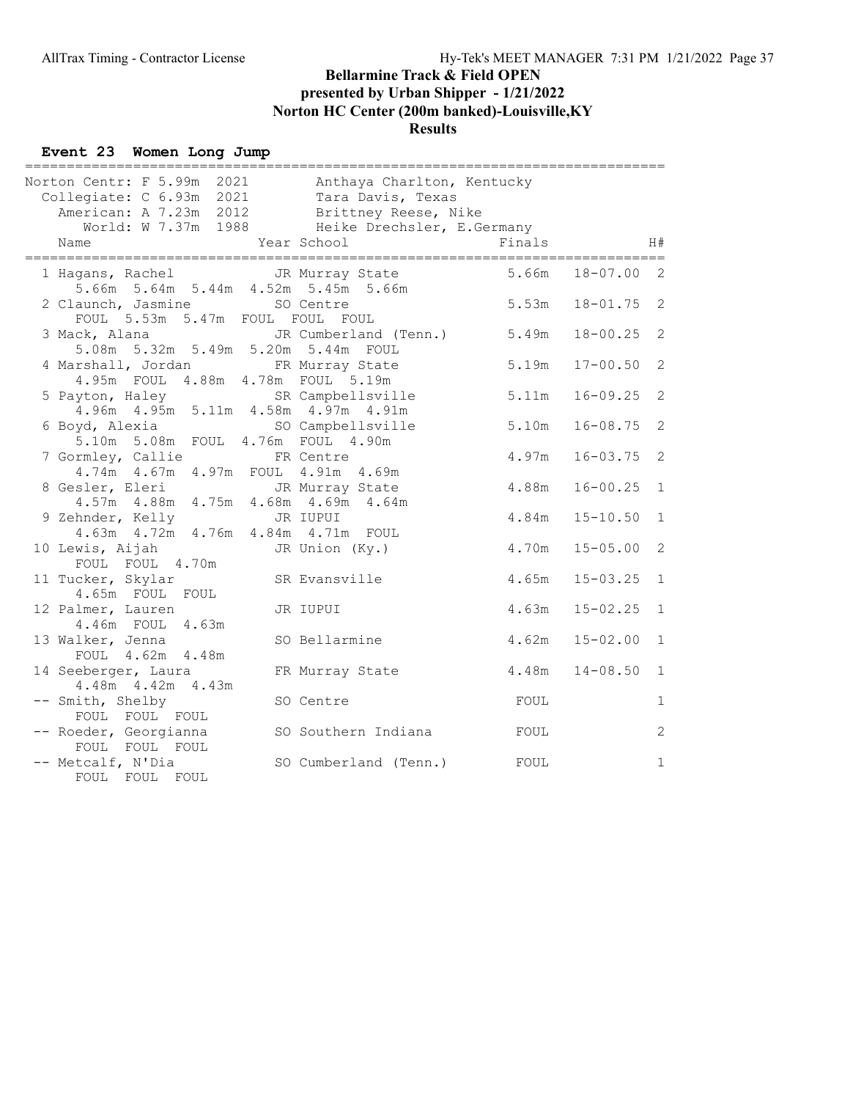#### Event 23 Women Long Jump

| =================<br>Norton Centr: F 5.99m 2021 Anthaya Charlton, Kentucky<br>Collegiate: C 6.93m 2021 Tara Davis, Texas<br>American: A 7.23m 2012 Brittney Reese, Nike |                                                               |        |                |              |
|-------------------------------------------------------------------------------------------------------------------------------------------------------------------------|---------------------------------------------------------------|--------|----------------|--------------|
| Name                                                                                                                                                                    | World: W 7.37m 1988 Heike Drechsler, E.Germany<br>Year School | Finals |                | H#           |
| 1 Hagans, Rachel Man JR Murray State                                                                                                                                    | 5.66m 5.64m 5.44m 4.52m 5.45m 5.66m                           | 5.66m  | $18 - 07.00$   | 2            |
| 2 Claunch, Jasmine<br>FOUL 5.53m 5.47m FOUL FOUL FOUL                                                                                                                   | SO Centre                                                     | 5.53m  | $18 - 01.75$ 2 |              |
| 3 Mack, Alana<br>5.08m 5.32m 5.49m 5.20m 5.44m FOUL                                                                                                                     | JR Cumberland (Tenn.) 5.49m                                   |        | $18 - 00.25$   | 2            |
| 4 Marshall, Jordan FR Murray State<br>4.95m FOUL 4.88m 4.78m FOUL 5.19m                                                                                                 |                                                               | 5.19m  | $17 - 00.50$   | 2            |
| 5 Payton, Haley SR Campbellsville<br>4.96m  4.95m  5.11m  4.58m  4.97m  4.91m                                                                                           |                                                               | 5.11m  | $16 - 09.25$   | 2            |
| 6 Boyd, Alexia SO Campbellsville<br>5.10m 5.08m FOUL 4.76m FOUL 4.90m                                                                                                   |                                                               | 5.10m  | $16 - 08.75$   | 2            |
| 7 Gormley, Callie<br>4.74m  4.67m  4.97m  FOUL  4.91m  4.69m                                                                                                            | FR Centre                                                     | 4.97m  | $16 - 03.75$   | 2            |
| 8 Gesler, Eleri<br>4.57m  4.88m  4.75m  4.68m  4.69m  4.64m                                                                                                             | JR Murray State                                               | 4.88m  | $16 - 00.25$   | $\mathbf{1}$ |
| 9 Zehnder, Kelly<br>4.63m  4.72m  4.76m  4.84m  4.71m  FOUL                                                                                                             | JR IUPUI                                                      | 4.84m  | $15 - 10.50$   | $\mathbf{1}$ |
| 10 Lewis, Aijah<br>FOUL FOUL 4.70m                                                                                                                                      | JR Union (Ky.)                                                | 4.70m  | $15 - 05.00$   | 2            |
| 11 Tucker, Skylar<br>4.65m FOUL FOUL                                                                                                                                    | SR Evansville                                                 | 4.65m  | $15 - 03.25$   | $\mathbf{1}$ |
| 12 Palmer, Lauren<br>4.46m FOUL 4.63m                                                                                                                                   | JR IUPUI                                                      | 4.63m  | $15 - 02.25$   | $\mathbf{1}$ |
| 13 Walker, Jenna<br>FOUL 4.62m 4.48m                                                                                                                                    | SO Bellarmine                                                 | 4.62m  | $15 - 02.00$   | $\mathbf{1}$ |
| 14 Seeberger, Laura<br>4.48m  4.42m  4.43m                                                                                                                              | FR Murray State                                               | 4.48m  | $14 - 08.50$   | $\mathbf{1}$ |
| -- Smith, Shelby<br>FOUL FOUL FOUL                                                                                                                                      | SO Centre                                                     | FOUL   |                | $\mathbf{1}$ |
| -- Roeder, Georgianna<br>FOUL FOUL FOUL                                                                                                                                 | SO Southern Indiana                                           | FOUL   |                | 2            |
| -- Metcalf, N'Dia<br>FOUL FOUL FOUL                                                                                                                                     | SO Cumberland (Tenn.)                                         | FOUL   |                | $\mathbf{1}$ |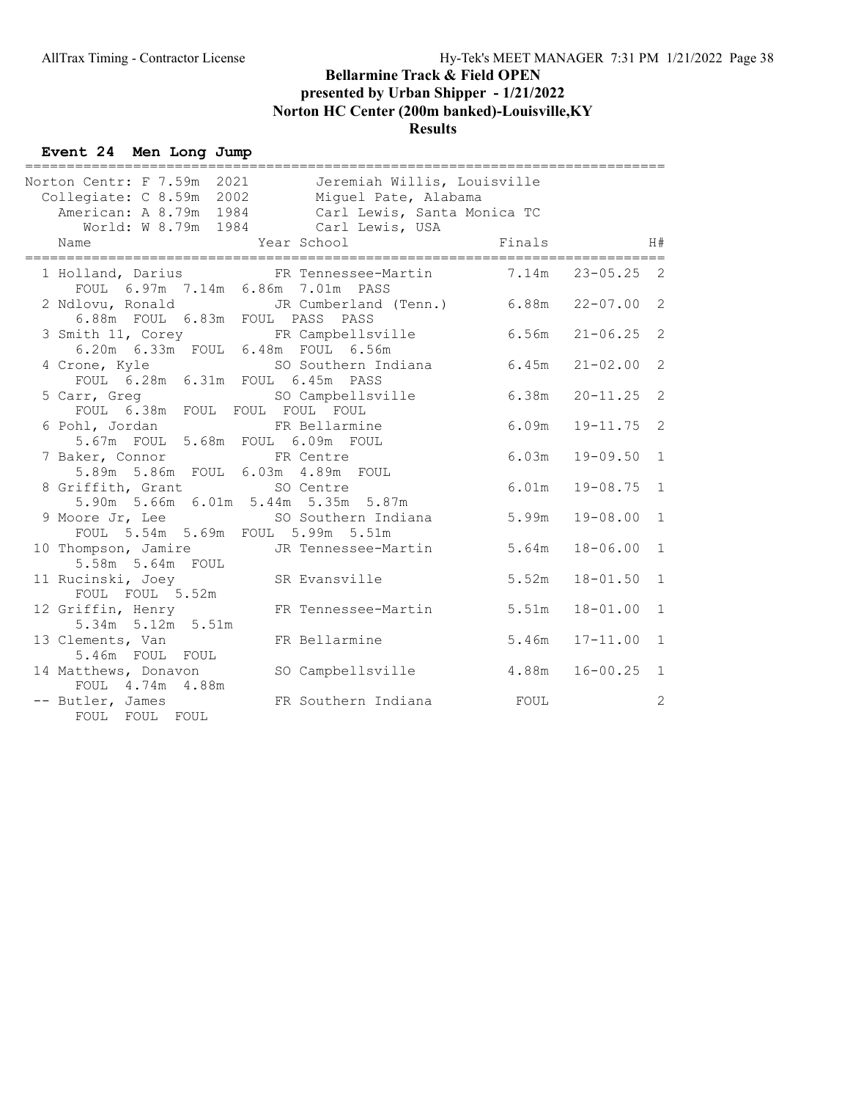#### Event 24 Men Long Jump

| ____________________________________<br>Norton Centr: F 7.59m 2021 Jeremiah Willis, Louisville<br>Collegiate: C 8.59m 2002 Miguel Pate, Alabama<br>American: A 8.79m 1984 Carl Lewis, Santa Monica TC<br>World: W 8.79m 1984 Carl Lewis, USA |             |                |                |
|----------------------------------------------------------------------------------------------------------------------------------------------------------------------------------------------------------------------------------------------|-------------|----------------|----------------|
| Year School<br>Name                                                                                                                                                                                                                          | Finals      |                | H#             |
| 1 Holland, Darius FR Tennessee-Martin 7.14m 23-05.25 2<br>FOUL 6.97m 7.14m 6.86m 7.01m PASS                                                                                                                                                  |             |                |                |
| 2 Ndlovu, Ronald 3 JR Cumberland (Tenn.) 6.88m 22-07.00 2<br>6.88m FOUL 6.83m FOUL PASS PASS                                                                                                                                                 |             |                |                |
| 3 Smith 11, Corey FR Campbellsville 6.56m<br>6.20m  6.33m  FOUL  6.48m  FOUL  6.56m                                                                                                                                                          |             | $21 - 06.25$ 2 |                |
| 4 Crone, Kyle<br>SO Southern Indiana 6.45m<br>FOUL 6.28m 6.31m FOUL 6.45m PASS                                                                                                                                                               |             | $21 - 02.00$   | 2              |
| 5 Carr, Greg<br>SO Campbellsville 6.38m<br>FOUL 6.38m FOUL FOUL FOUL FOUL                                                                                                                                                                    |             | $20 - 11.25$ 2 |                |
| 6 Pohl, Jordan Mark FR Bellarmine<br>5.67m FOUL 5.68m FOUL 6.09m FOUL                                                                                                                                                                        | 6.09m       | $19 - 11.75$ 2 |                |
| 7 Baker, Connor FR Centre<br>5.89m 5.86m FOUL 6.03m 4.89m FOUL                                                                                                                                                                               | 6.03m       | $19 - 09.50$   | 1              |
| 8 Griffith, Grant SO Centre<br>5.90m 5.66m 6.01m 5.44m 5.35m 5.87m                                                                                                                                                                           | 6.01m       | $19 - 08.75$   | $\mathbf{1}$   |
| 9 Moore Jr, Lee SO Southern Indiana<br>FOUL 5.54m 5.69m FOUL 5.99m 5.51m                                                                                                                                                                     | 5.99m       | $19 - 08.00$   | $\mathbf{1}$   |
| 10 Thompson, Jamire JR Tennessee-Martin<br>5.58m 5.64m FOUL                                                                                                                                                                                  | 5.64m       | $18 - 06.00$   | $\overline{1}$ |
| 11 Rucinski, Joey SR Evansville<br>FOUL FOUL 5.52m                                                                                                                                                                                           | 5.52m       | $18 - 01.50$   | $\mathbf{1}$   |
| 12 Griffin, Henry FR Tennessee-Martin<br>5.34m 5.12m 5.51m                                                                                                                                                                                   | 5.51m       | $18 - 01.00$   | 1              |
| 13 Clements, Van<br>FR Bellarmine<br>5.46m FOUL FOUL                                                                                                                                                                                         | 5.46m       | $17 - 11.00$   | $\mathbf{1}$   |
| 14 Matthews, Donavon SO Campbellsville<br>FOUL 4.74m 4.88m                                                                                                                                                                                   | 4.88m       | $16 - 00.25$   | $\mathbf{1}$   |
| -- Butler, James<br>FR Southern Indiana<br>FOUL FOUL FOUL                                                                                                                                                                                    | <b>FOUL</b> |                | 2              |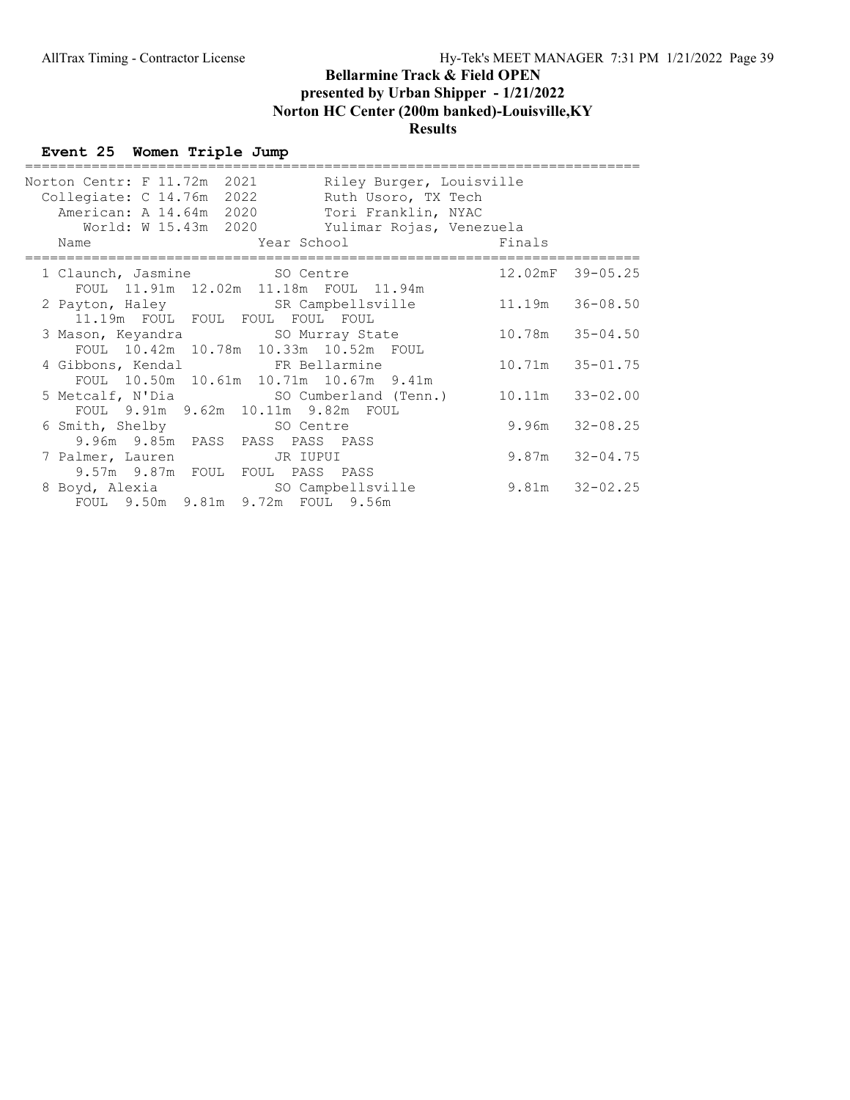# Event 25 Women Triple Jump

| Norton Centr: F 11.72m 2021<br>Riley Burger, Louisville<br>Collegiate: C 14.76m 2022<br>Ruth Usoro, TX Tech<br>American: A 14.64m 2020 Tori Franklin, NYAC<br>World: W 15.43m 2020 Yulimar Rojas, Venezuela |                    |
|-------------------------------------------------------------------------------------------------------------------------------------------------------------------------------------------------------------|--------------------|
| Year School Finals<br>Name                                                                                                                                                                                  |                    |
| 1 Claunch, Jasmine SO Centre<br>FOUL 11.91m 12.02m 11.18m FOUL 11.94m                                                                                                                                       | 12.02mF 39-05.25   |
| 2 Payton, Haley SR Campbellsville 11.19m 36-08.50<br>11.19m FOUL FOUL FOUL FOUL FOUL                                                                                                                        |                    |
| 3 Mason, Keyandra SO Murray State 10.78m 35-04.50<br>FOUL 10.42m 10.78m 10.33m 10.52m FOUL                                                                                                                  |                    |
| FOUL 10.50m 10.61m 10.71m 10.67m 9.41m                                                                                                                                                                      | 10.71m 35-01.75    |
| 5 Metcalf, N'Dia (SO Cumberland (Tenn.) 10.11m 33-02.00<br>FOUL 9.91m 9.62m 10.11m 9.82m FOUL                                                                                                               |                    |
| 6 Smith, Shelby SO Centre<br>9.96m 9.85m PASS PASS PASS PASS                                                                                                                                                | $9.96m$ $32-08.25$ |
| 7 Palmer, Lauren JR IUPUI<br>9.57m 9.87m FOUL FOUL PASS PASS                                                                                                                                                | $9.87m$ $32-04.75$ |
| 8 Boyd, Alexia SO Campbellsville<br>FOUL 9.50m 9.81m 9.72m FOUL 9.56m                                                                                                                                       | $9.81m$ $32-02.25$ |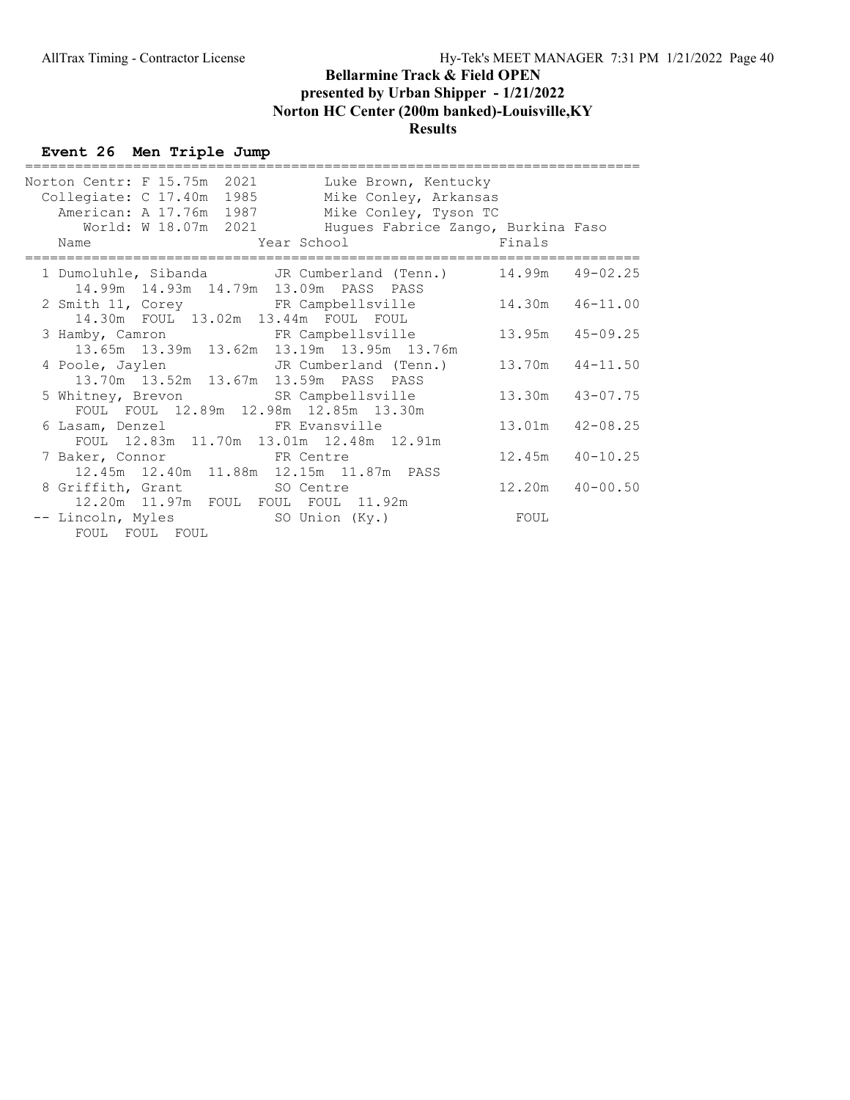# Event 26 Men Triple Jump

| Norton Centr: F 15.75m 2021 |                      | Luke Brown, Kentucky                                                                                     |                     |  |
|-----------------------------|----------------------|----------------------------------------------------------------------------------------------------------|---------------------|--|
| Collegiate: C 17.40m 1985   |                      | Mike Conley, Arkansas                                                                                    |                     |  |
| American: A 17.76m 1987     |                      | Mike Conley, Tyson TC                                                                                    |                     |  |
|                             | World: W 18.07m 2021 | Huques Fabrice Zango, Burkina Faso                                                                       |                     |  |
| Name                        |                      | Year School Finals                                                                                       |                     |  |
|                             |                      | 1 Dumoluhle, Sibanda JR Cumberland (Tenn.) 14.99m 49-02.25<br>14.99m  14.93m  14.79m  13.09m  PASS  PASS |                     |  |
|                             |                      | 2 Smith 11, Corey FR Campbellsville<br>14.30m FOUL 13.02m 13.44m FOUL FOUL                               | 14.30m 46-11.00     |  |
|                             |                      | 3 Hamby, Camron FR Campbellsville<br>13.65m 13.39m 13.62m 13.19m 13.95m 13.76m                           | $13.95m$ $45-09.25$ |  |
|                             |                      | 4 Poole, Jaylen JR Cumberland (Tenn.)<br>13.70m  13.52m  13.67m  13.59m  PASS  PASS                      | $13.70m$ $44-11.50$ |  |
|                             |                      | 5 Whitney, Brevon SR Campbellsville<br>FOUL FOUL 12.89m 12.98m 12.85m 13.30m                             | 13.30m 43-07.75     |  |
|                             |                      | FOUL 12.83m 11.70m 13.01m 12.48m 12.91m                                                                  | $13.01m$ $42-08.25$ |  |
| 7 Baker, Connor FR Centre   |                      | 12.45m  12.40m  11.88m  12.15m  11.87m  PASS                                                             | $12.45m$ $40-10.25$ |  |
|                             |                      | 8 Griffith, Grant SO Centre<br>12.20m  11.97m  FOUL  FOUL  FOUL  11.92m                                  | $12.20m$ $40-00.50$ |  |
| FOUL FOUL FOUL              |                      |                                                                                                          |                     |  |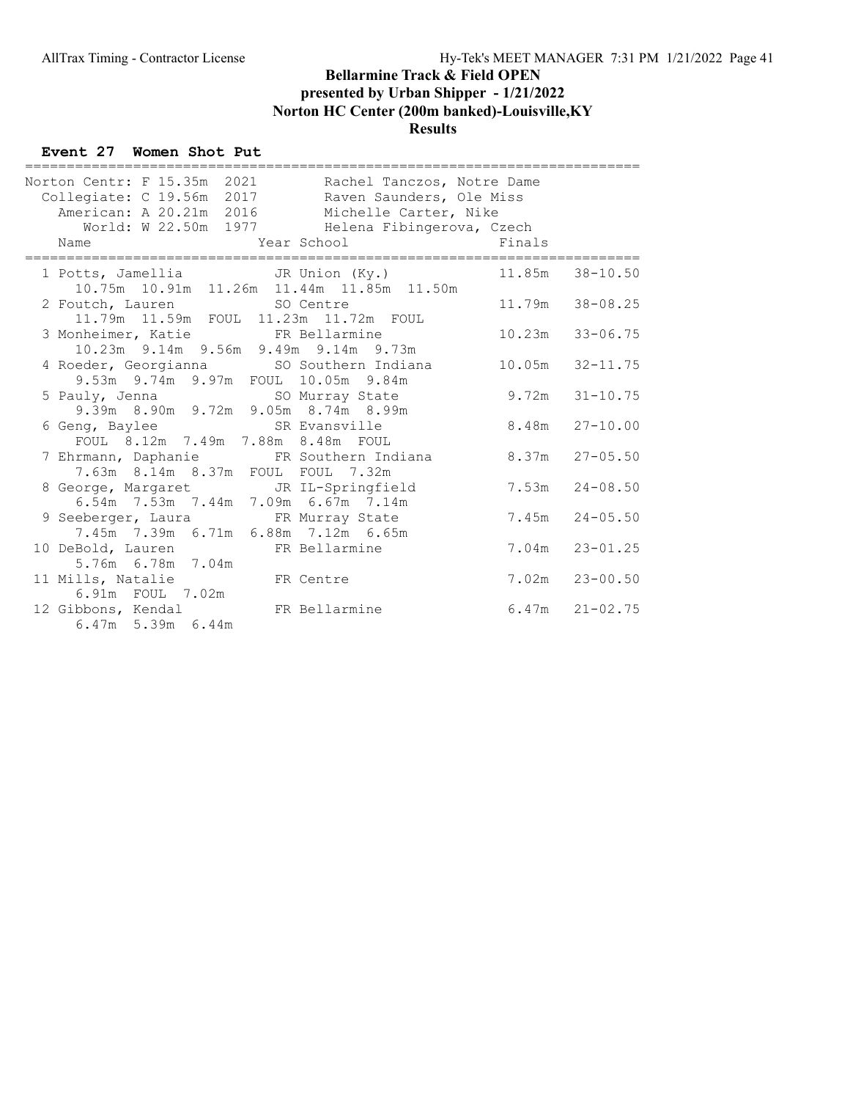#### Event 27 Women Shot Put

| ======================================                                                                                                                                                                        |                          |                    |                    |
|---------------------------------------------------------------------------------------------------------------------------------------------------------------------------------------------------------------|--------------------------|--------------------|--------------------|
| Norton Centr: F 15.35m 2021 Rachel Tanczos, Notre Dame                                                                                                                                                        |                          |                    |                    |
| Collegiate: C 19.56m 2017 Raven Saunders, Ole Miss                                                                                                                                                            |                          |                    |                    |
| American: A 20.21m 2016 Michelle Carter, Nike                                                                                                                                                                 |                          |                    |                    |
| World: W 22.50m 1977 Helena Fibingerova, Czech                                                                                                                                                                |                          |                    |                    |
| Year School<br>Name                                                                                                                                                                                           | <b>Example 19</b> Finals |                    |                    |
| 1 Potts, Jamellia JR Union (Ky.)                                                                                                                                                                              |                          |                    | 11.85m 38-10.50    |
| 10.75m  10.91m  11.26m  11.44m  11.85m  11.50m                                                                                                                                                                |                          |                    |                    |
| 2 Foutch, Lauren SO Centre                                                                                                                                                                                    |                          |                    | 11.79m 38-08.25    |
| 11.79m  11.59m  FOUL  11.23m  11.72m  FOUL                                                                                                                                                                    |                          |                    |                    |
| 3 Monheimer, Katie $\begin{array}{cccccc} \text{FR} & \text{Bellarmine} & & 10.23\text{m} & 33-06.75 \\ 10.23\text{m} & 9.14\text{m} & 9.56\text{m} & 9.49\text{m} & 9.14\text{m} & 9.73\text{m} \end{array}$ |                          |                    |                    |
|                                                                                                                                                                                                               |                          |                    |                    |
| 4 Roeder, Georgianna SO Southern Indiana 10.05m 32-11.75                                                                                                                                                      |                          |                    |                    |
| 9.53m 9.74m 9.97m FOUL 10.05m 9.84m                                                                                                                                                                           |                          |                    |                    |
|                                                                                                                                                                                                               |                          | $9.72m$ $31-10.75$ |                    |
|                                                                                                                                                                                                               |                          |                    |                    |
| 6 Geng, Baylee SR Evansville                                                                                                                                                                                  |                          |                    | $8.48m$ $27-10.00$ |
| FOUL 8.12m 7.49m 7.88m 8.48m FOUL                                                                                                                                                                             |                          |                    |                    |
| 7 Ehrmann, Daphanie 6 FR Southern Indiana 6.37m 27-05.50                                                                                                                                                      |                          |                    |                    |
| 7.63m 8.14m 8.37m FOUL FOUL 7.32m                                                                                                                                                                             |                          |                    |                    |
| 8 George, Margaret JR IL-Springfield                                                                                                                                                                          |                          |                    | $7.53m$ $24-08.50$ |
| 6.54m 7.53m 7.44m 7.09m 6.67m 7.14m                                                                                                                                                                           |                          |                    |                    |
| 9 Seeberger, Laura FR Murray State                                                                                                                                                                            |                          |                    | $7.45m$ $24-05.50$ |
| 7.45m 7.39m 6.71m 6.88m 7.12m 6.65m                                                                                                                                                                           |                          |                    |                    |
| 10 DeBold, Lauren FR Bellarmine                                                                                                                                                                               |                          |                    | $7.04m$ $23-01.25$ |
| 5.76m 6.78m 7.04m                                                                                                                                                                                             |                          |                    |                    |
| 11 Mills, Natalie FR Centre                                                                                                                                                                                   |                          |                    | $7.02m$ $23-00.50$ |
| 6.91m  FOUL  7.02m                                                                                                                                                                                            |                          |                    |                    |
| 12 Gibbons, Kendal Mann FR Bellarmine                                                                                                                                                                         |                          | $6.47m$ $21-02.75$ |                    |
| $6.47m$ 5.39m $6.44m$                                                                                                                                                                                         |                          |                    |                    |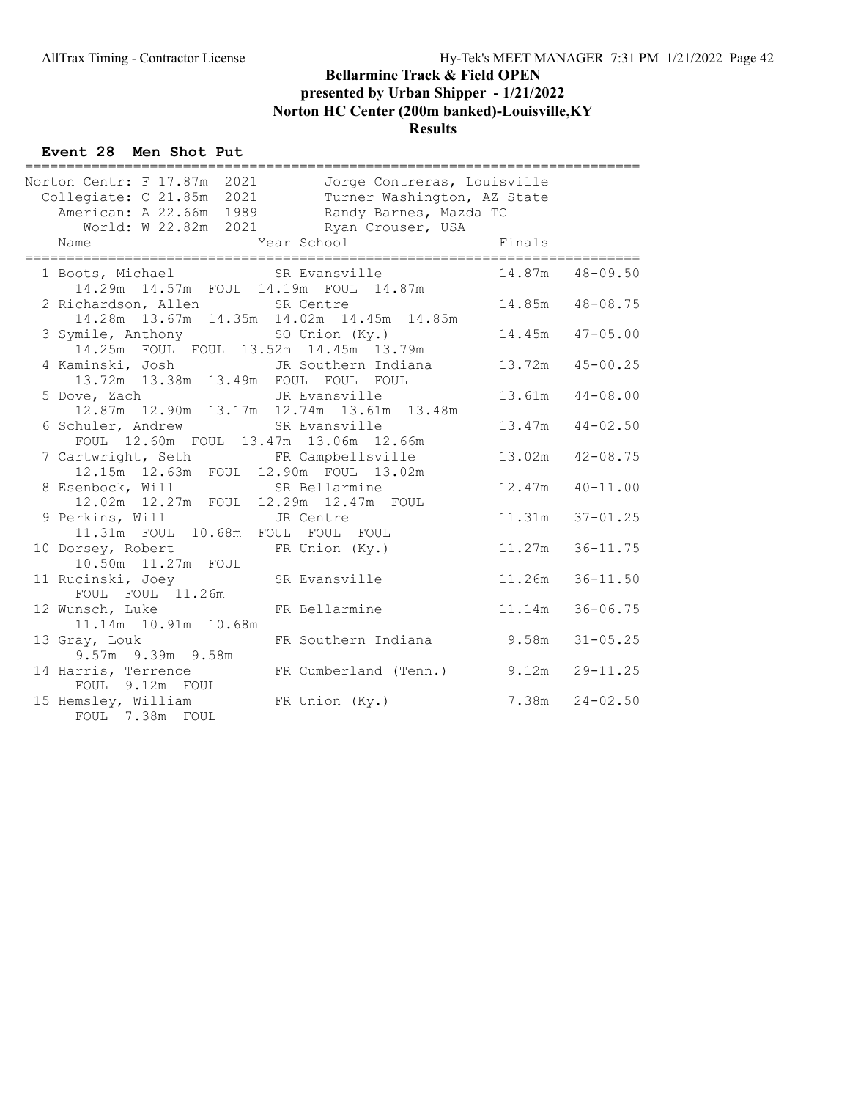#### Event 28 Men Shot Put

| ===================================                                                                                                                                                                                      |                     |                     |
|--------------------------------------------------------------------------------------------------------------------------------------------------------------------------------------------------------------------------|---------------------|---------------------|
| Jorge Contreras, Louisville<br>Norton Centr: F 17.87m 2021<br>Collegiate: C 21.85m 2021<br>Turner Washington, AZ State<br>American: A 22.66m 1989<br>Randy Barnes, Mazda TC<br>World: W 22.82m 2021<br>Ryan Crouser, USA |                     |                     |
| Finals<br>Year School<br>Name                                                                                                                                                                                            |                     |                     |
| 1 Boots, Michael SR Evansville<br>14.29m  14.57m  FOUL  14.19m  FOUL  14.87m                                                                                                                                             | 14.87m  48-09.50    |                     |
| 2 Richardson, Allen SR Centre<br>14.28m  13.67m  14.35m  14.02m  14.45m  14.85m                                                                                                                                          |                     | 14.85m  48-08.75    |
| 3 Symile, Anthony SO Union (Ky.)<br>14.25m FOUL FOUL 13.52m 14.45m 13.79m                                                                                                                                                |                     | $14.45m$ $47-05.00$ |
| 4 Kaminski, Josh<br>JR Southern Indiana<br>13.72m  13.38m  13.49m  FOUL  FOUL  FOUL                                                                                                                                      | $13.72m$ $45-00.25$ |                     |
| 5 Dove, Zach<br>JR Evansville<br>ve, Zach<br>12.87m 12.90m 13.17m 12.74m 13.61m 13.48m                                                                                                                                   |                     | 13.61m  44-08.00    |
| SR Evansville<br>6 Schuler, Andrew<br>FOUL 12.60m FOUL 13.47m 13.06m 12.66m                                                                                                                                              |                     | $13.47m$ $44-02.50$ |
| 7 Cartwright, Seth FR Campbellsville<br>12.15m  12.63m  FOUL  12.90m  FOUL  13.02m                                                                                                                                       |                     | 13.02m  42-08.75    |
| 8 Esenbock, Will SR Bellarmine<br>12.02m  12.27m  FOUL  12.29m  12.47m  FOUL                                                                                                                                             | 12.47m              | $40 - 11.00$        |
| 9 Perkins, Will GR Centre<br>11.31m FOUL 10.68m FOUL FOUL FOUL                                                                                                                                                           | 11.31m              | $37 - 01.25$        |
| FR Union (Ky.)<br>10 Dorsey, Robert<br>10.50m  11.27m  FOUL                                                                                                                                                              | 11.27m              | $36 - 11.75$        |
| 11 Rucinski, Joey SR Evansville<br>FOUL FOUL 11.26m                                                                                                                                                                      | 11.26m              | $36 - 11.50$        |
| 12 Wunsch, Luke<br>FR Bellarmine<br>11.14m  10.91m  10.68m                                                                                                                                                               | 11 <b>.</b> 14m     | $36 - 06.75$        |
| FR Southern Indiana 9.58m<br>13 Gray, Louk<br>9.57m 9.39m 9.58m                                                                                                                                                          |                     | $31 - 05.25$        |
| 14 Harris, Terrence<br>FR Cumberland (Tenn.) 9.12m<br>FOUL 9.12m FOUL                                                                                                                                                    |                     | $29 - 11.25$        |
| 15 Hemsley, William<br>FR Union (Ky.)<br>FOUL 7.38m FOUL                                                                                                                                                                 |                     | $7.38m$ $24-02.50$  |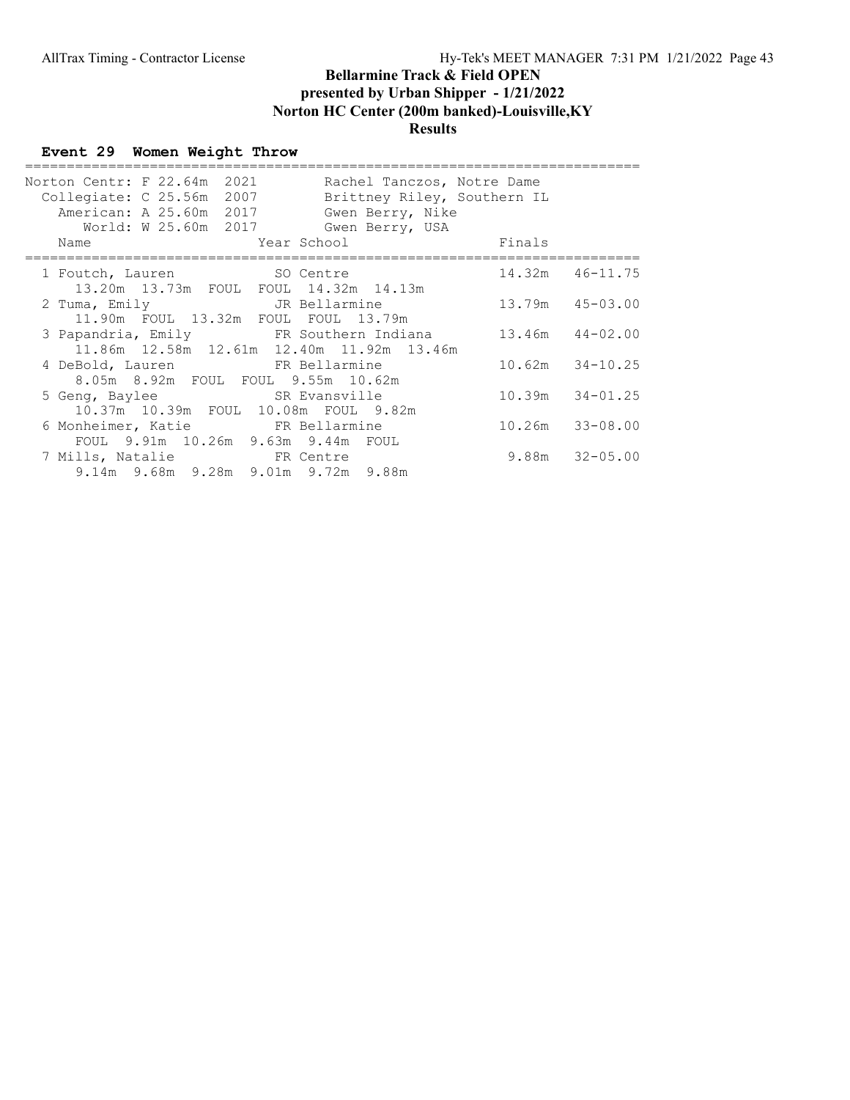#### Event 29 Women Weight Throw

| Norton Centr: F 22.64m 2021<br>Rachel Tanczos, Notre Dame<br>Collegiate: C 25.56m 2007<br>Brittney Riley, Southern IL<br>American: A 25.60m 2017<br>Gwen Berry, Nike<br>World: W 25.60m 2017<br>Gwen Berry, USA |        |                     |
|-----------------------------------------------------------------------------------------------------------------------------------------------------------------------------------------------------------------|--------|---------------------|
| Year School Year<br>Name                                                                                                                                                                                        | Finals |                     |
| 1 Foutch, Lauren SO Centre<br>13.20m 13.73m FOUL FOUL 14.32m 14.13m                                                                                                                                             |        | $14.32m$ $46-11.75$ |
| JR Bellarmine<br>2 Tuma, Emily<br>11.90m FOUL 13.32m FOUL FOUL 13.79m                                                                                                                                           |        | $13.79m$ $45-03.00$ |
| 3 Papandria, Emily FR Southern Indiana 13.46m 44-02.00<br>11.86m 12.58m 12.61m 12.40m 11.92m 13.46m                                                                                                             |        |                     |
| 4 DeBold, Lauren KR Bellarmine<br>8.05m 8.92m FOUL FOUL 9.55m 10.62m                                                                                                                                            |        | $10.62m$ $34-10.25$ |
| 5 Geng, Baylee SR Evansville<br>10.37m 10.39m FOUL 10.08m FOUL 9.82m                                                                                                                                            |        | $10.39m$ $34-01.25$ |
| 6 Monheimer, Katie FR Bellarmine<br>FOUL 9.91m 10.26m 9.63m 9.44m FOUL                                                                                                                                          |        | $10.26m$ $33-08.00$ |
| 7 Mills, Natalie 6 FR Centre<br>9.14m 9.68m 9.28m 9.01m 9.72m 9.88m                                                                                                                                             |        | $9.88m$ $32-05.00$  |